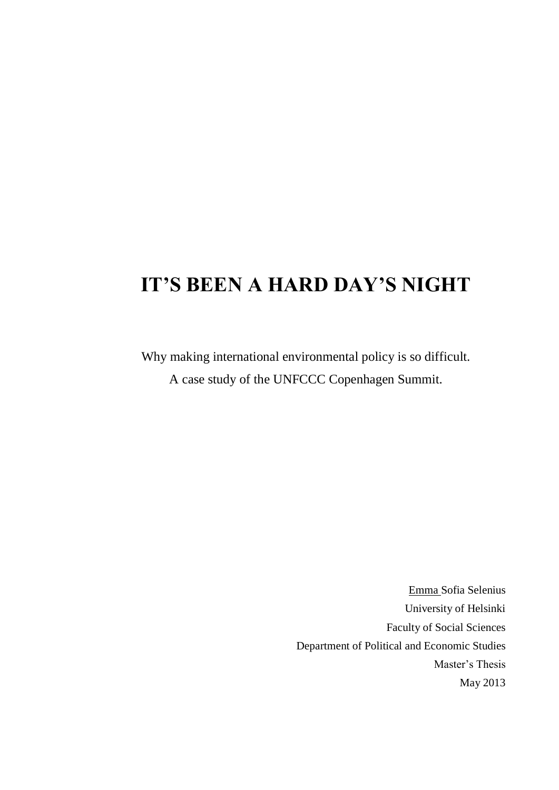# **IT'S BEEN A HARD DAY'S NIGHT**

Why making international environmental policy is so difficult. A case study of the UNFCCC Copenhagen Summit.

> Emma Sofia Selenius University of Helsinki Faculty of Social Sciences Department of Political and Economic Studies Master's Thesis May 2013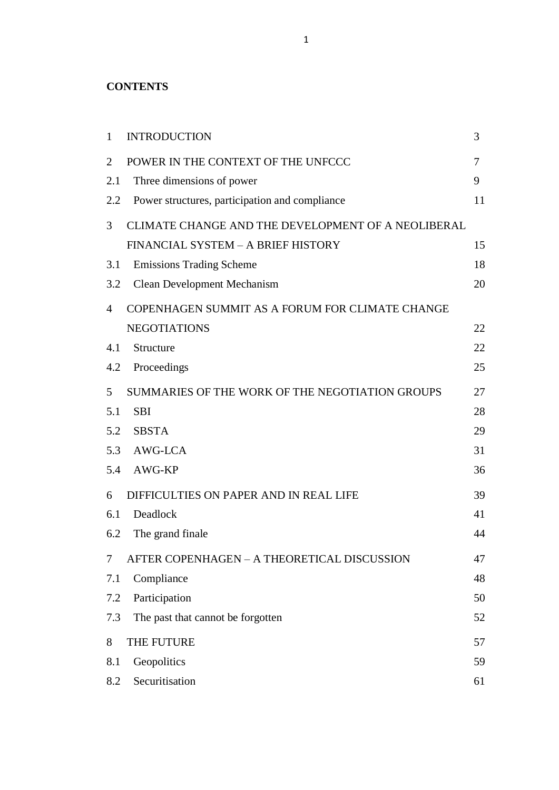#### **CONTENTS**

| $\mathbf{1}$   | <b>INTRODUCTION</b>                                | 3  |
|----------------|----------------------------------------------------|----|
| $\overline{2}$ | POWER IN THE CONTEXT OF THE UNFCCC                 | 7  |
| 2.1            | Three dimensions of power                          | 9  |
| 2.2            | Power structures, participation and compliance     | 11 |
| 3              | CLIMATE CHANGE AND THE DEVELOPMENT OF A NEOLIBERAL |    |
|                | FINANCIAL SYSTEM - A BRIEF HISTORY                 | 15 |
| 3.1            | <b>Emissions Trading Scheme</b>                    | 18 |
| 3.2            | <b>Clean Development Mechanism</b>                 | 20 |
| $\overline{4}$ | COPENHAGEN SUMMIT AS A FORUM FOR CLIMATE CHANGE    |    |
|                | <b>NEGOTIATIONS</b>                                | 22 |
| 4.1            | Structure                                          | 22 |
| 4.2            | Proceedings                                        | 25 |
| 5              | SUMMARIES OF THE WORK OF THE NEGOTIATION GROUPS    | 27 |
| 5.1            | <b>SBI</b>                                         | 28 |
| 5.2            | <b>SBSTA</b>                                       | 29 |
| 5.3            | AWG-LCA                                            | 31 |
| 5.4            | AWG-KP                                             | 36 |
| 6              | DIFFICULTIES ON PAPER AND IN REAL LIFE             | 39 |
| 6.1            | Deadlock                                           | 41 |
| 6.2            | The grand finale                                   | 44 |
| 7              | AFTER COPENHAGEN - A THEORETICAL DISCUSSION        | 47 |
| 7.1            | Compliance                                         | 48 |
| 7.2            | Participation                                      | 50 |
| 7.3            | The past that cannot be forgotten                  | 52 |
| 8              | THE FUTURE                                         | 57 |
| 8.1            | Geopolitics                                        | 59 |
| 8.2            | Securitisation                                     | 61 |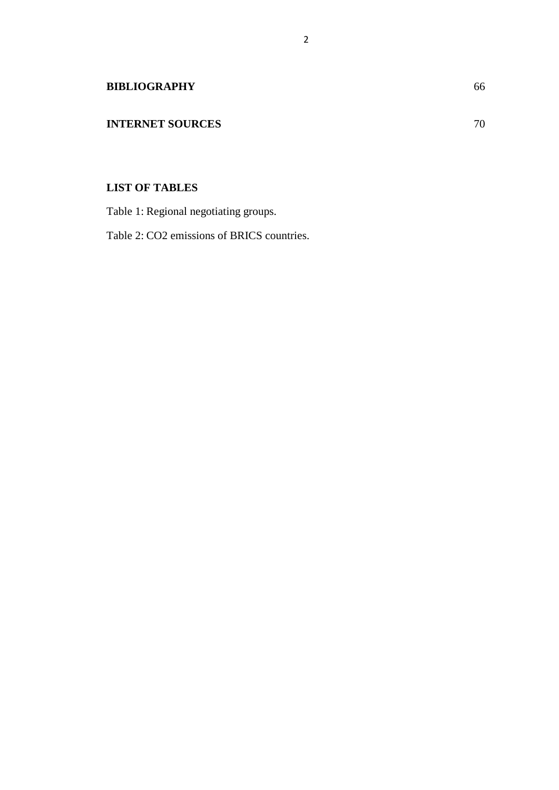### **INTERNET SOURCES** 70

### **LIST OF TABLES**

Table 1: Regional negotiating groups.

Table 2: CO2 emissions of BRICS countries.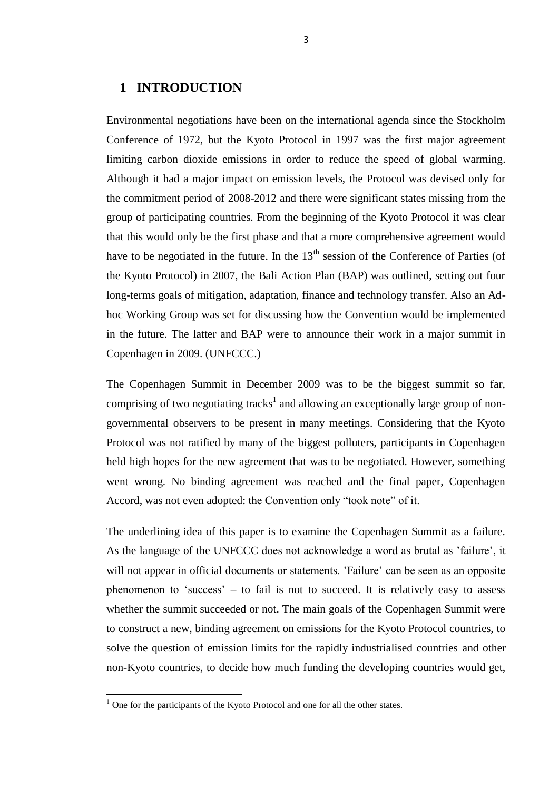#### **1 INTRODUCTION**

Environmental negotiations have been on the international agenda since the Stockholm Conference of 1972, but the Kyoto Protocol in 1997 was the first major agreement limiting carbon dioxide emissions in order to reduce the speed of global warming. Although it had a major impact on emission levels, the Protocol was devised only for the commitment period of 2008-2012 and there were significant states missing from the group of participating countries. From the beginning of the Kyoto Protocol it was clear that this would only be the first phase and that a more comprehensive agreement would have to be negotiated in the future. In the  $13<sup>th</sup>$  session of the Conference of Parties (of the Kyoto Protocol) in 2007, the Bali Action Plan (BAP) was outlined, setting out four long-terms goals of mitigation, adaptation, finance and technology transfer. Also an Adhoc Working Group was set for discussing how the Convention would be implemented in the future. The latter and BAP were to announce their work in a major summit in Copenhagen in 2009. (UNFCCC.)

The Copenhagen Summit in December 2009 was to be the biggest summit so far, comprising of two negotiating tracks<sup>1</sup> and allowing an exceptionally large group of nongovernmental observers to be present in many meetings. Considering that the Kyoto Protocol was not ratified by many of the biggest polluters, participants in Copenhagen held high hopes for the new agreement that was to be negotiated. However, something went wrong. No binding agreement was reached and the final paper, Copenhagen Accord, was not even adopted: the Convention only "took note" of it.

The underlining idea of this paper is to examine the Copenhagen Summit as a failure. As the language of the UNFCCC does not acknowledge a word as brutal as 'failure', it will not appear in official documents or statements. 'Failure' can be seen as an opposite phenomenon to 'success' – to fail is not to succeed. It is relatively easy to assess whether the summit succeeded or not. The main goals of the Copenhagen Summit were to construct a new, binding agreement on emissions for the Kyoto Protocol countries, to solve the question of emission limits for the rapidly industrialised countries and other non-Kyoto countries, to decide how much funding the developing countries would get,

 $\overline{a}$ 

 $1$  One for the participants of the Kyoto Protocol and one for all the other states.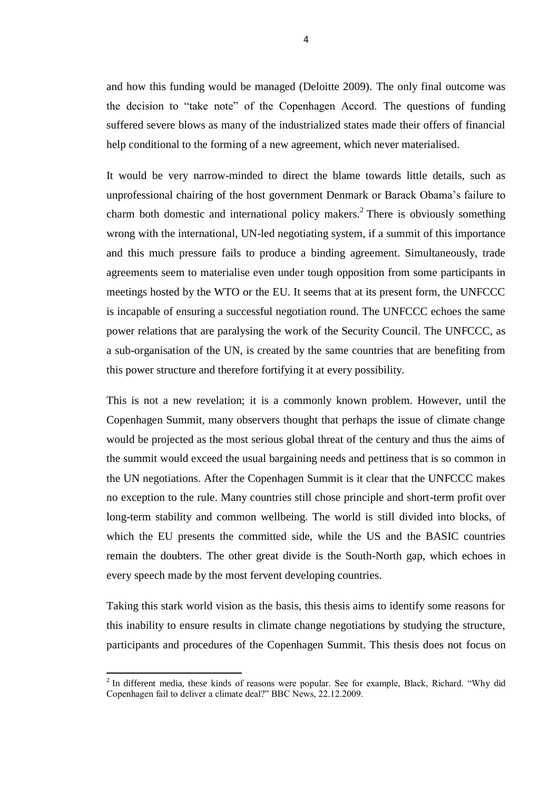and how this funding would be managed (Deloitte 2009). The only final outcome was the decision to "take note" of the Copenhagen Accord. The questions of funding suffered severe blows as many of the industrialized states made their offers of financial help conditional to the forming of a new agreement, which never materialised.

It would be very narrow-minded to direct the blame towards little details, such as unprofessional chairing of the host government Denmark or Barack Obama's failure to charm both domestic and international policy makers.<sup>2</sup> There is obviously something wrong with the international, UN-led negotiating system, if a summit of this importance and this much pressure fails to produce a binding agreement. Simultaneously, trade agreements seem to materialise even under tough opposition from some participants in meetings hosted by the WTO or the EU. It seems that at its present form, the UNFCCC is incapable of ensuring a successful negotiation round. The UNFCCC echoes the same power relations that are paralysing the work of the Security Council. The UNFCCC, as a sub-organisation of the UN, is created by the same countries that are benefiting from this power structure and therefore fortifying it at every possibility.

This is not a new revelation; it is a commonly known problem. However, until the Copenhagen Summit, many observers thought that perhaps the issue of climate change would be projected as the most serious global threat of the century and thus the aims of the summit would exceed the usual bargaining needs and pettiness that is so common in the UN negotiations. After the Copenhagen Summit is it clear that the UNFCCC makes no exception to the rule. Many countries still chose principle and short-term profit over long-term stability and common wellbeing. The world is still divided into blocks, of which the EU presents the committed side, while the US and the BASIC countries remain the doubters. The other great divide is the South-North gap, which echoes in every speech made by the most fervent developing countries.

Taking this stark world vision as the basis, this thesis aims to identify some reasons for this inability to ensure results in climate change negotiations by studying the structure, participants and procedures of the Copenhagen Summit. This thesis does not focus on

<sup>&</sup>lt;sup>2</sup> In different media, these kinds of reasons were popular. See for example, Black, Richard. "Why did Copenhagen fail to deliver a climate deal?" BBC News, 22.12.2009.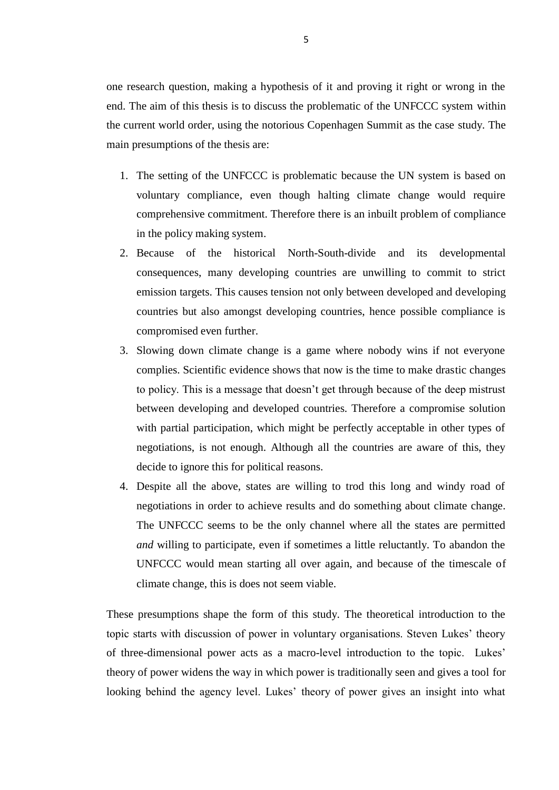one research question, making a hypothesis of it and proving it right or wrong in the end. The aim of this thesis is to discuss the problematic of the UNFCCC system within the current world order, using the notorious Copenhagen Summit as the case study. The main presumptions of the thesis are:

- 1. The setting of the UNFCCC is problematic because the UN system is based on voluntary compliance, even though halting climate change would require comprehensive commitment. Therefore there is an inbuilt problem of compliance in the policy making system.
- 2. Because of the historical North-South-divide and its developmental consequences, many developing countries are unwilling to commit to strict emission targets. This causes tension not only between developed and developing countries but also amongst developing countries, hence possible compliance is compromised even further.
- 3. Slowing down climate change is a game where nobody wins if not everyone complies. Scientific evidence shows that now is the time to make drastic changes to policy. This is a message that doesn't get through because of the deep mistrust between developing and developed countries. Therefore a compromise solution with partial participation, which might be perfectly acceptable in other types of negotiations, is not enough. Although all the countries are aware of this, they decide to ignore this for political reasons.
- 4. Despite all the above, states are willing to trod this long and windy road of negotiations in order to achieve results and do something about climate change. The UNFCCC seems to be the only channel where all the states are permitted *and* willing to participate, even if sometimes a little reluctantly. To abandon the UNFCCC would mean starting all over again, and because of the timescale of climate change, this is does not seem viable.

These presumptions shape the form of this study. The theoretical introduction to the topic starts with discussion of power in voluntary organisations. Steven Lukes' theory of three-dimensional power acts as a macro-level introduction to the topic. Lukes' theory of power widens the way in which power is traditionally seen and gives a tool for looking behind the agency level. Lukes' theory of power gives an insight into what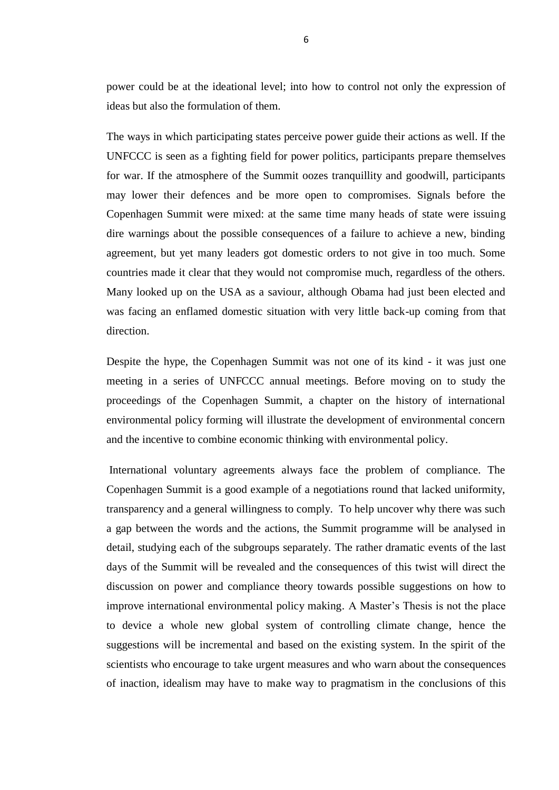power could be at the ideational level; into how to control not only the expression of ideas but also the formulation of them.

The ways in which participating states perceive power guide their actions as well. If the UNFCCC is seen as a fighting field for power politics, participants prepare themselves for war. If the atmosphere of the Summit oozes tranquillity and goodwill, participants may lower their defences and be more open to compromises. Signals before the Copenhagen Summit were mixed: at the same time many heads of state were issuing dire warnings about the possible consequences of a failure to achieve a new, binding agreement, but yet many leaders got domestic orders to not give in too much. Some countries made it clear that they would not compromise much, regardless of the others. Many looked up on the USA as a saviour, although Obama had just been elected and was facing an enflamed domestic situation with very little back-up coming from that direction.

Despite the hype, the Copenhagen Summit was not one of its kind - it was just one meeting in a series of UNFCCC annual meetings. Before moving on to study the proceedings of the Copenhagen Summit, a chapter on the history of international environmental policy forming will illustrate the development of environmental concern and the incentive to combine economic thinking with environmental policy.

International voluntary agreements always face the problem of compliance. The Copenhagen Summit is a good example of a negotiations round that lacked uniformity, transparency and a general willingness to comply. To help uncover why there was such a gap between the words and the actions, the Summit programme will be analysed in detail, studying each of the subgroups separately. The rather dramatic events of the last days of the Summit will be revealed and the consequences of this twist will direct the discussion on power and compliance theory towards possible suggestions on how to improve international environmental policy making. A Master's Thesis is not the place to device a whole new global system of controlling climate change, hence the suggestions will be incremental and based on the existing system. In the spirit of the scientists who encourage to take urgent measures and who warn about the consequences of inaction, idealism may have to make way to pragmatism in the conclusions of this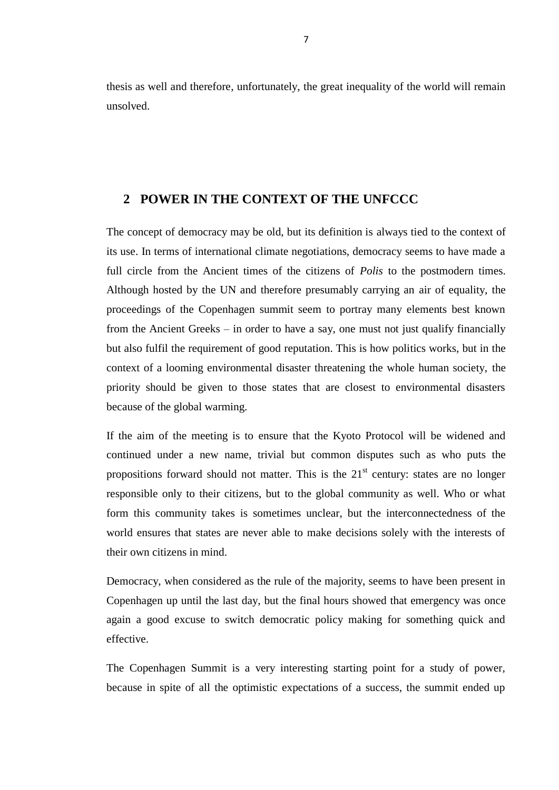thesis as well and therefore, unfortunately, the great inequality of the world will remain unsolved.

### **2 POWER IN THE CONTEXT OF THE UNFCCC**

The concept of democracy may be old, but its definition is always tied to the context of its use. In terms of international climate negotiations, democracy seems to have made a full circle from the Ancient times of the citizens of *Polis* to the postmodern times. Although hosted by the UN and therefore presumably carrying an air of equality, the proceedings of the Copenhagen summit seem to portray many elements best known from the Ancient Greeks – in order to have a say, one must not just qualify financially but also fulfil the requirement of good reputation. This is how politics works, but in the context of a looming environmental disaster threatening the whole human society, the priority should be given to those states that are closest to environmental disasters because of the global warming.

If the aim of the meeting is to ensure that the Kyoto Protocol will be widened and continued under a new name, trivial but common disputes such as who puts the propositions forward should not matter. This is the  $21<sup>st</sup>$  century: states are no longer responsible only to their citizens, but to the global community as well. Who or what form this community takes is sometimes unclear, but the interconnectedness of the world ensures that states are never able to make decisions solely with the interests of their own citizens in mind.

Democracy, when considered as the rule of the majority, seems to have been present in Copenhagen up until the last day, but the final hours showed that emergency was once again a good excuse to switch democratic policy making for something quick and effective.

The Copenhagen Summit is a very interesting starting point for a study of power, because in spite of all the optimistic expectations of a success, the summit ended up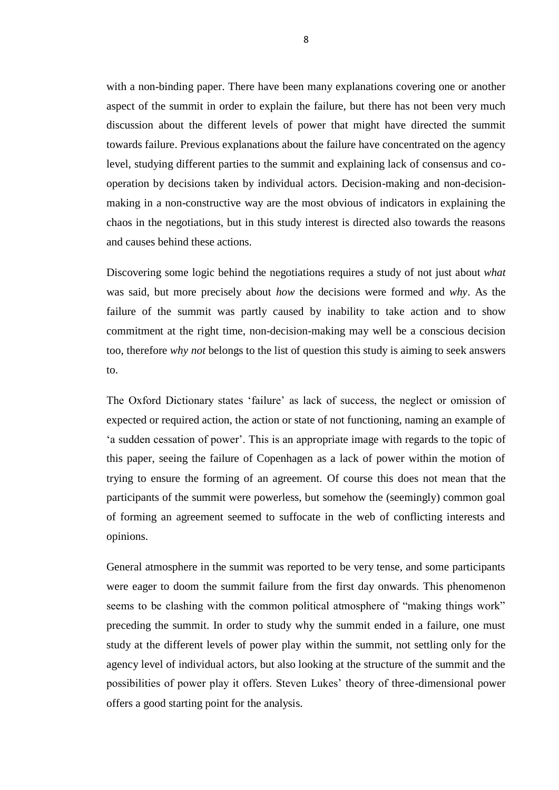with a non-binding paper. There have been many explanations covering one or another aspect of the summit in order to explain the failure, but there has not been very much discussion about the different levels of power that might have directed the summit towards failure. Previous explanations about the failure have concentrated on the agency level, studying different parties to the summit and explaining lack of consensus and cooperation by decisions taken by individual actors. Decision-making and non-decisionmaking in a non-constructive way are the most obvious of indicators in explaining the chaos in the negotiations, but in this study interest is directed also towards the reasons and causes behind these actions.

Discovering some logic behind the negotiations requires a study of not just about *what* was said, but more precisely about *how* the decisions were formed and *why*. As the failure of the summit was partly caused by inability to take action and to show commitment at the right time, non-decision-making may well be a conscious decision too, therefore *why not* belongs to the list of question this study is aiming to seek answers to.

The Oxford Dictionary states 'failure' as lack of success, the neglect or omission of expected or required action, the action or state of not functioning, naming an example of 'a sudden cessation of power'. This is an appropriate image with regards to the topic of this paper, seeing the failure of Copenhagen as a lack of power within the motion of trying to ensure the forming of an agreement. Of course this does not mean that the participants of the summit were powerless, but somehow the (seemingly) common goal of forming an agreement seemed to suffocate in the web of conflicting interests and opinions.

General atmosphere in the summit was reported to be very tense, and some participants were eager to doom the summit failure from the first day onwards. This phenomenon seems to be clashing with the common political atmosphere of "making things work" preceding the summit. In order to study why the summit ended in a failure, one must study at the different levels of power play within the summit, not settling only for the agency level of individual actors, but also looking at the structure of the summit and the possibilities of power play it offers. Steven Lukes' theory of three-dimensional power offers a good starting point for the analysis.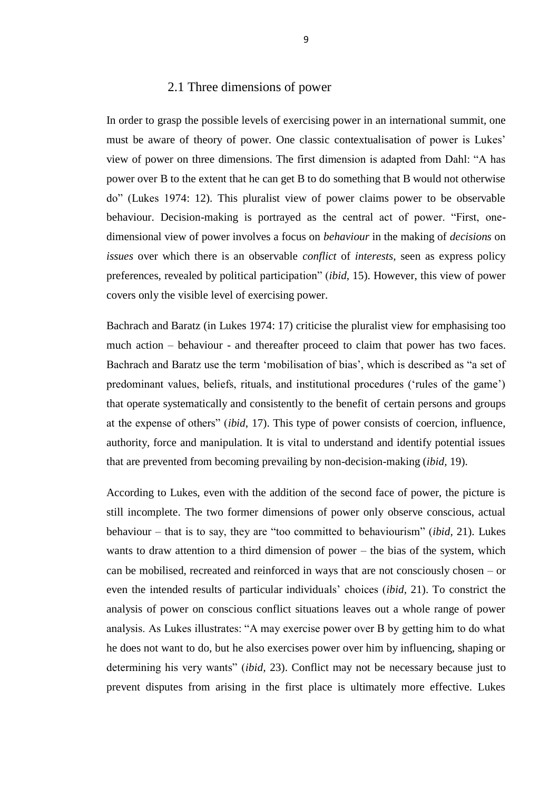#### 2.1 Three dimensions of power

In order to grasp the possible levels of exercising power in an international summit, one must be aware of theory of power. One classic contextualisation of power is Lukes' view of power on three dimensions. The first dimension is adapted from Dahl: "A has power over B to the extent that he can get B to do something that B would not otherwise do" (Lukes 1974: 12). This pluralist view of power claims power to be observable behaviour. Decision-making is portrayed as the central act of power. "First, onedimensional view of power involves a focus on *behaviour* in the making of *decisions* on *issues* over which there is an observable *conflict* of *interests,* seen as express policy preferences, revealed by political participation" (*ibid,* 15). However, this view of power covers only the visible level of exercising power.

Bachrach and Baratz (in Lukes 1974: 17) criticise the pluralist view for emphasising too much action – behaviour - and thereafter proceed to claim that power has two faces. Bachrach and Baratz use the term 'mobilisation of bias', which is described as "a set of predominant values, beliefs, rituals, and institutional procedures ('rules of the game') that operate systematically and consistently to the benefit of certain persons and groups at the expense of others" (*ibid*, 17). This type of power consists of coercion, influence, authority, force and manipulation. It is vital to understand and identify potential issues that are prevented from becoming prevailing by non-decision-making (*ibid,* 19).

According to Lukes, even with the addition of the second face of power, the picture is still incomplete. The two former dimensions of power only observe conscious, actual behaviour – that is to say, they are "too committed to behaviourism" (*ibid,* 21). Lukes wants to draw attention to a third dimension of power – the bias of the system, which can be mobilised, recreated and reinforced in ways that are not consciously chosen – or even the intended results of particular individuals' choices (*ibid,* 21). To constrict the analysis of power on conscious conflict situations leaves out a whole range of power analysis. As Lukes illustrates: "A may exercise power over B by getting him to do what he does not want to do, but he also exercises power over him by influencing, shaping or determining his very wants" (*ibid,* 23). Conflict may not be necessary because just to prevent disputes from arising in the first place is ultimately more effective. Lukes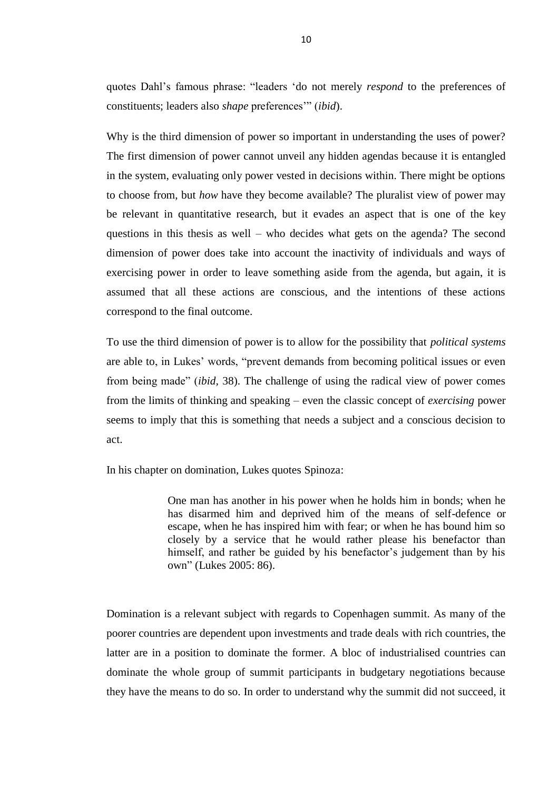quotes Dahl's famous phrase: "leaders 'do not merely *respond* to the preferences of constituents; leaders also *shape* preferences'" (*ibid*).

Why is the third dimension of power so important in understanding the uses of power? The first dimension of power cannot unveil any hidden agendas because it is entangled in the system, evaluating only power vested in decisions within. There might be options to choose from, but *how* have they become available? The pluralist view of power may be relevant in quantitative research, but it evades an aspect that is one of the key questions in this thesis as well – who decides what gets on the agenda? The second dimension of power does take into account the inactivity of individuals and ways of exercising power in order to leave something aside from the agenda, but again, it is assumed that all these actions are conscious, and the intentions of these actions correspond to the final outcome.

To use the third dimension of power is to allow for the possibility that *political systems* are able to, in Lukes' words, "prevent demands from becoming political issues or even from being made" (*ibid,* 38). The challenge of using the radical view of power comes from the limits of thinking and speaking – even the classic concept of *exercising* power seems to imply that this is something that needs a subject and a conscious decision to act.

In his chapter on domination, Lukes quotes Spinoza:

One man has another in his power when he holds him in bonds; when he has disarmed him and deprived him of the means of self-defence or escape, when he has inspired him with fear; or when he has bound him so closely by a service that he would rather please his benefactor than himself, and rather be guided by his benefactor's judgement than by his own" (Lukes 2005: 86).

Domination is a relevant subject with regards to Copenhagen summit. As many of the poorer countries are dependent upon investments and trade deals with rich countries, the latter are in a position to dominate the former. A bloc of industrialised countries can dominate the whole group of summit participants in budgetary negotiations because they have the means to do so. In order to understand why the summit did not succeed, it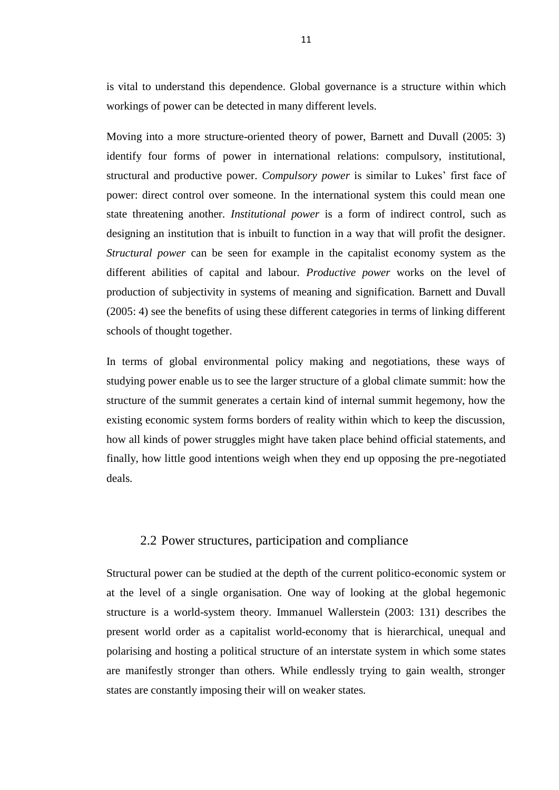is vital to understand this dependence. Global governance is a structure within which workings of power can be detected in many different levels.

Moving into a more structure-oriented theory of power, Barnett and Duvall (2005: 3) identify four forms of power in international relations: compulsory, institutional, structural and productive power. *Compulsory power* is similar to Lukes' first face of power: direct control over someone. In the international system this could mean one state threatening another. *Institutional power* is a form of indirect control, such as designing an institution that is inbuilt to function in a way that will profit the designer. *Structural power* can be seen for example in the capitalist economy system as the different abilities of capital and labour. *Productive power* works on the level of production of subjectivity in systems of meaning and signification. Barnett and Duvall (2005: 4) see the benefits of using these different categories in terms of linking different schools of thought together.

In terms of global environmental policy making and negotiations, these ways of studying power enable us to see the larger structure of a global climate summit: how the structure of the summit generates a certain kind of internal summit hegemony, how the existing economic system forms borders of reality within which to keep the discussion, how all kinds of power struggles might have taken place behind official statements, and finally, how little good intentions weigh when they end up opposing the pre-negotiated deals.

#### 2.2 Power structures, participation and compliance

Structural power can be studied at the depth of the current politico-economic system or at the level of a single organisation. One way of looking at the global hegemonic structure is a world-system theory. Immanuel Wallerstein (2003: 131) describes the present world order as a capitalist world-economy that is hierarchical, unequal and polarising and hosting a political structure of an interstate system in which some states are manifestly stronger than others. While endlessly trying to gain wealth, stronger states are constantly imposing their will on weaker states.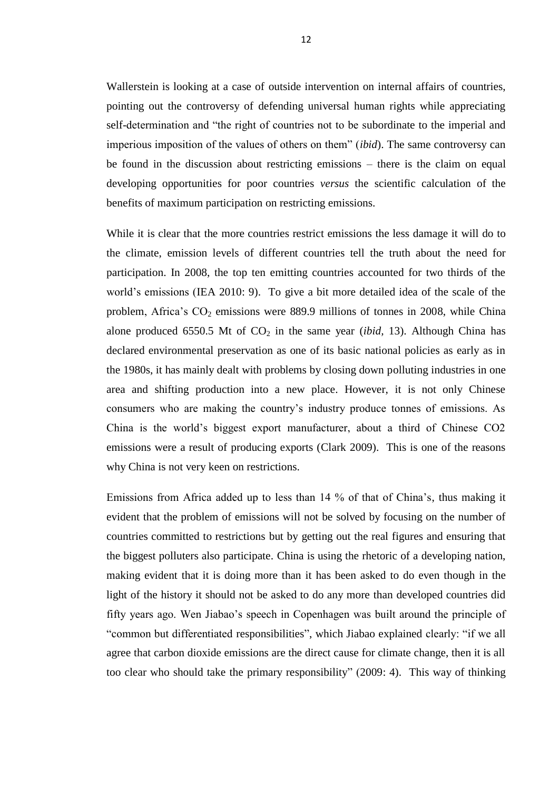Wallerstein is looking at a case of outside intervention on internal affairs of countries, pointing out the controversy of defending universal human rights while appreciating self-determination and "the right of countries not to be subordinate to the imperial and imperious imposition of the values of others on them" (*ibid*). The same controversy can be found in the discussion about restricting emissions – there is the claim on equal developing opportunities for poor countries *versus* the scientific calculation of the benefits of maximum participation on restricting emissions.

While it is clear that the more countries restrict emissions the less damage it will do to the climate, emission levels of different countries tell the truth about the need for participation. In 2008, the top ten emitting countries accounted for two thirds of the world's emissions (IEA 2010: 9). To give a bit more detailed idea of the scale of the problem, Africa's  $CO_2$  emissions were 889.9 millions of tonnes in 2008, while China alone produced 6550.5 Mt of  $CO<sub>2</sub>$  in the same year *(ibid, 13)*. Although China has declared environmental preservation as one of its basic national policies as early as in the 1980s, it has mainly dealt with problems by closing down polluting industries in one area and shifting production into a new place. However, it is not only Chinese consumers who are making the country's industry produce tonnes of emissions. As China is the world's biggest export manufacturer, about a third of Chinese CO2 emissions were a result of producing exports (Clark 2009). This is one of the reasons why China is not very keen on restrictions.

Emissions from Africa added up to less than 14 % of that of China's, thus making it evident that the problem of emissions will not be solved by focusing on the number of countries committed to restrictions but by getting out the real figures and ensuring that the biggest polluters also participate. China is using the rhetoric of a developing nation, making evident that it is doing more than it has been asked to do even though in the light of the history it should not be asked to do any more than developed countries did fifty years ago. Wen Jiabao's speech in Copenhagen was built around the principle of "common but differentiated responsibilities", which Jiabao explained clearly: "if we all agree that carbon dioxide emissions are the direct cause for climate change, then it is all too clear who should take the primary responsibility" (2009: 4). This way of thinking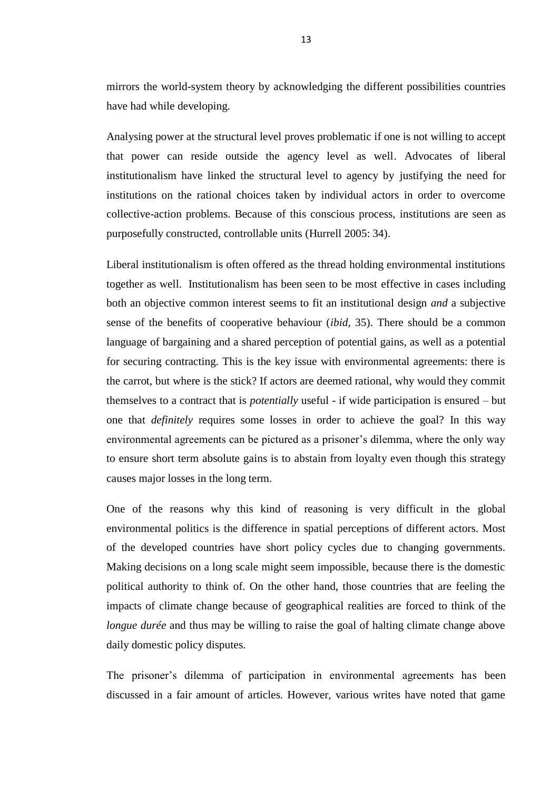mirrors the world-system theory by acknowledging the different possibilities countries have had while developing.

Analysing power at the structural level proves problematic if one is not willing to accept that power can reside outside the agency level as well. Advocates of liberal institutionalism have linked the structural level to agency by justifying the need for institutions on the rational choices taken by individual actors in order to overcome collective-action problems. Because of this conscious process, institutions are seen as purposefully constructed, controllable units (Hurrell 2005: 34).

Liberal institutionalism is often offered as the thread holding environmental institutions together as well. Institutionalism has been seen to be most effective in cases including both an objective common interest seems to fit an institutional design *and* a subjective sense of the benefits of cooperative behaviour (*ibid*, 35). There should be a common language of bargaining and a shared perception of potential gains, as well as a potential for securing contracting. This is the key issue with environmental agreements: there is the carrot, but where is the stick? If actors are deemed rational, why would they commit themselves to a contract that is *potentially* useful - if wide participation is ensured – but one that *definitely* requires some losses in order to achieve the goal? In this way environmental agreements can be pictured as a prisoner's dilemma, where the only way to ensure short term absolute gains is to abstain from loyalty even though this strategy causes major losses in the long term.

One of the reasons why this kind of reasoning is very difficult in the global environmental politics is the difference in spatial perceptions of different actors. Most of the developed countries have short policy cycles due to changing governments. Making decisions on a long scale might seem impossible, because there is the domestic political authority to think of. On the other hand, those countries that are feeling the impacts of climate change because of geographical realities are forced to think of the *longue durée* and thus may be willing to raise the goal of halting climate change above daily domestic policy disputes.

The prisoner's dilemma of participation in environmental agreements has been discussed in a fair amount of articles. However, various writes have noted that game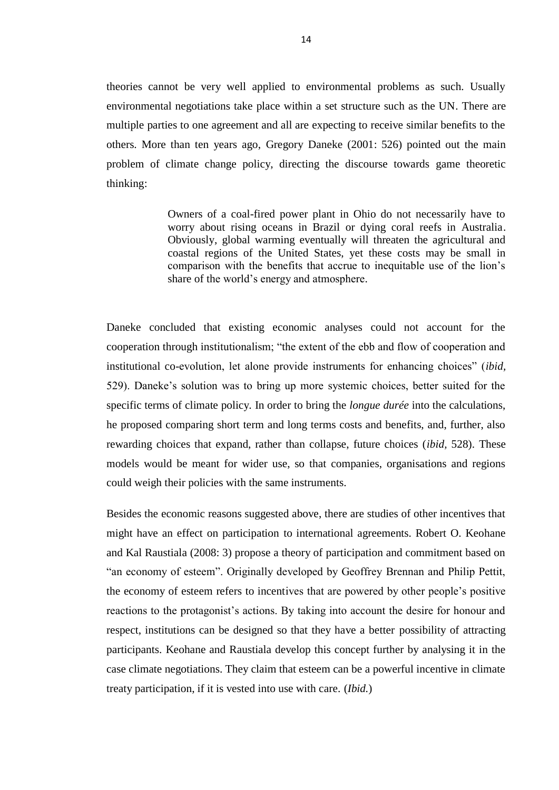theories cannot be very well applied to environmental problems as such. Usually environmental negotiations take place within a set structure such as the UN. There are multiple parties to one agreement and all are expecting to receive similar benefits to the others. More than ten years ago, Gregory Daneke (2001: 526) pointed out the main problem of climate change policy, directing the discourse towards game theoretic thinking:

> Owners of a coal-fired power plant in Ohio do not necessarily have to worry about rising oceans in Brazil or dying coral reefs in Australia. Obviously, global warming eventually will threaten the agricultural and coastal regions of the United States, yet these costs may be small in comparison with the benefits that accrue to inequitable use of the lion's share of the world's energy and atmosphere.

Daneke concluded that existing economic analyses could not account for the cooperation through institutionalism; "the extent of the ebb and flow of cooperation and institutional co-evolution, let alone provide instruments for enhancing choices" (*ibid,* 529). Daneke's solution was to bring up more systemic choices, better suited for the specific terms of climate policy. In order to bring the *longue durée* into the calculations, he proposed comparing short term and long terms costs and benefits, and, further, also rewarding choices that expand, rather than collapse, future choices (*ibid,* 528). These models would be meant for wider use, so that companies, organisations and regions could weigh their policies with the same instruments.

Besides the economic reasons suggested above, there are studies of other incentives that might have an effect on participation to international agreements. Robert O. Keohane and Kal Raustiala (2008: 3) propose a theory of participation and commitment based on "an economy of esteem". Originally developed by Geoffrey Brennan and Philip Pettit, the economy of esteem refers to incentives that are powered by other people's positive reactions to the protagonist's actions. By taking into account the desire for honour and respect, institutions can be designed so that they have a better possibility of attracting participants. Keohane and Raustiala develop this concept further by analysing it in the case climate negotiations. They claim that esteem can be a powerful incentive in climate treaty participation, if it is vested into use with care. (*Ibid.*)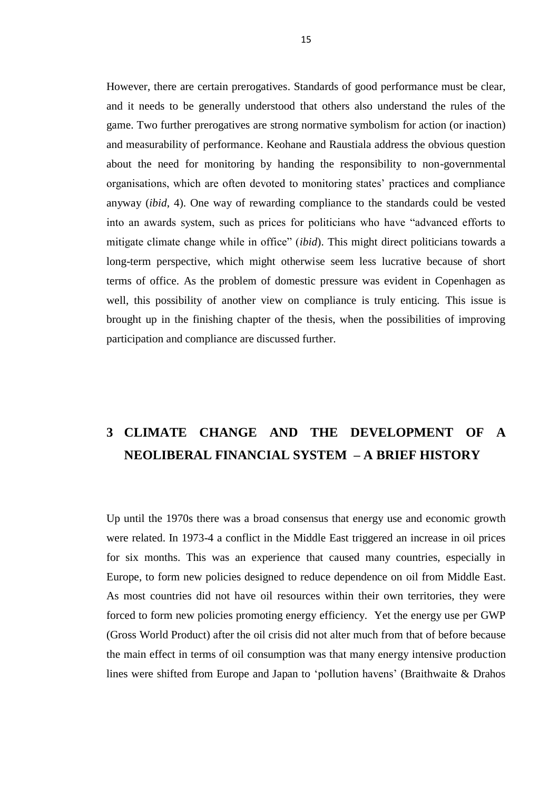However, there are certain prerogatives. Standards of good performance must be clear, and it needs to be generally understood that others also understand the rules of the game. Two further prerogatives are strong normative symbolism for action (or inaction) and measurability of performance. Keohane and Raustiala address the obvious question about the need for monitoring by handing the responsibility to non-governmental organisations, which are often devoted to monitoring states' practices and compliance anyway (*ibid*, 4). One way of rewarding compliance to the standards could be vested into an awards system, such as prices for politicians who have "advanced efforts to mitigate climate change while in office" (*ibid*). This might direct politicians towards a long-term perspective, which might otherwise seem less lucrative because of short terms of office. As the problem of domestic pressure was evident in Copenhagen as well, this possibility of another view on compliance is truly enticing. This issue is brought up in the finishing chapter of the thesis, when the possibilities of improving participation and compliance are discussed further.

# **3 CLIMATE CHANGE AND THE DEVELOPMENT OF A NEOLIBERAL FINANCIAL SYSTEM – A BRIEF HISTORY**

Up until the 1970s there was a broad consensus that energy use and economic growth were related. In 1973-4 a conflict in the Middle East triggered an increase in oil prices for six months. This was an experience that caused many countries, especially in Europe, to form new policies designed to reduce dependence on oil from Middle East. As most countries did not have oil resources within their own territories, they were forced to form new policies promoting energy efficiency. Yet the energy use per GWP (Gross World Product) after the oil crisis did not alter much from that of before because the main effect in terms of oil consumption was that many energy intensive production lines were shifted from Europe and Japan to 'pollution havens' (Braithwaite & Drahos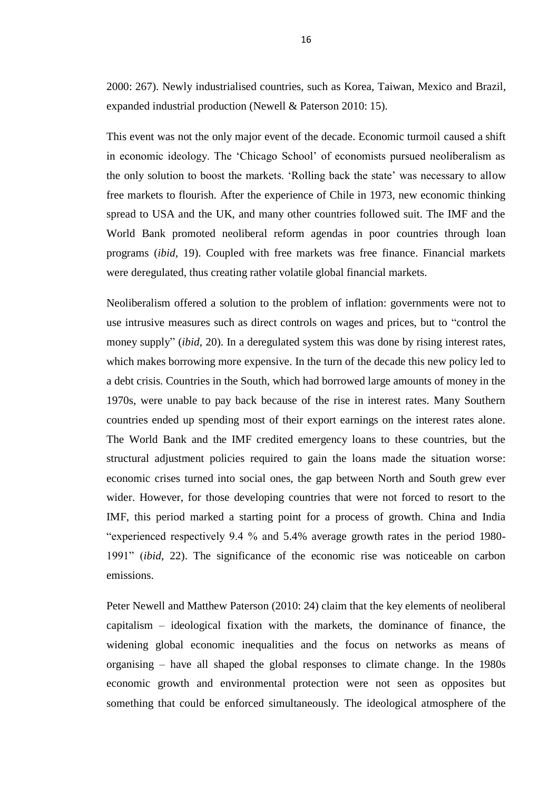2000: 267). Newly industrialised countries, such as Korea, Taiwan, Mexico and Brazil, expanded industrial production (Newell & Paterson 2010: 15).

This event was not the only major event of the decade. Economic turmoil caused a shift in economic ideology. The 'Chicago School' of economists pursued neoliberalism as the only solution to boost the markets. 'Rolling back the state' was necessary to allow free markets to flourish. After the experience of Chile in 1973, new economic thinking spread to USA and the UK, and many other countries followed suit. The IMF and the World Bank promoted neoliberal reform agendas in poor countries through loan programs (*ibid*, 19). Coupled with free markets was free finance. Financial markets were deregulated, thus creating rather volatile global financial markets.

Neoliberalism offered a solution to the problem of inflation: governments were not to use intrusive measures such as direct controls on wages and prices, but to "control the money supply" (*ibid*, 20). In a deregulated system this was done by rising interest rates, which makes borrowing more expensive. In the turn of the decade this new policy led to a debt crisis. Countries in the South, which had borrowed large amounts of money in the 1970s, were unable to pay back because of the rise in interest rates. Many Southern countries ended up spending most of their export earnings on the interest rates alone. The World Bank and the IMF credited emergency loans to these countries, but the structural adjustment policies required to gain the loans made the situation worse: economic crises turned into social ones, the gap between North and South grew ever wider. However, for those developing countries that were not forced to resort to the IMF, this period marked a starting point for a process of growth. China and India "experienced respectively 9.4 % and 5.4% average growth rates in the period 1980- 1991" (*ibid*, 22). The significance of the economic rise was noticeable on carbon emissions.

Peter Newell and Matthew Paterson (2010: 24) claim that the key elements of neoliberal capitalism – ideological fixation with the markets, the dominance of finance, the widening global economic inequalities and the focus on networks as means of organising – have all shaped the global responses to climate change. In the 1980s economic growth and environmental protection were not seen as opposites but something that could be enforced simultaneously. The ideological atmosphere of the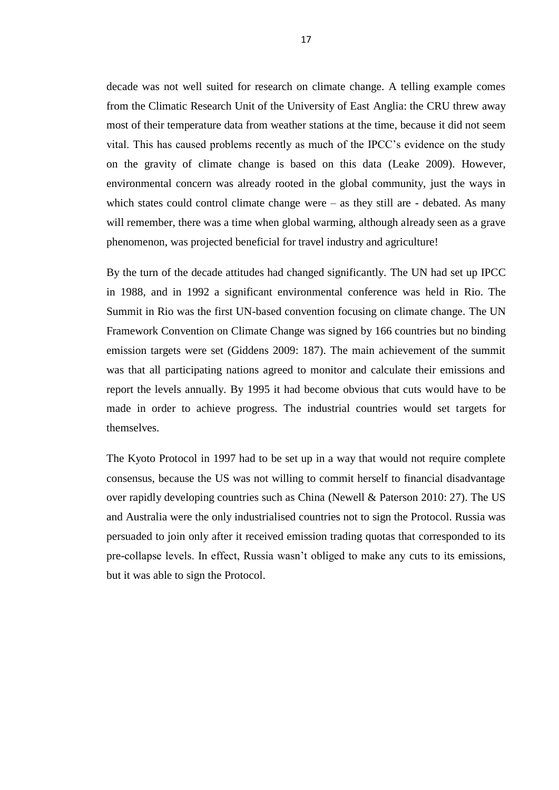decade was not well suited for research on climate change. A telling example comes from the Climatic Research Unit of the University of East Anglia: the CRU threw away most of their temperature data from weather stations at the time, because it did not seem vital. This has caused problems recently as much of the IPCC's evidence on the study on the gravity of climate change is based on this data (Leake 2009). However, environmental concern was already rooted in the global community, just the ways in which states could control climate change were  $-$  as they still are  $-$  debated. As many will remember, there was a time when global warming, although already seen as a grave phenomenon, was projected beneficial for travel industry and agriculture!

By the turn of the decade attitudes had changed significantly. The UN had set up IPCC in 1988, and in 1992 a significant environmental conference was held in Rio. The Summit in Rio was the first UN-based convention focusing on climate change. The UN Framework Convention on Climate Change was signed by 166 countries but no binding emission targets were set (Giddens 2009: 187). The main achievement of the summit was that all participating nations agreed to monitor and calculate their emissions and report the levels annually. By 1995 it had become obvious that cuts would have to be made in order to achieve progress. The industrial countries would set targets for themselves.

The Kyoto Protocol in 1997 had to be set up in a way that would not require complete consensus, because the US was not willing to commit herself to financial disadvantage over rapidly developing countries such as China (Newell & Paterson 2010: 27). The US and Australia were the only industrialised countries not to sign the Protocol. Russia was persuaded to join only after it received emission trading quotas that corresponded to its pre-collapse levels. In effect, Russia wasn't obliged to make any cuts to its emissions, but it was able to sign the Protocol.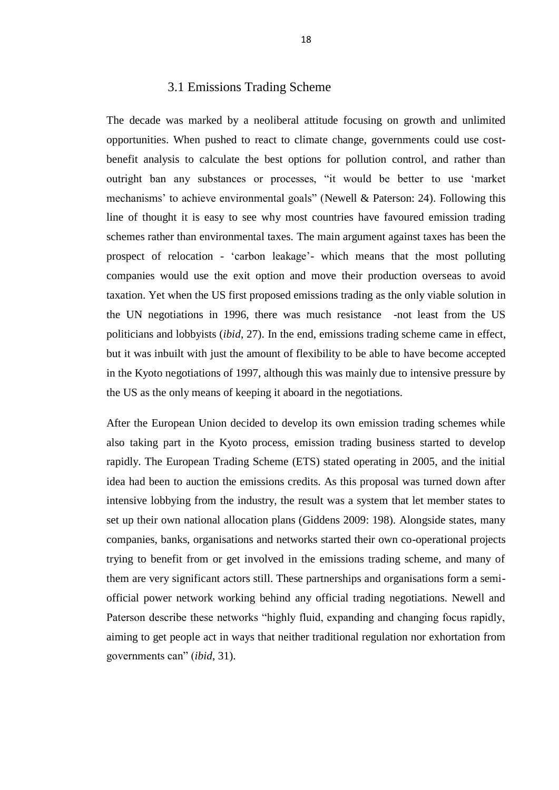#### 3.1 Emissions Trading Scheme

The decade was marked by a neoliberal attitude focusing on growth and unlimited opportunities. When pushed to react to climate change, governments could use costbenefit analysis to calculate the best options for pollution control, and rather than outright ban any substances or processes, "it would be better to use 'market mechanisms' to achieve environmental goals" (Newell & Paterson: 24). Following this line of thought it is easy to see why most countries have favoured emission trading schemes rather than environmental taxes. The main argument against taxes has been the prospect of relocation - 'carbon leakage'- which means that the most polluting companies would use the exit option and move their production overseas to avoid taxation. Yet when the US first proposed emissions trading as the only viable solution in the UN negotiations in 1996, there was much resistance -not least from the US politicians and lobbyists (*ibid*, 27). In the end, emissions trading scheme came in effect, but it was inbuilt with just the amount of flexibility to be able to have become accepted in the Kyoto negotiations of 1997, although this was mainly due to intensive pressure by the US as the only means of keeping it aboard in the negotiations.

After the European Union decided to develop its own emission trading schemes while also taking part in the Kyoto process, emission trading business started to develop rapidly. The European Trading Scheme (ETS) stated operating in 2005, and the initial idea had been to auction the emissions credits. As this proposal was turned down after intensive lobbying from the industry, the result was a system that let member states to set up their own national allocation plans (Giddens 2009: 198). Alongside states, many companies, banks, organisations and networks started their own co-operational projects trying to benefit from or get involved in the emissions trading scheme, and many of them are very significant actors still. These partnerships and organisations form a semiofficial power network working behind any official trading negotiations. Newell and Paterson describe these networks "highly fluid, expanding and changing focus rapidly, aiming to get people act in ways that neither traditional regulation nor exhortation from governments can" (*ibid*, 31).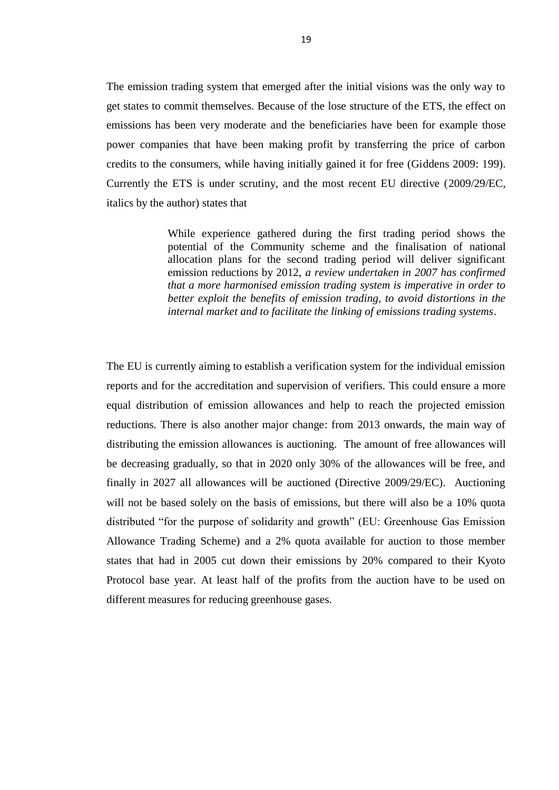The emission trading system that emerged after the initial visions was the only way to get states to commit themselves. Because of the lose structure of the ETS, the effect on emissions has been very moderate and the beneficiaries have been for example those power companies that have been making profit by transferring the price of carbon credits to the consumers, while having initially gained it for free (Giddens 2009: 199). Currently the ETS is under scrutiny, and the most recent EU directive (2009/29/EC, italics by the author) states that

> While experience gathered during the first trading period shows the potential of the Community scheme and the finalisation of national allocation plans for the second trading period will deliver significant emission reductions by 2012, *a review undertaken in 2007 has confirmed that a more harmonised emission trading system is imperative in order to better exploit the benefits of emission trading, to avoid distortions in the internal market and to facilitate the linking of emissions trading systems*.

The EU is currently aiming to establish a verification system for the individual emission reports and for the accreditation and supervision of verifiers. This could ensure a more equal distribution of emission allowances and help to reach the projected emission reductions. There is also another major change: from 2013 onwards, the main way of distributing the emission allowances is auctioning. The amount of free allowances will be decreasing gradually, so that in 2020 only 30% of the allowances will be free, and finally in 2027 all allowances will be auctioned (Directive 2009/29/EC). Auctioning will not be based solely on the basis of emissions, but there will also be a 10% quota distributed "for the purpose of solidarity and growth" (EU: Greenhouse Gas Emission Allowance Trading Scheme) and a 2% quota available for auction to those member states that had in 2005 cut down their emissions by 20% compared to their Kyoto Protocol base year. At least half of the profits from the auction have to be used on different measures for reducing greenhouse gases.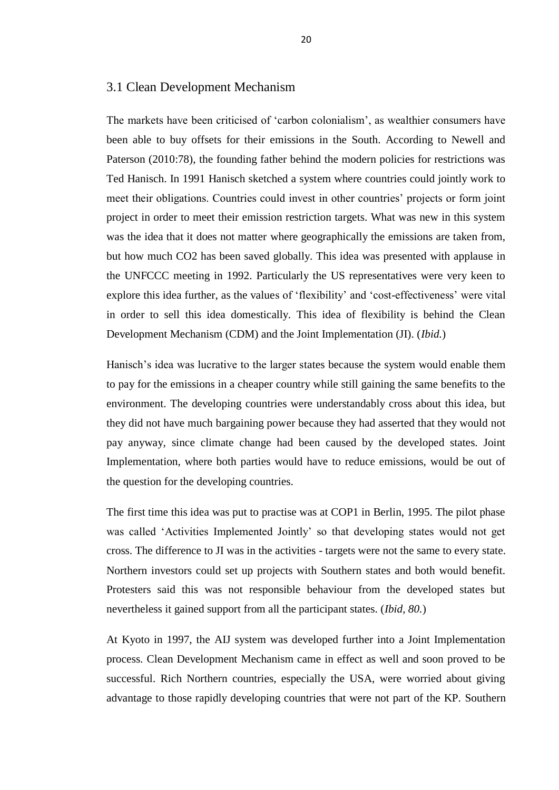#### 3.1 Clean Development Mechanism

The markets have been criticised of 'carbon colonialism', as wealthier consumers have been able to buy offsets for their emissions in the South. According to Newell and Paterson (2010:78), the founding father behind the modern policies for restrictions was Ted Hanisch. In 1991 Hanisch sketched a system where countries could jointly work to meet their obligations. Countries could invest in other countries' projects or form joint project in order to meet their emission restriction targets. What was new in this system was the idea that it does not matter where geographically the emissions are taken from, but how much CO2 has been saved globally. This idea was presented with applause in the UNFCCC meeting in 1992. Particularly the US representatives were very keen to explore this idea further, as the values of 'flexibility' and 'cost-effectiveness' were vital in order to sell this idea domestically. This idea of flexibility is behind the Clean Development Mechanism (CDM) and the Joint Implementation (JI). (*Ibid.*)

Hanisch's idea was lucrative to the larger states because the system would enable them to pay for the emissions in a cheaper country while still gaining the same benefits to the environment. The developing countries were understandably cross about this idea, but they did not have much bargaining power because they had asserted that they would not pay anyway, since climate change had been caused by the developed states. Joint Implementation, where both parties would have to reduce emissions, would be out of the question for the developing countries.

The first time this idea was put to practise was at COP1 in Berlin, 1995. The pilot phase was called 'Activities Implemented Jointly' so that developing states would not get cross. The difference to JI was in the activities - targets were not the same to every state. Northern investors could set up projects with Southern states and both would benefit. Protesters said this was not responsible behaviour from the developed states but nevertheless it gained support from all the participant states. (*Ibid, 80.*)

At Kyoto in 1997, the AIJ system was developed further into a Joint Implementation process. Clean Development Mechanism came in effect as well and soon proved to be successful. Rich Northern countries, especially the USA, were worried about giving advantage to those rapidly developing countries that were not part of the KP. Southern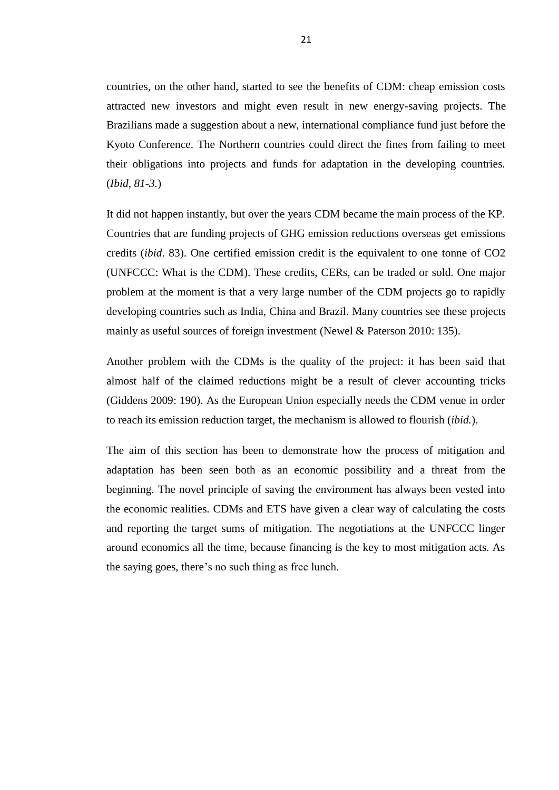countries, on the other hand, started to see the benefits of CDM: cheap emission costs attracted new investors and might even result in new energy-saving projects. The Brazilians made a suggestion about a new, international compliance fund just before the Kyoto Conference. The Northern countries could direct the fines from failing to meet their obligations into projects and funds for adaptation in the developing countries. (*Ibid, 81-3.*)

It did not happen instantly, but over the years CDM became the main process of the KP. Countries that are funding projects of GHG emission reductions overseas get emissions credits (*ibid*. 83). One certified emission credit is the equivalent to one tonne of CO2 (UNFCCC: What is the CDM). These credits, CERs, can be traded or sold. One major problem at the moment is that a very large number of the CDM projects go to rapidly developing countries such as India, China and Brazil. Many countries see these projects mainly as useful sources of foreign investment (Newel & Paterson 2010: 135).

Another problem with the CDMs is the quality of the project: it has been said that almost half of the claimed reductions might be a result of clever accounting tricks (Giddens 2009: 190). As the European Union especially needs the CDM venue in order to reach its emission reduction target, the mechanism is allowed to flourish (*ibid.*).

The aim of this section has been to demonstrate how the process of mitigation and adaptation has been seen both as an economic possibility and a threat from the beginning. The novel principle of saving the environment has always been vested into the economic realities. CDMs and ETS have given a clear way of calculating the costs and reporting the target sums of mitigation. The negotiations at the UNFCCC linger around economics all the time, because financing is the key to most mitigation acts. As the saying goes, there's no such thing as free lunch.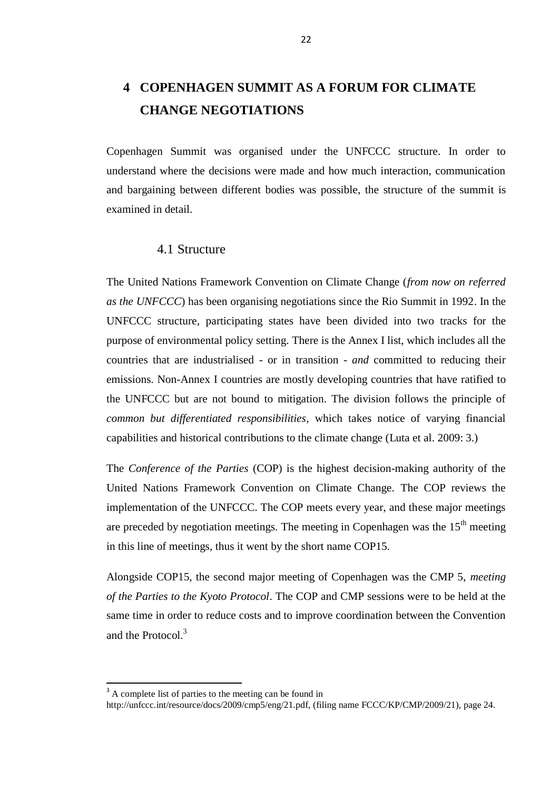# **4 COPENHAGEN SUMMIT AS A FORUM FOR CLIMATE CHANGE NEGOTIATIONS**

Copenhagen Summit was organised under the UNFCCC structure. In order to understand where the decisions were made and how much interaction, communication and bargaining between different bodies was possible, the structure of the summit is examined in detail.

#### 4.1 Structure

The United Nations Framework Convention on Climate Change (*from now on referred as the UNFCCC*) has been organising negotiations since the Rio Summit in 1992. In the UNFCCC structure, participating states have been divided into two tracks for the purpose of environmental policy setting. There is the Annex I list, which includes all the countries that are industrialised - or in transition - *and* committed to reducing their emissions. Non-Annex I countries are mostly developing countries that have ratified to the UNFCCC but are not bound to mitigation. The division follows the principle of *common but differentiated responsibilities*, which takes notice of varying financial capabilities and historical contributions to the climate change (Luta et al. 2009: 3.)

The *Conference of the Parties* (COP) is the highest decision-making authority of the United Nations Framework Convention on Climate Change. The COP reviews the implementation of the UNFCCC. The COP meets every year, and these major meetings are preceded by negotiation meetings. The meeting in Copenhagen was the  $15<sup>th</sup>$  meeting in this line of meetings, thus it went by the short name COP15.

Alongside COP15, the second major meeting of Copenhagen was the CMP 5, *meeting of the Parties to the Kyoto Protocol*. The COP and CMP sessions were to be held at the same time in order to reduce costs and to improve coordination between the Convention and the Protocol.<sup>3</sup>

l

<sup>&</sup>lt;sup>3</sup> A complete list of parties to the meeting can be found in

http://unfccc.int/resource/docs/2009/cmp5/eng/21.pdf, (filing name FCCC/KP/CMP/2009/21), page 24.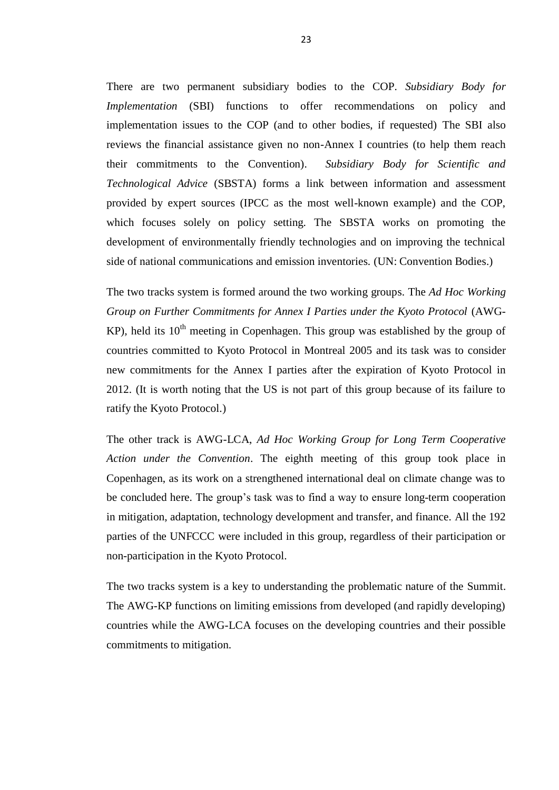There are two permanent subsidiary bodies to the COP. *Subsidiary Body for Implementation* (SBI) functions to offer recommendations on policy and implementation issues to the COP (and to other bodies, if requested) The SBI also reviews the financial assistance given no non-Annex I countries (to help them reach their commitments to the Convention). *Subsidiary Body for Scientific and Technological Advice* (SBSTA) forms a link between information and assessment provided by expert sources (IPCC as the most well-known example) and the COP, which focuses solely on policy setting. The SBSTA works on promoting the development of environmentally friendly technologies and on improving the technical side of national communications and emission inventories. (UN: Convention Bodies.)

The two tracks system is formed around the two working groups. The *Ad Hoc Working Group on Further Commitments for Annex I Parties under the Kyoto Protocol* (AWG-KP), held its  $10<sup>th</sup>$  meeting in Copenhagen. This group was established by the group of countries committed to Kyoto Protocol in Montreal 2005 and its task was to consider new commitments for the Annex I parties after the expiration of Kyoto Protocol in 2012. (It is worth noting that the US is not part of this group because of its failure to ratify the Kyoto Protocol.)

The other track is AWG-LCA, *Ad Hoc Working Group for Long Term Cooperative Action under the Convention*. The eighth meeting of this group took place in Copenhagen, as its work on a strengthened international deal on climate change was to be concluded here. The group's task was to find a way to ensure long-term cooperation in mitigation, adaptation, technology development and transfer, and finance. All the 192 parties of the UNFCCC were included in this group, regardless of their participation or non-participation in the Kyoto Protocol.

The two tracks system is a key to understanding the problematic nature of the Summit. The AWG-KP functions on limiting emissions from developed (and rapidly developing) countries while the AWG-LCA focuses on the developing countries and their possible commitments to mitigation.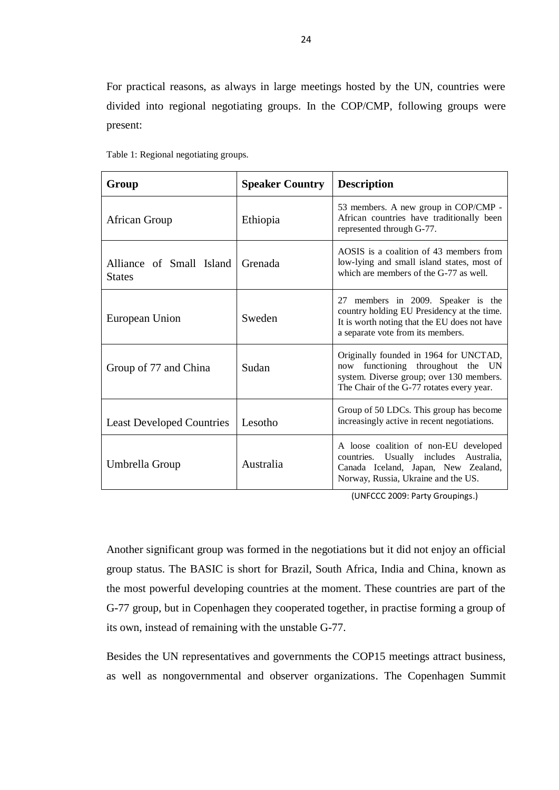For practical reasons, as always in large meetings hosted by the UN, countries were divided into regional negotiating groups. In the COP/CMP, following groups were present:

| Group                                     | <b>Speaker Country</b> | <b>Description</b>                                                                                                                                                      |
|-------------------------------------------|------------------------|-------------------------------------------------------------------------------------------------------------------------------------------------------------------------|
| African Group                             | Ethiopia               | 53 members. A new group in COP/CMP -<br>African countries have traditionally been<br>represented through G-77.                                                          |
| Alliance of Small Island<br><b>States</b> | Grenada                | AOSIS is a coalition of 43 members from<br>low-lying and small island states, most of<br>which are members of the G-77 as well.                                         |
| European Union                            | Sweden                 | 27 members in 2009. Speaker is the<br>country holding EU Presidency at the time.<br>It is worth noting that the EU does not have<br>a separate vote from its members.   |
| Group of 77 and China                     | Sudan                  | Originally founded in 1964 for UNCTAD,<br>functioning throughout the UN<br>now<br>system. Diverse group; over 130 members.<br>The Chair of the G-77 rotates every year. |
| <b>Least Developed Countries</b>          | Lesotho                | Group of 50 LDCs. This group has become<br>increasingly active in recent negotiations.                                                                                  |
| Umbrella Group                            | Australia              | A loose coalition of non-EU developed<br>countries. Usually includes<br>Australia.<br>Canada Iceland, Japan, New Zealand,<br>Norway, Russia, Ukraine and the US.        |

Table 1: Regional negotiating groups.

(UNFCCC 2009: Party Groupings.)

Another significant group was formed in the negotiations but it did not enjoy an official group status. The BASIC is short for Brazil, South Africa, India and China, known as the most powerful developing countries at the moment. These countries are part of the G-77 group, but in Copenhagen they cooperated together, in practise forming a group of its own, instead of remaining with the unstable G-77.

Besides the UN representatives and governments the COP15 meetings attract business, as well as nongovernmental and observer organizations. The Copenhagen Summit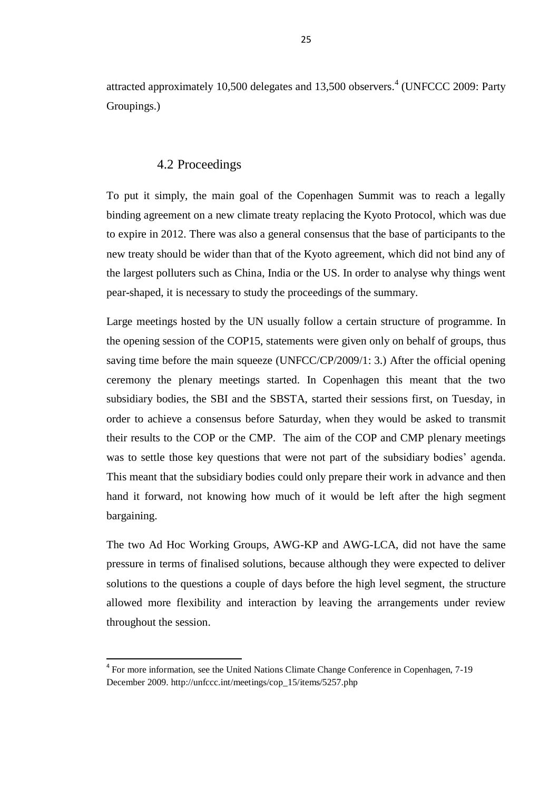attracted approximately 10,500 delegates and 13,500 observers. 4 (UNFCCC 2009: Party Groupings.)

#### 4.2 Proceedings

To put it simply, the main goal of the Copenhagen Summit was to reach a legally binding agreement on a new climate treaty replacing the Kyoto Protocol, which was due to expire in 2012. There was also a general consensus that the base of participants to the new treaty should be wider than that of the Kyoto agreement, which did not bind any of the largest polluters such as China, India or the US. In order to analyse why things went pear-shaped, it is necessary to study the proceedings of the summary.

Large meetings hosted by the UN usually follow a certain structure of programme. In the opening session of the COP15, statements were given only on behalf of groups, thus saving time before the main squeeze (UNFCC/CP/2009/1: 3.) After the official opening ceremony the plenary meetings started. In Copenhagen this meant that the two subsidiary bodies, the SBI and the SBSTA, started their sessions first, on Tuesday, in order to achieve a consensus before Saturday, when they would be asked to transmit their results to the COP or the CMP. The aim of the COP and CMP plenary meetings was to settle those key questions that were not part of the subsidiary bodies' agenda. This meant that the subsidiary bodies could only prepare their work in advance and then hand it forward, not knowing how much of it would be left after the high segment bargaining.

The two Ad Hoc Working Groups, AWG-KP and AWG-LCA, did not have the same pressure in terms of finalised solutions, because although they were expected to deliver solutions to the questions a couple of days before the high level segment, the structure allowed more flexibility and interaction by leaving the arrangements under review throughout the session.

 $\overline{a}$ 

<sup>&</sup>lt;sup>4</sup> For more information, see the United Nations Climate Change Conference in Copenhagen, 7-19 December 2009. http://unfccc.int/meetings/cop\_15/items/5257.php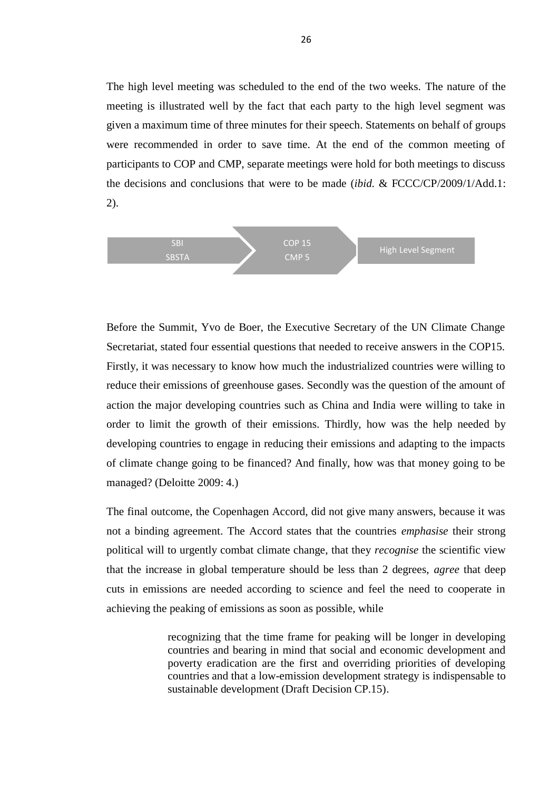The high level meeting was scheduled to the end of the two weeks. The nature of the meeting is illustrated well by the fact that each party to the high level segment was given a maximum time of three minutes for their speech. Statements on behalf of groups were recommended in order to save time. At the end of the common meeting of participants to COP and CMP, separate meetings were hold for both meetings to discuss the decisions and conclusions that were to be made (*ibid.* & FCCC/CP/2009/1/Add.1: 2).



Before the Summit, Yvo de Boer, the Executive Secretary of the UN Climate Change Secretariat, stated four essential questions that needed to receive answers in the COP15. Firstly, it was necessary to know how much the industrialized countries were willing to reduce their emissions of greenhouse gases. Secondly was the question of the amount of action the major developing countries such as China and India were willing to take in order to limit the growth of their emissions. Thirdly, how was the help needed by developing countries to engage in reducing their emissions and adapting to the impacts of climate change going to be financed? And finally, how was that money going to be managed? (Deloitte 2009: 4.)

The final outcome, the Copenhagen Accord, did not give many answers, because it was not a binding agreement. The Accord states that the countries *emphasise* their strong political will to urgently combat climate change, that they *recognise* the scientific view that the increase in global temperature should be less than 2 degrees, *agree* that deep cuts in emissions are needed according to science and feel the need to cooperate in achieving the peaking of emissions as soon as possible, while

> recognizing that the time frame for peaking will be longer in developing countries and bearing in mind that social and economic development and poverty eradication are the first and overriding priorities of developing countries and that a low-emission development strategy is indispensable to sustainable development (Draft Decision CP.15).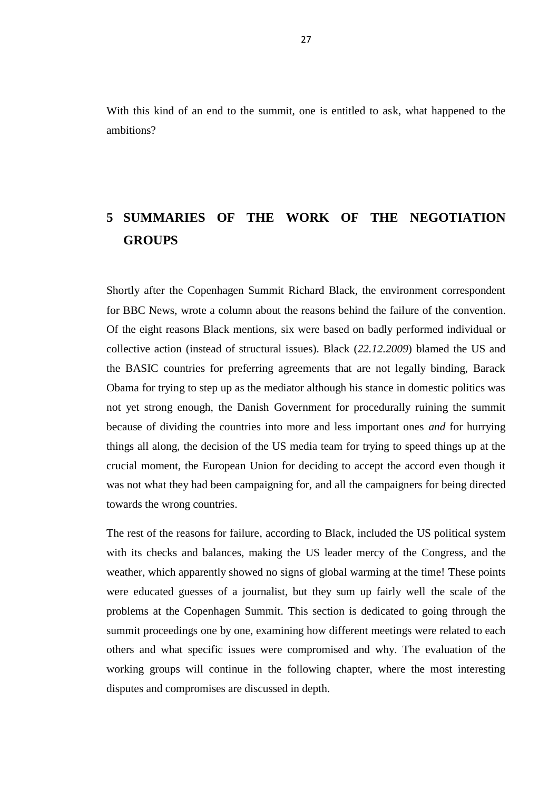With this kind of an end to the summit, one is entitled to ask, what happened to the ambitions?

## **5 SUMMARIES OF THE WORK OF THE NEGOTIATION GROUPS**

Shortly after the Copenhagen Summit Richard Black, the environment correspondent for BBC News, wrote a column about the reasons behind the failure of the convention. Of the eight reasons Black mentions, six were based on badly performed individual or collective action (instead of structural issues). Black (*22.12.2009*) blamed the US and the BASIC countries for preferring agreements that are not legally binding, Barack Obama for trying to step up as the mediator although his stance in domestic politics was not yet strong enough, the Danish Government for procedurally ruining the summit because of dividing the countries into more and less important ones *and* for hurrying things all along, the decision of the US media team for trying to speed things up at the crucial moment, the European Union for deciding to accept the accord even though it was not what they had been campaigning for, and all the campaigners for being directed towards the wrong countries.

The rest of the reasons for failure, according to Black, included the US political system with its checks and balances, making the US leader mercy of the Congress, and the weather, which apparently showed no signs of global warming at the time! These points were educated guesses of a journalist, but they sum up fairly well the scale of the problems at the Copenhagen Summit. This section is dedicated to going through the summit proceedings one by one, examining how different meetings were related to each others and what specific issues were compromised and why. The evaluation of the working groups will continue in the following chapter, where the most interesting disputes and compromises are discussed in depth.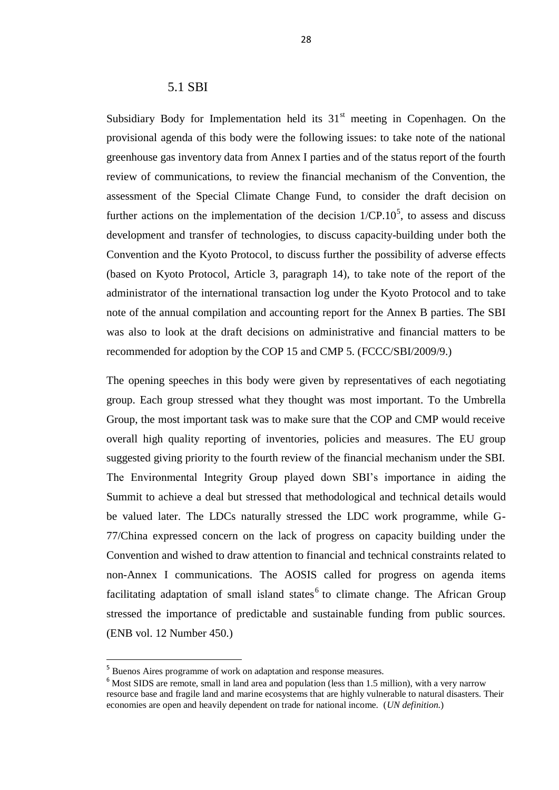#### 5.1 SBI

Subsidiary Body for Implementation held its  $31<sup>st</sup>$  meeting in Copenhagen. On the provisional agenda of this body were the following issues: to take note of the national greenhouse gas inventory data from Annex I parties and of the status report of the fourth review of communications, to review the financial mechanism of the Convention, the assessment of the Special Climate Change Fund, to consider the draft decision on further actions on the implementation of the decision  $1/CP.10<sup>5</sup>$ , to assess and discuss development and transfer of technologies, to discuss capacity-building under both the Convention and the Kyoto Protocol, to discuss further the possibility of adverse effects (based on Kyoto Protocol, Article 3, paragraph 14), to take note of the report of the administrator of the international transaction log under the Kyoto Protocol and to take note of the annual compilation and accounting report for the Annex B parties. The SBI was also to look at the draft decisions on administrative and financial matters to be recommended for adoption by the COP 15 and CMP 5. (FCCC/SBI/2009/9.)

The opening speeches in this body were given by representatives of each negotiating group. Each group stressed what they thought was most important. To the Umbrella Group, the most important task was to make sure that the COP and CMP would receive overall high quality reporting of inventories, policies and measures. The EU group suggested giving priority to the fourth review of the financial mechanism under the SBI. The Environmental Integrity Group played down SBI's importance in aiding the Summit to achieve a deal but stressed that methodological and technical details would be valued later. The LDCs naturally stressed the LDC work programme, while G-77/China expressed concern on the lack of progress on capacity building under the Convention and wished to draw attention to financial and technical constraints related to non-Annex I communications. The AOSIS called for progress on agenda items facilitating adaptation of small island states  $6$  to climate change. The African Group stressed the importance of predictable and sustainable funding from public sources. (ENB vol. 12 Number 450.)

 $\overline{a}$ 

<sup>5</sup> Buenos Aires programme of work on adaptation and response measures.

<sup>&</sup>lt;sup>6</sup> Most SIDS are remote, small in land area and population (less than 1.5 million), with a very narrow resource base and fragile land and marine ecosystems that are highly vulnerable to natural disasters. Their economies are open and heavily dependent on trade for national income. (*UN definition*.)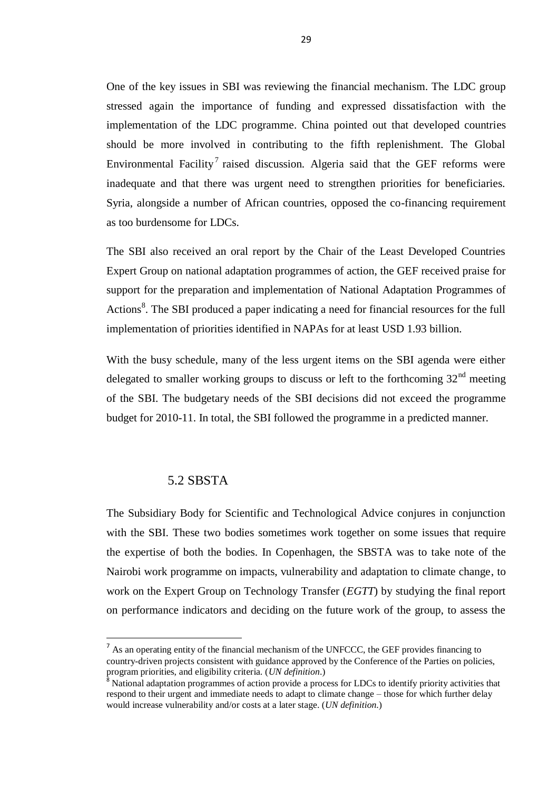One of the key issues in SBI was reviewing the financial mechanism. The LDC group stressed again the importance of funding and expressed dissatisfaction with the implementation of the LDC programme. China pointed out that developed countries should be more involved in contributing to the fifth replenishment. The Global Environmental Facility<sup>7</sup> raised discussion. Algeria said that the GEF reforms were inadequate and that there was urgent need to strengthen priorities for beneficiaries. Syria, alongside a number of African countries, opposed the co-financing requirement as too burdensome for LDCs.

The SBI also received an oral report by the Chair of the Least Developed Countries Expert Group on national adaptation programmes of action, the GEF received praise for support for the preparation and implementation of National Adaptation Programmes of Actions<sup>8</sup>. The SBI produced a paper indicating a need for financial resources for the full implementation of priorities identified in NAPAs for at least USD 1.93 billion.

With the busy schedule, many of the less urgent items on the SBI agenda were either delegated to smaller working groups to discuss or left to the forthcoming  $32<sup>nd</sup>$  meeting of the SBI. The budgetary needs of the SBI decisions did not exceed the programme budget for 2010-11. In total, the SBI followed the programme in a predicted manner.

#### 5.2 SBSTA

l

The Subsidiary Body for Scientific and Technological Advice conjures in conjunction with the SBI. These two bodies sometimes work together on some issues that require the expertise of both the bodies. In Copenhagen, the SBSTA was to take note of the Nairobi work programme on impacts, vulnerability and adaptation to climate change, to work on the Expert Group on Technology Transfer (*EGTT*) by studying the final report on performance indicators and deciding on the future work of the group, to assess the

<sup>&</sup>lt;sup>7</sup> As an operating entity of the financial mechanism of the UNFCCC, the GEF provides financing to country-driven projects consistent with guidance approved by the Conference of the Parties on policies, program priorities, and eligibility criteria. (*UN definition*.)<sup>8</sup>

National adaptation programmes of action provide a process for LDCs to identify priority activities that respond to their urgent and immediate needs to adapt to climate change – those for which further delay would increase vulnerability and/or costs at a later stage. (*UN definition*.)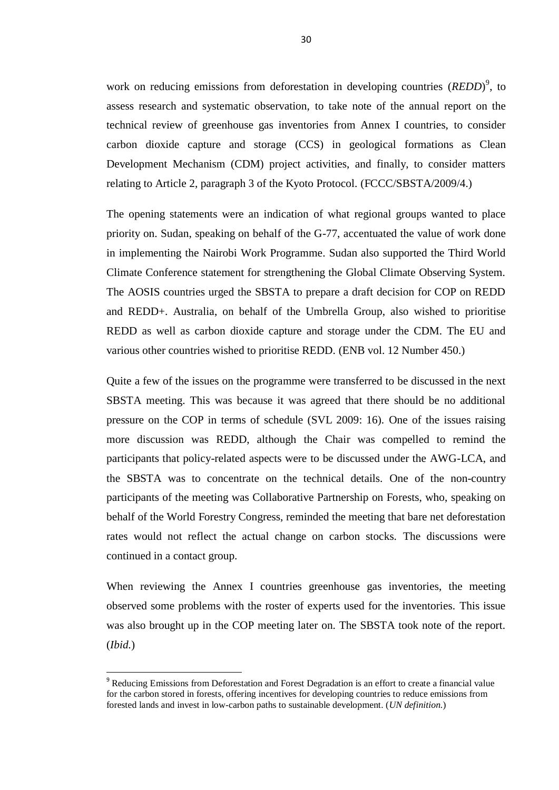work on reducing emissions from deforestation in developing countries (*REDD*)<sup>9</sup>, to assess research and systematic observation, to take note of the annual report on the technical review of greenhouse gas inventories from Annex I countries, to consider carbon dioxide capture and storage (CCS) in geological formations as Clean Development Mechanism (CDM) project activities, and finally, to consider matters relating to Article 2, paragraph 3 of the Kyoto Protocol. (FCCC/SBSTA/2009/4.)

The opening statements were an indication of what regional groups wanted to place priority on. Sudan, speaking on behalf of the G-77, accentuated the value of work done in implementing the Nairobi Work Programme. Sudan also supported the Third World Climate Conference statement for strengthening the Global Climate Observing System. The AOSIS countries urged the SBSTA to prepare a draft decision for COP on REDD and REDD+. Australia, on behalf of the Umbrella Group, also wished to prioritise REDD as well as carbon dioxide capture and storage under the CDM. The EU and various other countries wished to prioritise REDD. (ENB vol. 12 Number 450.)

Quite a few of the issues on the programme were transferred to be discussed in the next SBSTA meeting. This was because it was agreed that there should be no additional pressure on the COP in terms of schedule (SVL 2009: 16). One of the issues raising more discussion was REDD, although the Chair was compelled to remind the participants that policy-related aspects were to be discussed under the AWG-LCA, and the SBSTA was to concentrate on the technical details. One of the non-country participants of the meeting was Collaborative Partnership on Forests, who, speaking on behalf of the World Forestry Congress, reminded the meeting that bare net deforestation rates would not reflect the actual change on carbon stocks. The discussions were continued in a contact group.

When reviewing the Annex I countries greenhouse gas inventories, the meeting observed some problems with the roster of experts used for the inventories. This issue was also brought up in the COP meeting later on. The SBSTA took note of the report. (*Ibid.*)

l

<sup>9</sup> Reducing Emissions from Deforestation and Forest Degradation is an effort to create a financial value for the carbon stored in forests, offering incentives for developing countries to reduce emissions from forested lands and invest in low-carbon paths to sustainable development. (*UN definition*.)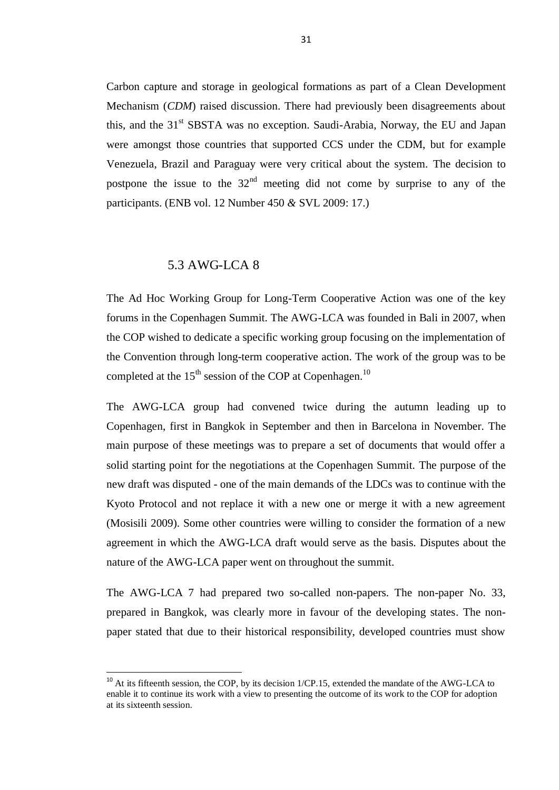Carbon capture and storage in geological formations as part of a Clean Development Mechanism (*CDM*) raised discussion. There had previously been disagreements about this, and the 31<sup>st</sup> SBSTA was no exception. Saudi-Arabia, Norway, the EU and Japan were amongst those countries that supported CCS under the CDM, but for example Venezuela, Brazil and Paraguay were very critical about the system. The decision to postpone the issue to the  $32<sup>nd</sup>$  meeting did not come by surprise to any of the participants. (ENB vol. 12 Number 450 *&* SVL 2009: 17.)

#### 5.3 AWG-LCA 8

l

The Ad Hoc Working Group for Long-Term Cooperative Action was one of the key forums in the Copenhagen Summit. The AWG-LCA was founded in Bali in 2007, when the COP wished to dedicate a specific working group focusing on the implementation of the Convention through long-term cooperative action. The work of the group was to be completed at the  $15<sup>th</sup>$  session of the COP at Copenhagen.<sup>10</sup>

The AWG-LCA group had convened twice during the autumn leading up to Copenhagen, first in Bangkok in September and then in Barcelona in November. The main purpose of these meetings was to prepare a set of documents that would offer a solid starting point for the negotiations at the Copenhagen Summit. The purpose of the new draft was disputed - one of the main demands of the LDCs was to continue with the Kyoto Protocol and not replace it with a new one or merge it with a new agreement (Mosisili 2009). Some other countries were willing to consider the formation of a new agreement in which the AWG-LCA draft would serve as the basis. Disputes about the nature of the AWG-LCA paper went on throughout the summit.

The AWG-LCA 7 had prepared two so-called non-papers. The non-paper No. 33, prepared in Bangkok, was clearly more in favour of the developing states. The nonpaper stated that due to their historical responsibility, developed countries must show

 $10<sup>10</sup>$  At its fifteenth session, the COP, by its decision 1/CP.15, extended the mandate of the AWG-LCA to enable it to continue its work with a view to presenting the outcome of its work to the COP for adoption at its sixteenth session.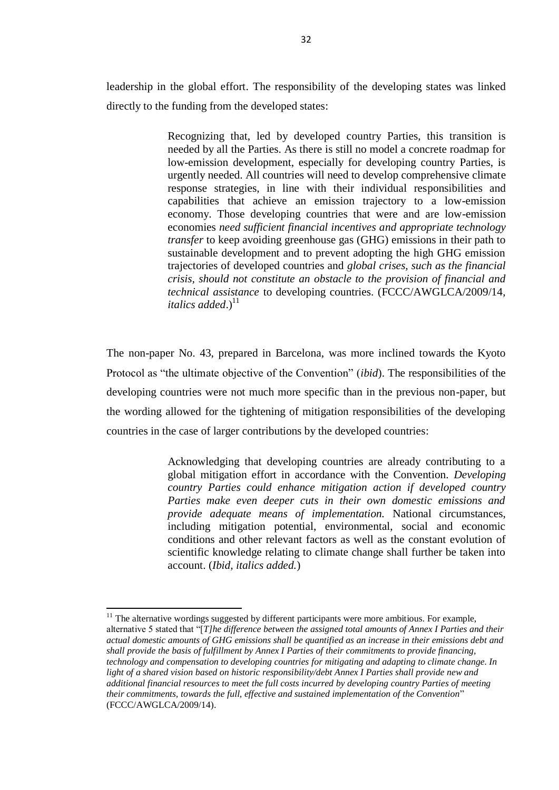leadership in the global effort. The responsibility of the developing states was linked directly to the funding from the developed states:

> Recognizing that, led by developed country Parties, this transition is needed by all the Parties. As there is still no model a concrete roadmap for low-emission development, especially for developing country Parties, is urgently needed. All countries will need to develop comprehensive climate response strategies, in line with their individual responsibilities and capabilities that achieve an emission trajectory to a low-emission economy. Those developing countries that were and are low-emission economies *need sufficient financial incentives and appropriate technology transfer* to keep avoiding greenhouse gas (GHG) emissions in their path to sustainable development and to prevent adopting the high GHG emission trajectories of developed countries and *global crises, such as the financial crisis, should not constitute an obstacle to the provision of financial and technical assistance* to developing countries. (FCCC/AWGLCA/2009/14, italics added.)<sup>11</sup>

The non-paper No. 43, prepared in Barcelona, was more inclined towards the Kyoto Protocol as "the ultimate objective of the Convention" (*ibid*). The responsibilities of the developing countries were not much more specific than in the previous non-paper, but the wording allowed for the tightening of mitigation responsibilities of the developing countries in the case of larger contributions by the developed countries:

> Acknowledging that developing countries are already contributing to a global mitigation effort in accordance with the Convention. *Developing country Parties could enhance mitigation action if developed country Parties make even deeper cuts in their own domestic emissions and provide adequate means of implementation.* National circumstances, including mitigation potential, environmental, social and economic conditions and other relevant factors as well as the constant evolution of scientific knowledge relating to climate change shall further be taken into account. (*Ibid, italics added.*)

 $\overline{a}$  $11$  The alternative wordings suggested by different participants were more ambitious. For example, alternative 5 stated that "[*T]he difference between the assigned total amounts of Annex I Parties and their actual domestic amounts of GHG emissions shall be quantified as an increase in their emissions debt and shall provide the basis of fulfillment by Annex I Parties of their commitments to provide financing, technology and compensation to developing countries for mitigating and adapting to climate change. In light of a shared vision based on historic responsibility/debt Annex I Parties shall provide new and additional financial resources to meet the full costs incurred by developing country Parties of meeting their commitments, towards the full, effective and sustained implementation of the Convention*" (FCCC/AWGLCA/2009/14).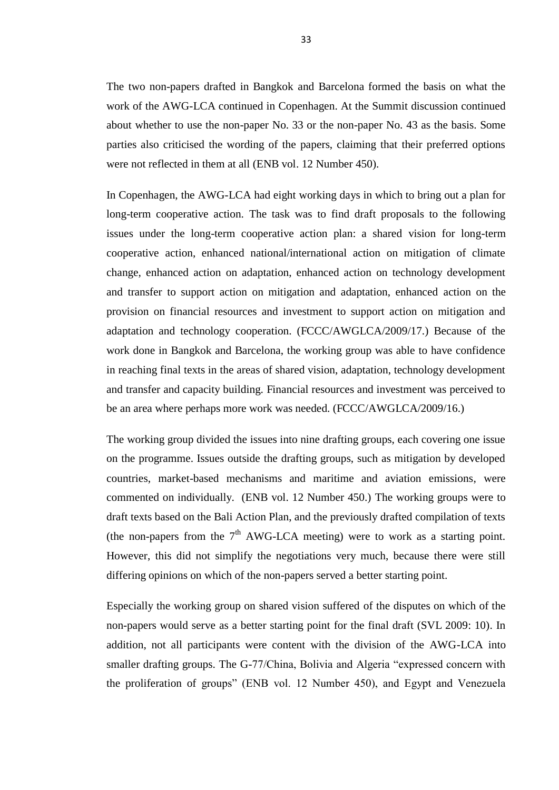The two non-papers drafted in Bangkok and Barcelona formed the basis on what the work of the AWG-LCA continued in Copenhagen. At the Summit discussion continued about whether to use the non-paper No. 33 or the non-paper No. 43 as the basis. Some parties also criticised the wording of the papers, claiming that their preferred options were not reflected in them at all (ENB vol. 12 Number 450).

In Copenhagen, the AWG-LCA had eight working days in which to bring out a plan for long-term cooperative action. The task was to find draft proposals to the following issues under the long-term cooperative action plan: a shared vision for long-term cooperative action, enhanced national/international action on mitigation of climate change, enhanced action on adaptation, enhanced action on technology development and transfer to support action on mitigation and adaptation, enhanced action on the provision on financial resources and investment to support action on mitigation and adaptation and technology cooperation. (FCCC/AWGLCA/2009/17.) Because of the work done in Bangkok and Barcelona, the working group was able to have confidence in reaching final texts in the areas of shared vision, adaptation, technology development and transfer and capacity building. Financial resources and investment was perceived to be an area where perhaps more work was needed. (FCCC/AWGLCA/2009/16.)

The working group divided the issues into nine drafting groups, each covering one issue on the programme. Issues outside the drafting groups, such as mitigation by developed countries, market-based mechanisms and maritime and aviation emissions, were commented on individually. (ENB vol. 12 Number 450.) The working groups were to draft texts based on the Bali Action Plan, and the previously drafted compilation of texts (the non-papers from the  $7<sup>th</sup>$  AWG-LCA meeting) were to work as a starting point. However, this did not simplify the negotiations very much, because there were still differing opinions on which of the non-papers served a better starting point.

Especially the working group on shared vision suffered of the disputes on which of the non-papers would serve as a better starting point for the final draft (SVL 2009: 10). In addition, not all participants were content with the division of the AWG-LCA into smaller drafting groups. The G-77/China, Bolivia and Algeria "expressed concern with the proliferation of groups" (ENB vol. 12 Number 450), and Egypt and Venezuela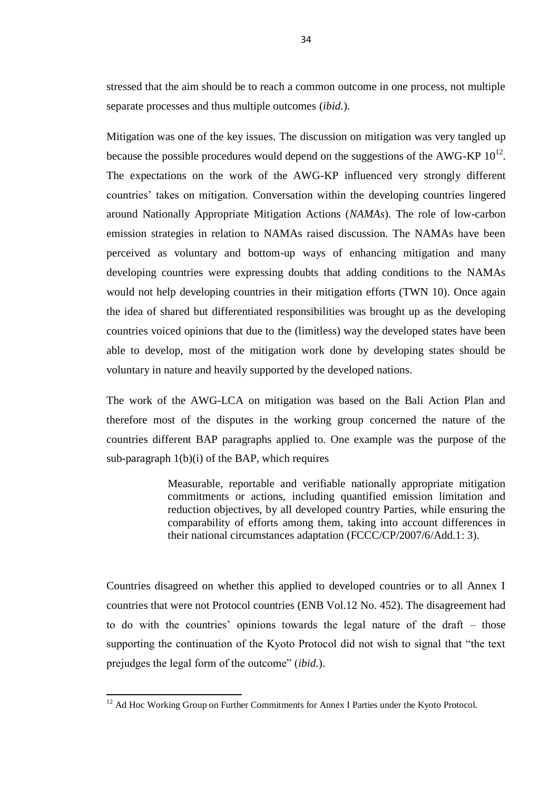stressed that the aim should be to reach a common outcome in one process, not multiple separate processes and thus multiple outcomes (*ibid.*).

Mitigation was one of the key issues. The discussion on mitigation was very tangled up because the possible procedures would depend on the suggestions of the AWG-KP  $10^{12}$ . The expectations on the work of the AWG-KP influenced very strongly different countries' takes on mitigation. Conversation within the developing countries lingered around Nationally Appropriate Mitigation Actions (*NAMAs*). The role of low-carbon emission strategies in relation to NAMAs raised discussion. The NAMAs have been perceived as voluntary and bottom-up ways of enhancing mitigation and many developing countries were expressing doubts that adding conditions to the NAMAs would not help developing countries in their mitigation efforts (TWN 10). Once again the idea of shared but differentiated responsibilities was brought up as the developing countries voiced opinions that due to the (limitless) way the developed states have been able to develop, most of the mitigation work done by developing states should be voluntary in nature and heavily supported by the developed nations.

The work of the AWG-LCA on mitigation was based on the Bali Action Plan and therefore most of the disputes in the working group concerned the nature of the countries different BAP paragraphs applied to. One example was the purpose of the sub-paragraph  $1(b)(i)$  of the BAP, which requires

> Measurable, reportable and verifiable nationally appropriate mitigation commitments or actions, including quantified emission limitation and reduction objectives, by all developed country Parties, while ensuring the comparability of efforts among them, taking into account differences in their national circumstances adaptation (FCCC/CP/2007/6/Add.1: 3).

Countries disagreed on whether this applied to developed countries or to all Annex I countries that were not Protocol countries (ENB Vol.12 No. 452). The disagreement had to do with the countries' opinions towards the legal nature of the draft – those supporting the continuation of the Kyoto Protocol did not wish to signal that "the text prejudges the legal form of the outcome" (*ibid.*).

 $\overline{a}$ 

 $12$  Ad Hoc Working Group on Further Commitments for Annex I Parties under the Kyoto Protocol.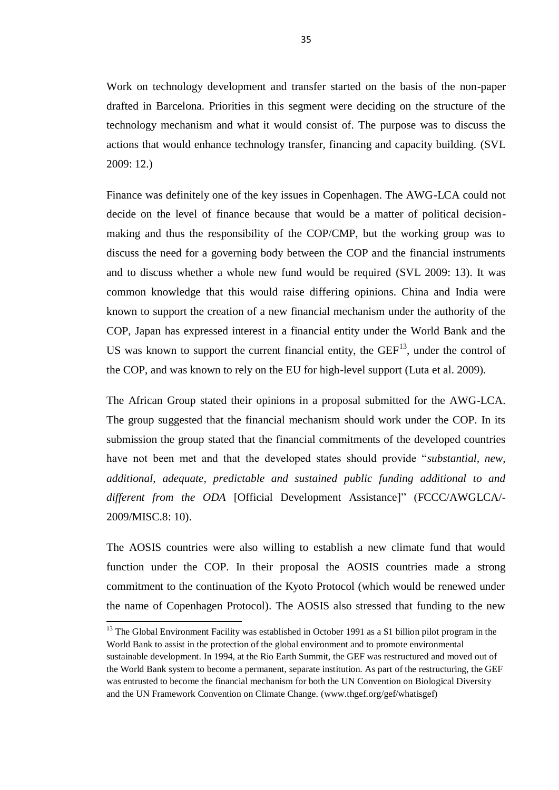Work on technology development and transfer started on the basis of the non-paper drafted in Barcelona. Priorities in this segment were deciding on the structure of the technology mechanism and what it would consist of. The purpose was to discuss the actions that would enhance technology transfer, financing and capacity building. (SVL 2009: 12.)

Finance was definitely one of the key issues in Copenhagen. The AWG-LCA could not decide on the level of finance because that would be a matter of political decisionmaking and thus the responsibility of the COP/CMP, but the working group was to discuss the need for a governing body between the COP and the financial instruments and to discuss whether a whole new fund would be required (SVL 2009: 13). It was common knowledge that this would raise differing opinions. China and India were known to support the creation of a new financial mechanism under the authority of the COP, Japan has expressed interest in a financial entity under the World Bank and the US was known to support the current financial entity, the  $GEF<sup>13</sup>$ , under the control of the COP, and was known to rely on the EU for high-level support (Luta et al. 2009).

The African Group stated their opinions in a proposal submitted for the AWG-LCA. The group suggested that the financial mechanism should work under the COP. In its submission the group stated that the financial commitments of the developed countries have not been met and that the developed states should provide "*substantial, new, additional, adequate, predictable and sustained public funding additional to and different from the ODA* [Official Development Assistance]" (FCCC/AWGLCA/- 2009/MISC.8: 10).

The AOSIS countries were also willing to establish a new climate fund that would function under the COP. In their proposal the AOSIS countries made a strong commitment to the continuation of the Kyoto Protocol (which would be renewed under the name of Copenhagen Protocol). The AOSIS also stressed that funding to the new

 $\overline{a}$ 

<sup>&</sup>lt;sup>13</sup> The Global Environment Facility was established in October 1991 as a \$1 billion pilot program in the World Bank to assist in the protection of the global environment and to promote environmental sustainable development. In 1994, at the Rio Earth Summit, the GEF was restructured and moved out of the World Bank system to become a permanent, separate institution. As part of the restructuring, the GEF was entrusted to become the financial mechanism for both the UN Convention on Biological Diversity and the UN Framework Convention on Climate Change. (www.thgef.org/gef/whatisgef)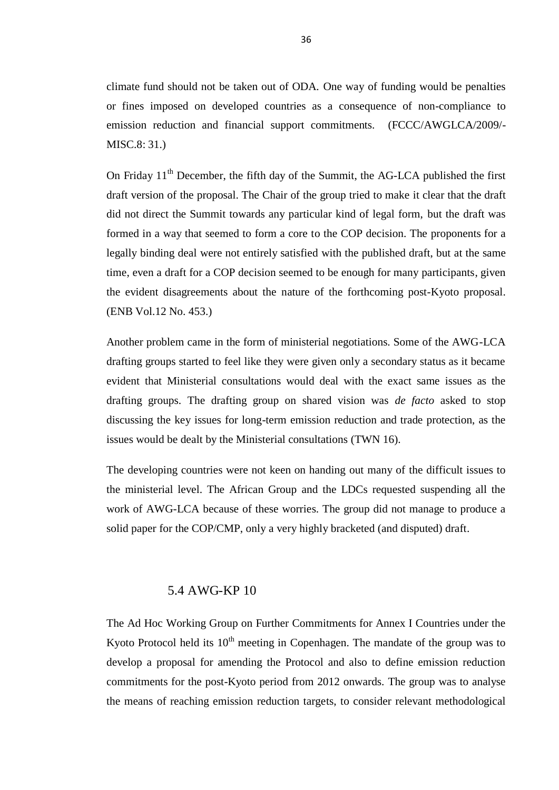climate fund should not be taken out of ODA. One way of funding would be penalties or fines imposed on developed countries as a consequence of non-compliance to emission reduction and financial support commitments. (FCCC/AWGLCA/2009/- MISC.8: 31.)

On Friday  $11<sup>th</sup>$  December, the fifth day of the Summit, the AG-LCA published the first draft version of the proposal. The Chair of the group tried to make it clear that the draft did not direct the Summit towards any particular kind of legal form, but the draft was formed in a way that seemed to form a core to the COP decision. The proponents for a legally binding deal were not entirely satisfied with the published draft, but at the same time, even a draft for a COP decision seemed to be enough for many participants, given the evident disagreements about the nature of the forthcoming post-Kyoto proposal. (ENB Vol.12 No. 453.)

Another problem came in the form of ministerial negotiations. Some of the AWG-LCA drafting groups started to feel like they were given only a secondary status as it became evident that Ministerial consultations would deal with the exact same issues as the drafting groups. The drafting group on shared vision was *de facto* asked to stop discussing the key issues for long-term emission reduction and trade protection, as the issues would be dealt by the Ministerial consultations (TWN 16).

The developing countries were not keen on handing out many of the difficult issues to the ministerial level. The African Group and the LDCs requested suspending all the work of AWG-LCA because of these worries. The group did not manage to produce a solid paper for the COP/CMP, only a very highly bracketed (and disputed) draft.

### 5.4 AWG-KP 10

The Ad Hoc Working Group on Further Commitments for Annex I Countries under the Kyoto Protocol held its  $10<sup>th</sup>$  meeting in Copenhagen. The mandate of the group was to develop a proposal for amending the Protocol and also to define emission reduction commitments for the post-Kyoto period from 2012 onwards. The group was to analyse the means of reaching emission reduction targets, to consider relevant methodological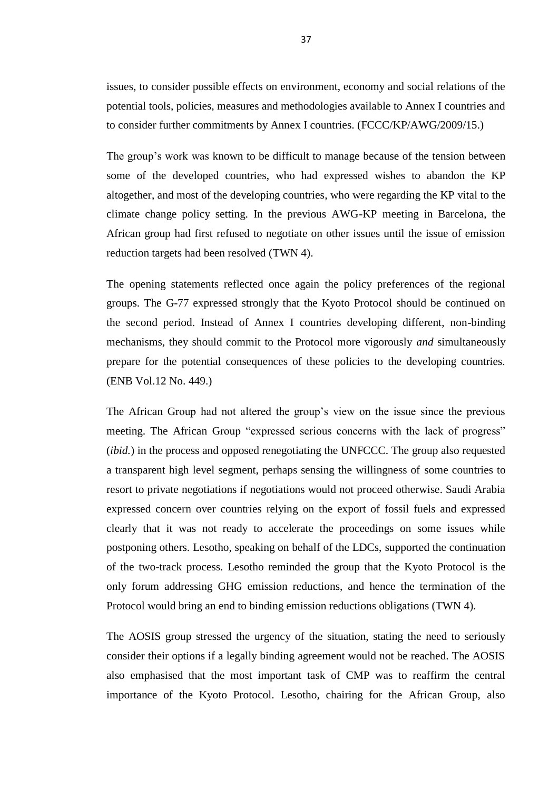issues, to consider possible effects on environment, economy and social relations of the potential tools, policies, measures and methodologies available to Annex I countries and to consider further commitments by Annex I countries. (FCCC/KP/AWG/2009/15.)

The group's work was known to be difficult to manage because of the tension between some of the developed countries, who had expressed wishes to abandon the KP altogether, and most of the developing countries, who were regarding the KP vital to the climate change policy setting. In the previous AWG-KP meeting in Barcelona, the African group had first refused to negotiate on other issues until the issue of emission reduction targets had been resolved (TWN 4).

The opening statements reflected once again the policy preferences of the regional groups. The G-77 expressed strongly that the Kyoto Protocol should be continued on the second period. Instead of Annex I countries developing different, non-binding mechanisms, they should commit to the Protocol more vigorously *and* simultaneously prepare for the potential consequences of these policies to the developing countries. (ENB Vol.12 No. 449.)

The African Group had not altered the group's view on the issue since the previous meeting. The African Group "expressed serious concerns with the lack of progress" (*ibid.*) in the process and opposed renegotiating the UNFCCC. The group also requested a transparent high level segment, perhaps sensing the willingness of some countries to resort to private negotiations if negotiations would not proceed otherwise. Saudi Arabia expressed concern over countries relying on the export of fossil fuels and expressed clearly that it was not ready to accelerate the proceedings on some issues while postponing others. Lesotho, speaking on behalf of the LDCs, supported the continuation of the two-track process. Lesotho reminded the group that the Kyoto Protocol is the only forum addressing GHG emission reductions, and hence the termination of the Protocol would bring an end to binding emission reductions obligations (TWN 4).

The AOSIS group stressed the urgency of the situation, stating the need to seriously consider their options if a legally binding agreement would not be reached. The AOSIS also emphasised that the most important task of CMP was to reaffirm the central importance of the Kyoto Protocol. Lesotho, chairing for the African Group, also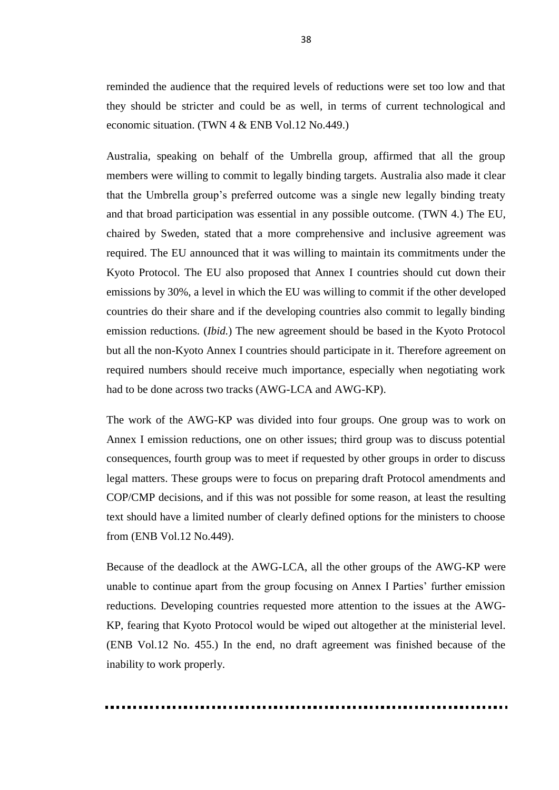reminded the audience that the required levels of reductions were set too low and that they should be stricter and could be as well, in terms of current technological and economic situation. (TWN 4 & ENB Vol.12 No.449.)

Australia, speaking on behalf of the Umbrella group, affirmed that all the group members were willing to commit to legally binding targets. Australia also made it clear that the Umbrella group's preferred outcome was a single new legally binding treaty and that broad participation was essential in any possible outcome. (TWN 4.) The EU, chaired by Sweden, stated that a more comprehensive and inclusive agreement was required. The EU announced that it was willing to maintain its commitments under the Kyoto Protocol. The EU also proposed that Annex I countries should cut down their emissions by 30%, a level in which the EU was willing to commit if the other developed countries do their share and if the developing countries also commit to legally binding emission reductions. (*Ibid.*) The new agreement should be based in the Kyoto Protocol but all the non-Kyoto Annex I countries should participate in it. Therefore agreement on required numbers should receive much importance, especially when negotiating work had to be done across two tracks (AWG-LCA and AWG-KP).

The work of the AWG-KP was divided into four groups. One group was to work on Annex I emission reductions, one on other issues; third group was to discuss potential consequences, fourth group was to meet if requested by other groups in order to discuss legal matters. These groups were to focus on preparing draft Protocol amendments and COP/CMP decisions, and if this was not possible for some reason, at least the resulting text should have a limited number of clearly defined options for the ministers to choose from (ENB Vol.12 No.449).

Because of the deadlock at the AWG-LCA, all the other groups of the AWG-KP were unable to continue apart from the group focusing on Annex I Parties' further emission reductions. Developing countries requested more attention to the issues at the AWG-KP, fearing that Kyoto Protocol would be wiped out altogether at the ministerial level. (ENB Vol.12 No. 455.) In the end, no draft agreement was finished because of the inability to work properly.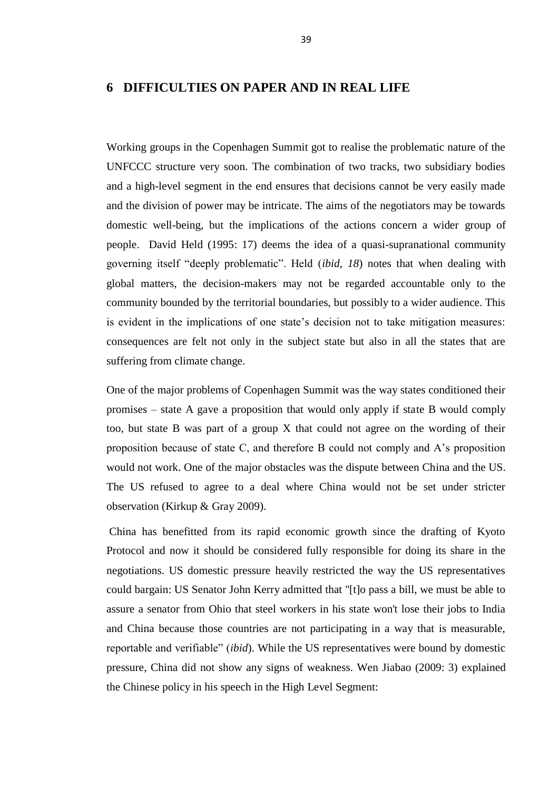### **6 DIFFICULTIES ON PAPER AND IN REAL LIFE**

Working groups in the Copenhagen Summit got to realise the problematic nature of the UNFCCC structure very soon. The combination of two tracks, two subsidiary bodies and a high-level segment in the end ensures that decisions cannot be very easily made and the division of power may be intricate. The aims of the negotiators may be towards domestic well-being, but the implications of the actions concern a wider group of people. David Held (1995: 17) deems the idea of a quasi-supranational community governing itself "deeply problematic". Held (*ibid, 18*) notes that when dealing with global matters, the decision-makers may not be regarded accountable only to the community bounded by the territorial boundaries, but possibly to a wider audience. This is evident in the implications of one state's decision not to take mitigation measures: consequences are felt not only in the subject state but also in all the states that are suffering from climate change.

One of the major problems of Copenhagen Summit was the way states conditioned their promises – state A gave a proposition that would only apply if state B would comply too, but state B was part of a group X that could not agree on the wording of their proposition because of state C, and therefore B could not comply and A's proposition would not work. One of the major obstacles was the dispute between China and the US. The US refused to agree to a deal where China would not be set under stricter observation (Kirkup & Gray 2009).

China has benefitted from its rapid economic growth since the drafting of Kyoto Protocol and now it should be considered fully responsible for doing its share in the negotiations. US domestic pressure heavily restricted the way the US representatives could bargain: US Senator John Kerry admitted that "[t]o pass a bill, we must be able to assure a senator from Ohio that steel workers in his state won't lose their jobs to India and China because those countries are not participating in a way that is measurable, reportable and verifiable" (*ibid*). While the US representatives were bound by domestic pressure, China did not show any signs of weakness. Wen Jiabao (2009: 3) explained the Chinese policy in his speech in the High Level Segment: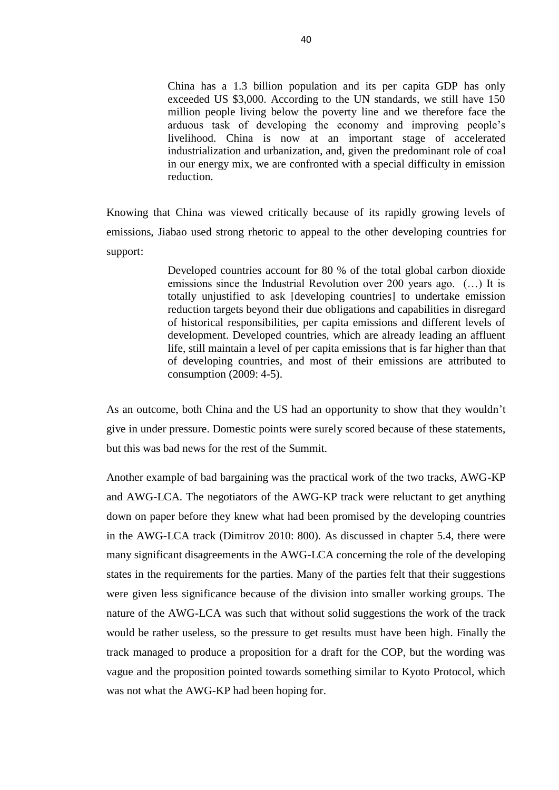China has a 1.3 billion population and its per capita GDP has only exceeded US \$3,000. According to the UN standards, we still have 150 million people living below the poverty line and we therefore face the arduous task of developing the economy and improving people's livelihood. China is now at an important stage of accelerated industrialization and urbanization, and, given the predominant role of coal in our energy mix, we are confronted with a special difficulty in emission reduction.

Knowing that China was viewed critically because of its rapidly growing levels of emissions, Jiabao used strong rhetoric to appeal to the other developing countries for support:

> Developed countries account for 80 % of the total global carbon dioxide emissions since the Industrial Revolution over 200 years ago. (…) It is totally unjustified to ask [developing countries] to undertake emission reduction targets beyond their due obligations and capabilities in disregard of historical responsibilities, per capita emissions and different levels of development. Developed countries, which are already leading an affluent life, still maintain a level of per capita emissions that is far higher than that of developing countries, and most of their emissions are attributed to consumption (2009: 4-5).

As an outcome, both China and the US had an opportunity to show that they wouldn't give in under pressure. Domestic points were surely scored because of these statements, but this was bad news for the rest of the Summit.

Another example of bad bargaining was the practical work of the two tracks, AWG-KP and AWG-LCA. The negotiators of the AWG-KP track were reluctant to get anything down on paper before they knew what had been promised by the developing countries in the AWG-LCA track (Dimitrov 2010: 800). As discussed in chapter 5.4, there were many significant disagreements in the AWG-LCA concerning the role of the developing states in the requirements for the parties. Many of the parties felt that their suggestions were given less significance because of the division into smaller working groups. The nature of the AWG-LCA was such that without solid suggestions the work of the track would be rather useless, so the pressure to get results must have been high. Finally the track managed to produce a proposition for a draft for the COP, but the wording was vague and the proposition pointed towards something similar to Kyoto Protocol, which was not what the AWG-KP had been hoping for.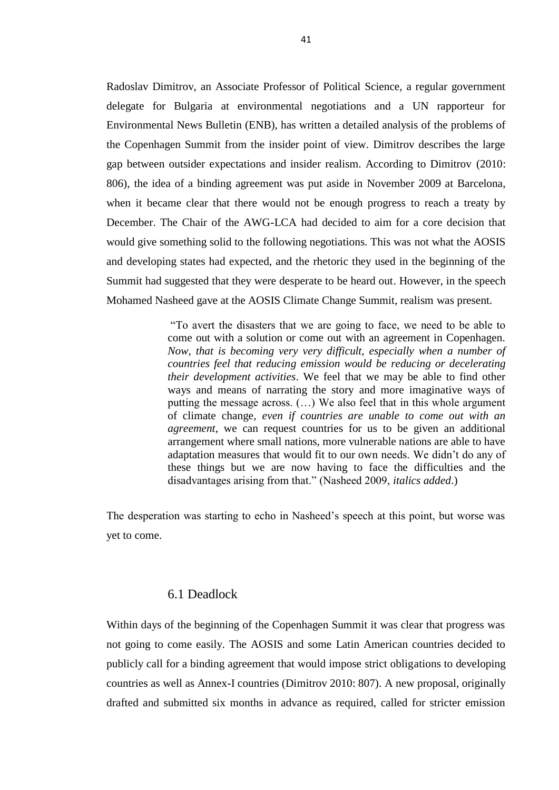Radoslav Dimitrov, an Associate Professor of Political Science, a regular government delegate for Bulgaria at environmental negotiations and a UN rapporteur for Environmental News Bulletin (ENB), has written a detailed analysis of the problems of the Copenhagen Summit from the insider point of view. Dimitrov describes the large gap between outsider expectations and insider realism. According to Dimitrov (2010: 806), the idea of a binding agreement was put aside in November 2009 at Barcelona, when it became clear that there would not be enough progress to reach a treaty by December. The Chair of the AWG-LCA had decided to aim for a core decision that would give something solid to the following negotiations. This was not what the AOSIS and developing states had expected, and the rhetoric they used in the beginning of the Summit had suggested that they were desperate to be heard out. However, in the speech Mohamed Nasheed gave at the AOSIS Climate Change Summit, realism was present.

> "To avert the disasters that we are going to face, we need to be able to come out with a solution or come out with an agreement in Copenhagen. *Now, that is becoming very very difficult, especially when a number of countries feel that reducing emission would be reducing or decelerating their development activities*. We feel that we may be able to find other ways and means of narrating the story and more imaginative ways of putting the message across. (…) We also feel that in this whole argument of climate change, *even if countries are unable to come out with an agreement*, we can request countries for us to be given an additional arrangement where small nations, more vulnerable nations are able to have adaptation measures that would fit to our own needs. We didn't do any of these things but we are now having to face the difficulties and the disadvantages arising from that." (Nasheed 2009, *italics added*.)

The desperation was starting to echo in Nasheed's speech at this point, but worse was yet to come.

# 6.1 Deadlock

Within days of the beginning of the Copenhagen Summit it was clear that progress was not going to come easily. The AOSIS and some Latin American countries decided to publicly call for a binding agreement that would impose strict obligations to developing countries as well as Annex-I countries (Dimitrov 2010: 807). A new proposal, originally drafted and submitted six months in advance as required, called for stricter emission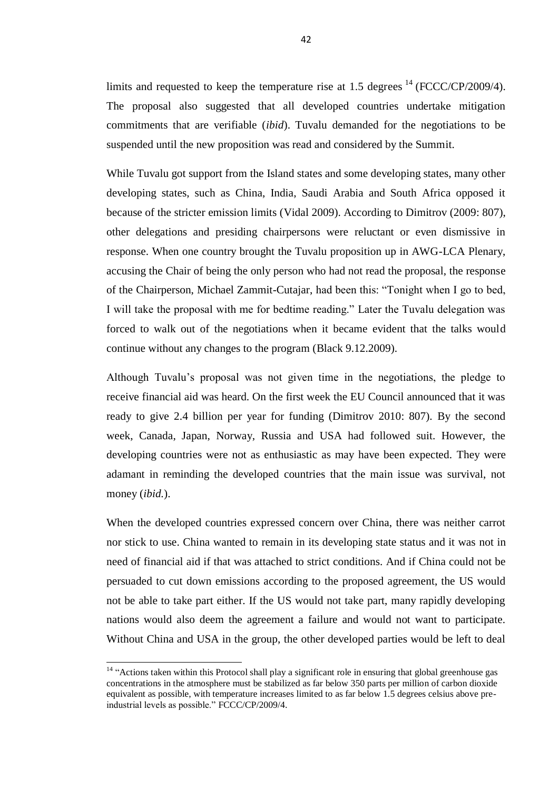limits and requested to keep the temperature rise at 1.5 degrees  $^{14}$  (FCCC/CP/2009/4). The proposal also suggested that all developed countries undertake mitigation commitments that are verifiable (*ibid*). Tuvalu demanded for the negotiations to be suspended until the new proposition was read and considered by the Summit.

While Tuvalu got support from the Island states and some developing states, many other developing states, such as China, India, Saudi Arabia and South Africa opposed it because of the stricter emission limits (Vidal 2009). According to Dimitrov (2009: 807), other delegations and presiding chairpersons were reluctant or even dismissive in response. When one country brought the Tuvalu proposition up in AWG-LCA Plenary, accusing the Chair of being the only person who had not read the proposal, the response of the Chairperson, Michael Zammit-Cutajar, had been this: "Tonight when I go to bed, I will take the proposal with me for bedtime reading." Later the Tuvalu delegation was forced to walk out of the negotiations when it became evident that the talks would continue without any changes to the program (Black 9.12.2009).

Although Tuvalu's proposal was not given time in the negotiations, the pledge to receive financial aid was heard. On the first week the EU Council announced that it was ready to give 2.4 billion per year for funding (Dimitrov 2010: 807). By the second week, Canada, Japan, Norway, Russia and USA had followed suit. However, the developing countries were not as enthusiastic as may have been expected. They were adamant in reminding the developed countries that the main issue was survival, not money (*ibid.*).

When the developed countries expressed concern over China, there was neither carrot nor stick to use. China wanted to remain in its developing state status and it was not in need of financial aid if that was attached to strict conditions. And if China could not be persuaded to cut down emissions according to the proposed agreement, the US would not be able to take part either. If the US would not take part, many rapidly developing nations would also deem the agreement a failure and would not want to participate. Without China and USA in the group, the other developed parties would be left to deal

 $\overline{a}$ 

<sup>&</sup>lt;sup>14</sup> "Actions taken within this Protocol shall play a significant role in ensuring that global greenhouse gas concentrations in the atmosphere must be stabilized as far below 350 parts per million of carbon dioxide equivalent as possible, with temperature increases limited to as far below 1.5 degrees celsius above preindustrial levels as possible." FCCC/CP/2009/4.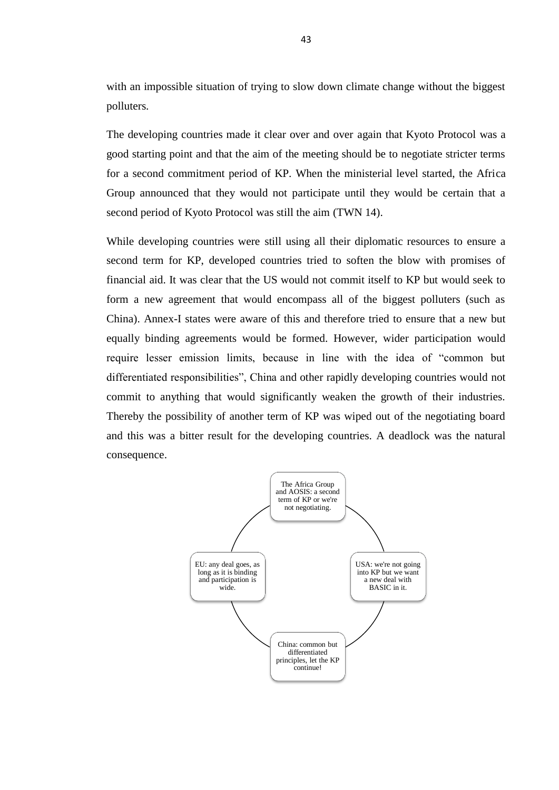with an impossible situation of trying to slow down climate change without the biggest polluters.

The developing countries made it clear over and over again that Kyoto Protocol was a good starting point and that the aim of the meeting should be to negotiate stricter terms for a second commitment period of KP. When the ministerial level started, the Africa Group announced that they would not participate until they would be certain that a second period of Kyoto Protocol was still the aim (TWN 14).

While developing countries were still using all their diplomatic resources to ensure a second term for KP, developed countries tried to soften the blow with promises of financial aid. It was clear that the US would not commit itself to KP but would seek to form a new agreement that would encompass all of the biggest polluters (such as China). Annex-I states were aware of this and therefore tried to ensure that a new but equally binding agreements would be formed. However, wider participation would require lesser emission limits, because in line with the idea of "common but differentiated responsibilities", China and other rapidly developing countries would not commit to anything that would significantly weaken the growth of their industries. Thereby the possibility of another term of KP was wiped out of the negotiating board and this was a bitter result for the developing countries. A deadlock was the natural consequence.

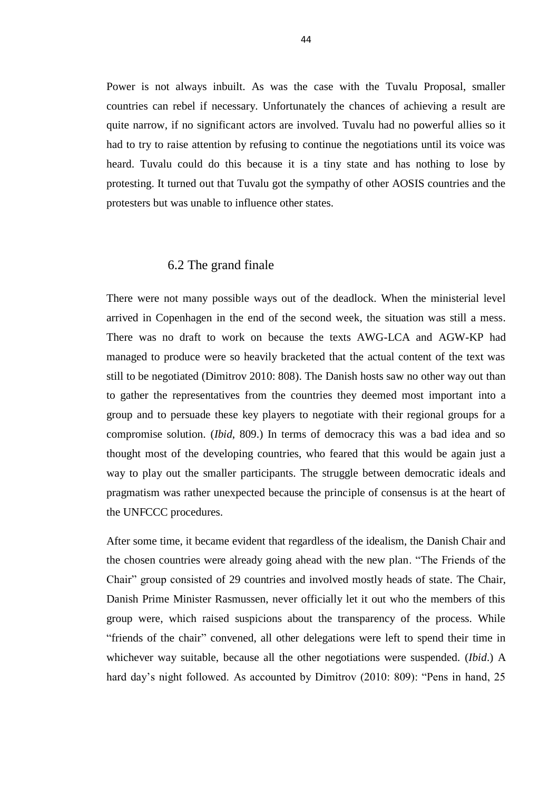Power is not always inbuilt. As was the case with the Tuvalu Proposal, smaller countries can rebel if necessary. Unfortunately the chances of achieving a result are quite narrow, if no significant actors are involved. Tuvalu had no powerful allies so it had to try to raise attention by refusing to continue the negotiations until its voice was heard. Tuvalu could do this because it is a tiny state and has nothing to lose by protesting. It turned out that Tuvalu got the sympathy of other AOSIS countries and the protesters but was unable to influence other states.

#### 6.2 The grand finale

There were not many possible ways out of the deadlock. When the ministerial level arrived in Copenhagen in the end of the second week, the situation was still a mess. There was no draft to work on because the texts AWG-LCA and AGW-KP had managed to produce were so heavily bracketed that the actual content of the text was still to be negotiated (Dimitrov 2010: 808). The Danish hosts saw no other way out than to gather the representatives from the countries they deemed most important into a group and to persuade these key players to negotiate with their regional groups for a compromise solution. (*Ibid*, 809.) In terms of democracy this was a bad idea and so thought most of the developing countries, who feared that this would be again just a way to play out the smaller participants. The struggle between democratic ideals and pragmatism was rather unexpected because the principle of consensus is at the heart of the UNFCCC procedures.

After some time, it became evident that regardless of the idealism, the Danish Chair and the chosen countries were already going ahead with the new plan. "The Friends of the Chair" group consisted of 29 countries and involved mostly heads of state. The Chair, Danish Prime Minister Rasmussen, never officially let it out who the members of this group were, which raised suspicions about the transparency of the process. While "friends of the chair" convened, all other delegations were left to spend their time in whichever way suitable, because all the other negotiations were suspended. (*Ibid*.) A hard day's night followed. As accounted by Dimitrov (2010: 809): "Pens in hand, 25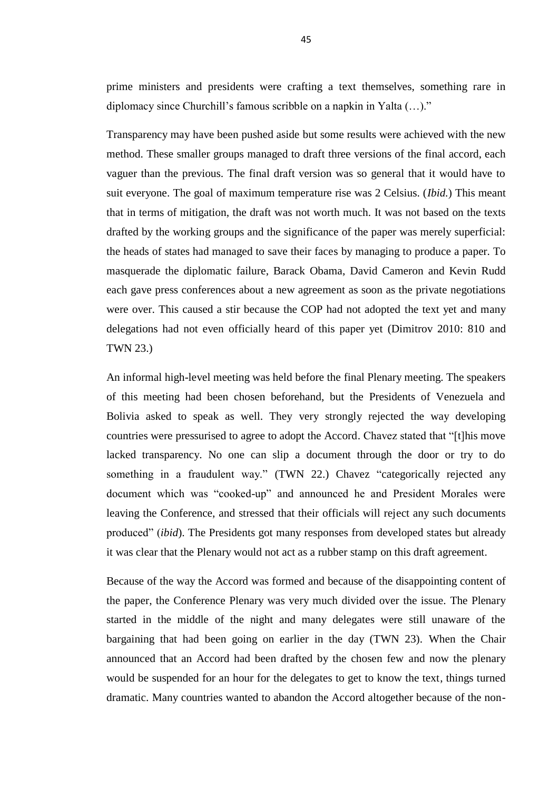prime ministers and presidents were crafting a text themselves, something rare in diplomacy since Churchill's famous scribble on a napkin in Yalta (…)."

Transparency may have been pushed aside but some results were achieved with the new method. These smaller groups managed to draft three versions of the final accord, each vaguer than the previous. The final draft version was so general that it would have to suit everyone. The goal of maximum temperature rise was 2 Celsius. (*Ibid.*) This meant that in terms of mitigation, the draft was not worth much. It was not based on the texts drafted by the working groups and the significance of the paper was merely superficial: the heads of states had managed to save their faces by managing to produce a paper. To masquerade the diplomatic failure, Barack Obama, David Cameron and Kevin Rudd each gave press conferences about a new agreement as soon as the private negotiations were over. This caused a stir because the COP had not adopted the text yet and many delegations had not even officially heard of this paper yet (Dimitrov 2010: 810 and TWN 23.)

An informal high-level meeting was held before the final Plenary meeting. The speakers of this meeting had been chosen beforehand, but the Presidents of Venezuela and Bolivia asked to speak as well. They very strongly rejected the way developing countries were pressurised to agree to adopt the Accord. Chavez stated that "[t]his move lacked transparency. No one can slip a document through the door or try to do something in a fraudulent way." (TWN 22.) Chavez "categorically rejected any document which was "cooked-up" and announced he and President Morales were leaving the Conference, and stressed that their officials will reject any such documents produced" (*ibid*). The Presidents got many responses from developed states but already it was clear that the Plenary would not act as a rubber stamp on this draft agreement.

Because of the way the Accord was formed and because of the disappointing content of the paper, the Conference Plenary was very much divided over the issue. The Plenary started in the middle of the night and many delegates were still unaware of the bargaining that had been going on earlier in the day (TWN 23). When the Chair announced that an Accord had been drafted by the chosen few and now the plenary would be suspended for an hour for the delegates to get to know the text, things turned dramatic. Many countries wanted to abandon the Accord altogether because of the non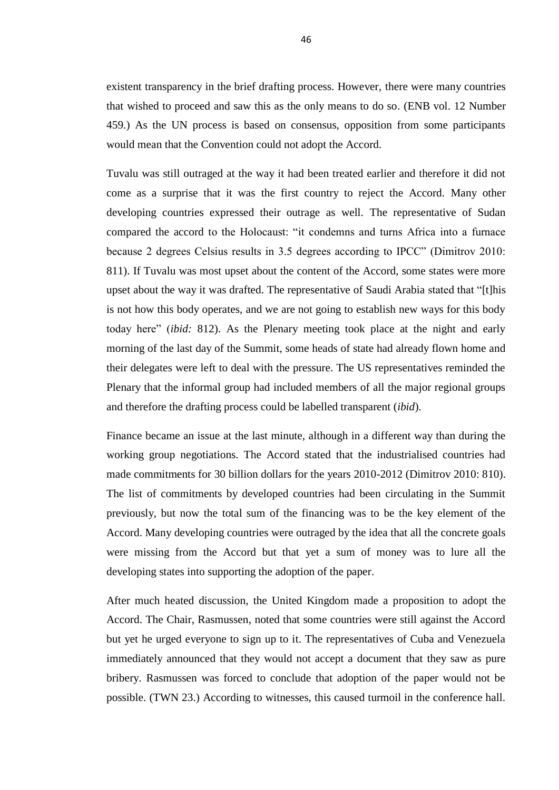existent transparency in the brief drafting process. However, there were many countries that wished to proceed and saw this as the only means to do so. (ENB vol. 12 Number 459.) As the UN process is based on consensus, opposition from some participants would mean that the Convention could not adopt the Accord.

Tuvalu was still outraged at the way it had been treated earlier and therefore it did not come as a surprise that it was the first country to reject the Accord. Many other developing countries expressed their outrage as well. The representative of Sudan compared the accord to the Holocaust: "it condemns and turns Africa into a furnace because 2 degrees Celsius results in 3.5 degrees according to IPCC" (Dimitrov 2010: 811). If Tuvalu was most upset about the content of the Accord, some states were more upset about the way it was drafted. The representative of Saudi Arabia stated that "[t]his is not how this body operates, and we are not going to establish new ways for this body today here" (*ibid:* 812). As the Plenary meeting took place at the night and early morning of the last day of the Summit, some heads of state had already flown home and their delegates were left to deal with the pressure. The US representatives reminded the Plenary that the informal group had included members of all the major regional groups and therefore the drafting process could be labelled transparent (*ibid*).

Finance became an issue at the last minute, although in a different way than during the working group negotiations. The Accord stated that the industrialised countries had made commitments for 30 billion dollars for the years 2010-2012 (Dimitrov 2010: 810). The list of commitments by developed countries had been circulating in the Summit previously, but now the total sum of the financing was to be the key element of the Accord. Many developing countries were outraged by the idea that all the concrete goals were missing from the Accord but that yet a sum of money was to lure all the developing states into supporting the adoption of the paper.

After much heated discussion, the United Kingdom made a proposition to adopt the Accord. The Chair, Rasmussen, noted that some countries were still against the Accord but yet he urged everyone to sign up to it. The representatives of Cuba and Venezuela immediately announced that they would not accept a document that they saw as pure bribery. Rasmussen was forced to conclude that adoption of the paper would not be possible. (TWN 23.) According to witnesses, this caused turmoil in the conference hall.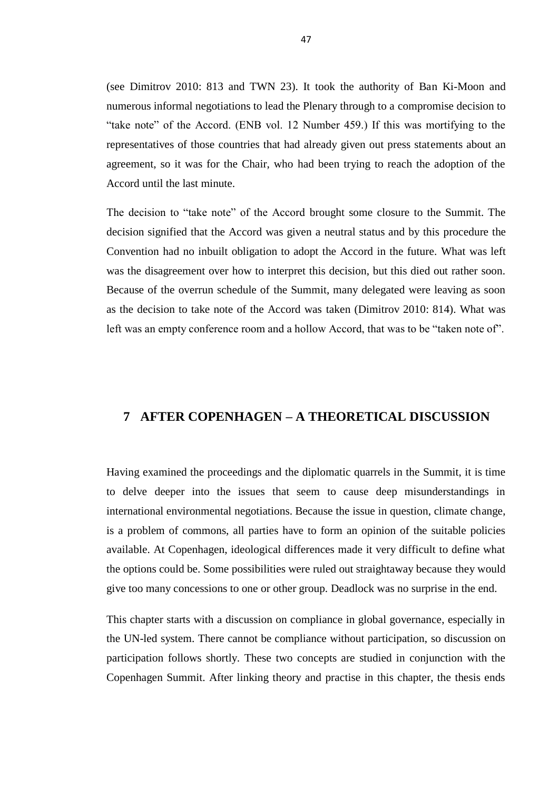(see Dimitrov 2010: 813 and TWN 23). It took the authority of Ban Ki-Moon and numerous informal negotiations to lead the Plenary through to a compromise decision to "take note" of the Accord. (ENB vol. 12 Number 459.) If this was mortifying to the representatives of those countries that had already given out press statements about an agreement, so it was for the Chair, who had been trying to reach the adoption of the Accord until the last minute.

The decision to "take note" of the Accord brought some closure to the Summit. The decision signified that the Accord was given a neutral status and by this procedure the Convention had no inbuilt obligation to adopt the Accord in the future. What was left was the disagreement over how to interpret this decision, but this died out rather soon. Because of the overrun schedule of the Summit, many delegated were leaving as soon as the decision to take note of the Accord was taken (Dimitrov 2010: 814). What was left was an empty conference room and a hollow Accord, that was to be "taken note of".

# **7 AFTER COPENHAGEN – A THEORETICAL DISCUSSION**

Having examined the proceedings and the diplomatic quarrels in the Summit, it is time to delve deeper into the issues that seem to cause deep misunderstandings in international environmental negotiations. Because the issue in question, climate change, is a problem of commons, all parties have to form an opinion of the suitable policies available. At Copenhagen, ideological differences made it very difficult to define what the options could be. Some possibilities were ruled out straightaway because they would give too many concessions to one or other group. Deadlock was no surprise in the end.

This chapter starts with a discussion on compliance in global governance, especially in the UN-led system. There cannot be compliance without participation, so discussion on participation follows shortly. These two concepts are studied in conjunction with the Copenhagen Summit. After linking theory and practise in this chapter, the thesis ends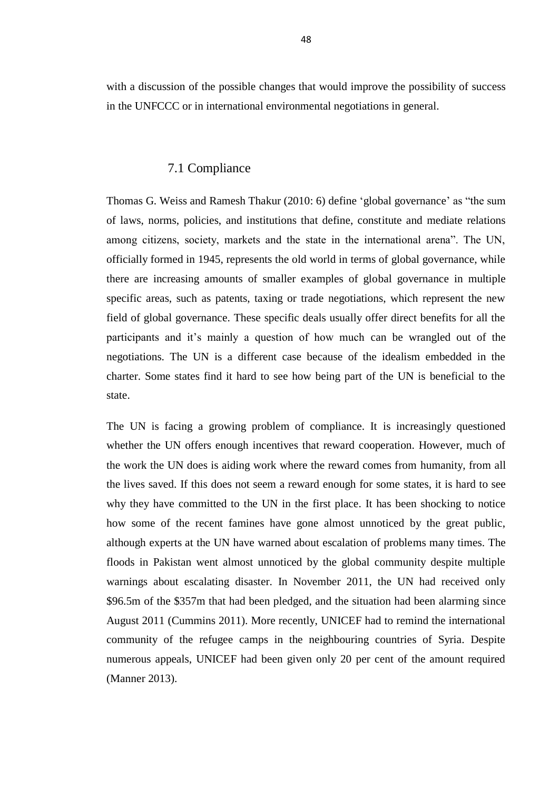with a discussion of the possible changes that would improve the possibility of success in the UNFCCC or in international environmental negotiations in general.

### 7.1 Compliance

Thomas G. Weiss and Ramesh Thakur (2010: 6) define 'global governance' as "the sum of laws, norms, policies, and institutions that define, constitute and mediate relations among citizens, society, markets and the state in the international arena". The UN, officially formed in 1945, represents the old world in terms of global governance, while there are increasing amounts of smaller examples of global governance in multiple specific areas, such as patents, taxing or trade negotiations, which represent the new field of global governance. These specific deals usually offer direct benefits for all the participants and it's mainly a question of how much can be wrangled out of the negotiations. The UN is a different case because of the idealism embedded in the charter. Some states find it hard to see how being part of the UN is beneficial to the state.

The UN is facing a growing problem of compliance. It is increasingly questioned whether the UN offers enough incentives that reward cooperation. However, much of the work the UN does is aiding work where the reward comes from humanity, from all the lives saved. If this does not seem a reward enough for some states, it is hard to see why they have committed to the UN in the first place. It has been shocking to notice how some of the recent famines have gone almost unnoticed by the great public, although experts at the UN have warned about escalation of problems many times. The floods in Pakistan went almost unnoticed by the global community despite multiple warnings about escalating disaster. In November 2011, the UN had received only \$96.5m of the \$357m that had been pledged, and the situation had been alarming since August 2011 (Cummins 2011). More recently, UNICEF had to remind the international community of the refugee camps in the neighbouring countries of Syria. Despite numerous appeals, UNICEF had been given only 20 per cent of the amount required (Manner 2013).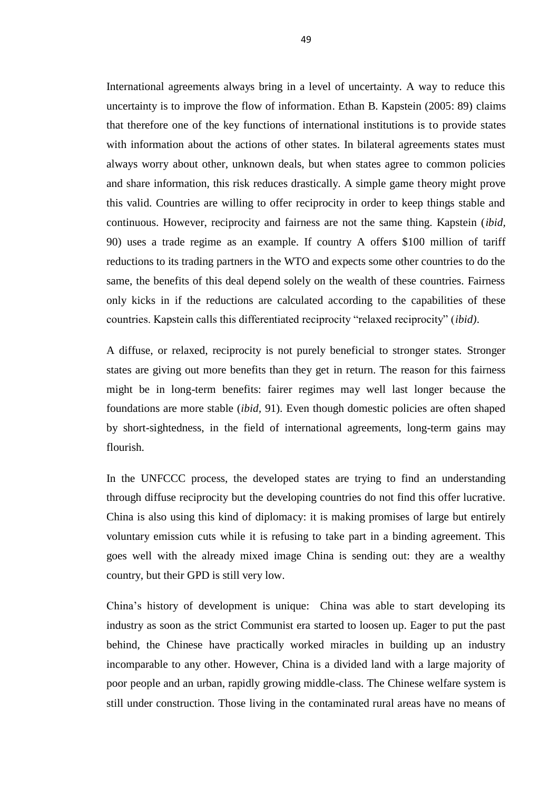International agreements always bring in a level of uncertainty. A way to reduce this uncertainty is to improve the flow of information. Ethan B. Kapstein (2005: 89) claims that therefore one of the key functions of international institutions is to provide states with information about the actions of other states. In bilateral agreements states must always worry about other, unknown deals, but when states agree to common policies and share information, this risk reduces drastically. A simple game theory might prove this valid. Countries are willing to offer reciprocity in order to keep things stable and continuous. However, reciprocity and fairness are not the same thing. Kapstein (*ibid,*  90) uses a trade regime as an example. If country A offers \$100 million of tariff reductions to its trading partners in the WTO and expects some other countries to do the same, the benefits of this deal depend solely on the wealth of these countries. Fairness only kicks in if the reductions are calculated according to the capabilities of these countries. Kapstein calls this differentiated reciprocity "relaxed reciprocity" (*ibid)*.

A diffuse, or relaxed, reciprocity is not purely beneficial to stronger states. Stronger states are giving out more benefits than they get in return. The reason for this fairness might be in long-term benefits: fairer regimes may well last longer because the foundations are more stable (*ibid,* 91). Even though domestic policies are often shaped by short-sightedness, in the field of international agreements, long-term gains may flourish.

In the UNFCCC process, the developed states are trying to find an understanding through diffuse reciprocity but the developing countries do not find this offer lucrative. China is also using this kind of diplomacy: it is making promises of large but entirely voluntary emission cuts while it is refusing to take part in a binding agreement. This goes well with the already mixed image China is sending out: they are a wealthy country, but their GPD is still very low.

China's history of development is unique: China was able to start developing its industry as soon as the strict Communist era started to loosen up. Eager to put the past behind, the Chinese have practically worked miracles in building up an industry incomparable to any other. However, China is a divided land with a large majority of poor people and an urban, rapidly growing middle-class. The Chinese welfare system is still under construction. Those living in the contaminated rural areas have no means of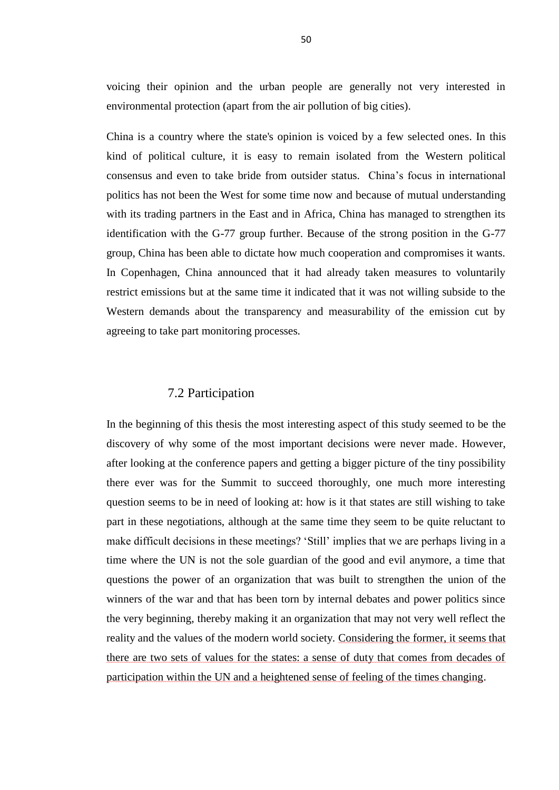voicing their opinion and the urban people are generally not very interested in environmental protection (apart from the air pollution of big cities).

China is a country where the state's opinion is voiced by a few selected ones. In this kind of political culture, it is easy to remain isolated from the Western political consensus and even to take bride from outsider status. China's focus in international politics has not been the West for some time now and because of mutual understanding with its trading partners in the East and in Africa, China has managed to strengthen its identification with the G-77 group further. Because of the strong position in the G-77 group, China has been able to dictate how much cooperation and compromises it wants. In Copenhagen, China announced that it had already taken measures to voluntarily restrict emissions but at the same time it indicated that it was not willing subside to the Western demands about the transparency and measurability of the emission cut by agreeing to take part monitoring processes.

#### 7.2 Participation

In the beginning of this thesis the most interesting aspect of this study seemed to be the discovery of why some of the most important decisions were never made. However, after looking at the conference papers and getting a bigger picture of the tiny possibility there ever was for the Summit to succeed thoroughly, one much more interesting question seems to be in need of looking at: how is it that states are still wishing to take part in these negotiations, although at the same time they seem to be quite reluctant to make difficult decisions in these meetings? 'Still' implies that we are perhaps living in a time where the UN is not the sole guardian of the good and evil anymore, a time that questions the power of an organization that was built to strengthen the union of the winners of the war and that has been torn by internal debates and power politics since the very beginning, thereby making it an organization that may not very well reflect the reality and the values of the modern world society. Considering the former, it seems that there are two sets of values for the states: a sense of duty that comes from decades of participation within the UN and a heightened sense of feeling of the times changing.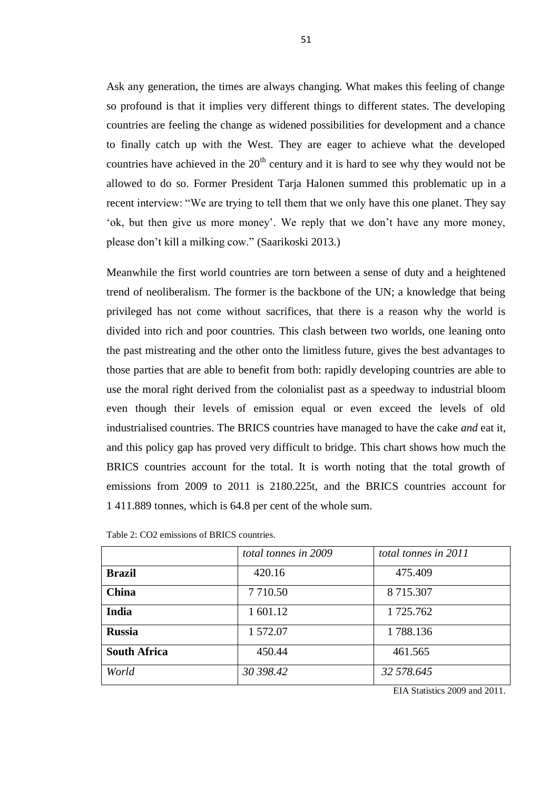Ask any generation, the times are always changing. What makes this feeling of change so profound is that it implies very different things to different states. The developing countries are feeling the change as widened possibilities for development and a chance to finally catch up with the West. They are eager to achieve what the developed countries have achieved in the  $20<sup>th</sup>$  century and it is hard to see why they would not be allowed to do so. Former President Tarja Halonen summed this problematic up in a recent interview: "We are trying to tell them that we only have this one planet. They say 'ok, but then give us more money'. We reply that we don't have any more money, please don't kill a milking cow." (Saarikoski 2013.)

Meanwhile the first world countries are torn between a sense of duty and a heightened trend of neoliberalism. The former is the backbone of the UN; a knowledge that being privileged has not come without sacrifices, that there is a reason why the world is divided into rich and poor countries. This clash between two worlds, one leaning onto the past mistreating and the other onto the limitless future, gives the best advantages to those parties that are able to benefit from both: rapidly developing countries are able to use the moral right derived from the colonialist past as a speedway to industrial bloom even though their levels of emission equal or even exceed the levels of old industrialised countries. The BRICS countries have managed to have the cake *and* eat it, and this policy gap has proved very difficult to bridge. This chart shows how much the BRICS countries account for the total. It is worth noting that the total growth of emissions from 2009 to 2011 is 2180.225t, and the BRICS countries account for 1 411.889 tonnes, which is 64.8 per cent of the whole sum.

|                     | total tonnes in 2009 | total tonnes in 2011 |
|---------------------|----------------------|----------------------|
| <b>Brazil</b>       | 420.16               | 475.409              |
| <b>China</b>        | 7 7 10.50            | 8 715.307            |
| <b>India</b>        | 1 601.12             | 1 725.762            |
| <b>Russia</b>       | 1 572.07             | 1788.136             |
| <b>South Africa</b> | 450.44               | 461.565              |
| World               | 30 398.42            | 32 578.645           |

Table 2: CO2 emissions of BRICS countries.

EIA Statistics 2009 and 2011.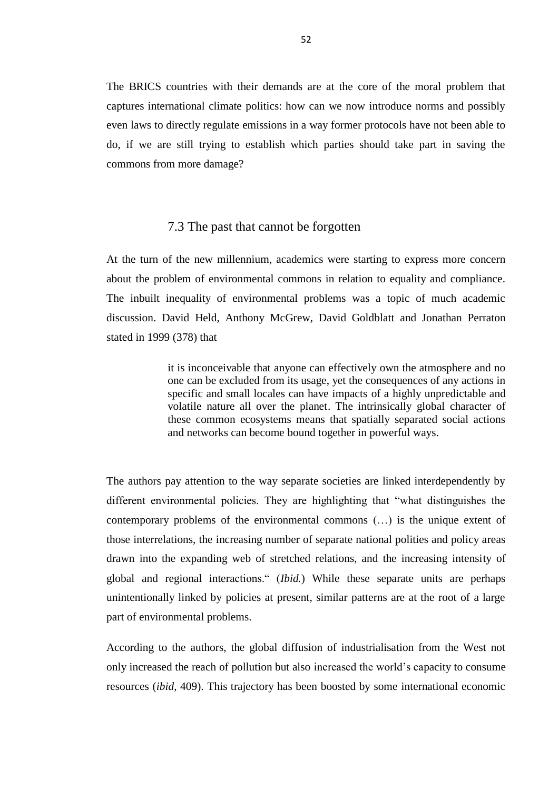The BRICS countries with their demands are at the core of the moral problem that captures international climate politics: how can we now introduce norms and possibly even laws to directly regulate emissions in a way former protocols have not been able to do, if we are still trying to establish which parties should take part in saving the commons from more damage?

### 7.3 The past that cannot be forgotten

At the turn of the new millennium, academics were starting to express more concern about the problem of environmental commons in relation to equality and compliance. The inbuilt inequality of environmental problems was a topic of much academic discussion. David Held, Anthony McGrew, David Goldblatt and Jonathan Perraton stated in 1999 (378) that

> it is inconceivable that anyone can effectively own the atmosphere and no one can be excluded from its usage, yet the consequences of any actions in specific and small locales can have impacts of a highly unpredictable and volatile nature all over the planet. The intrinsically global character of these common ecosystems means that spatially separated social actions and networks can become bound together in powerful ways.

The authors pay attention to the way separate societies are linked interdependently by different environmental policies. They are highlighting that "what distinguishes the contemporary problems of the environmental commons (…) is the unique extent of those interrelations, the increasing number of separate national polities and policy areas drawn into the expanding web of stretched relations, and the increasing intensity of global and regional interactions." (*Ibid.*) While these separate units are perhaps unintentionally linked by policies at present, similar patterns are at the root of a large part of environmental problems.

According to the authors, the global diffusion of industrialisation from the West not only increased the reach of pollution but also increased the world's capacity to consume resources (*ibid,* 409). This trajectory has been boosted by some international economic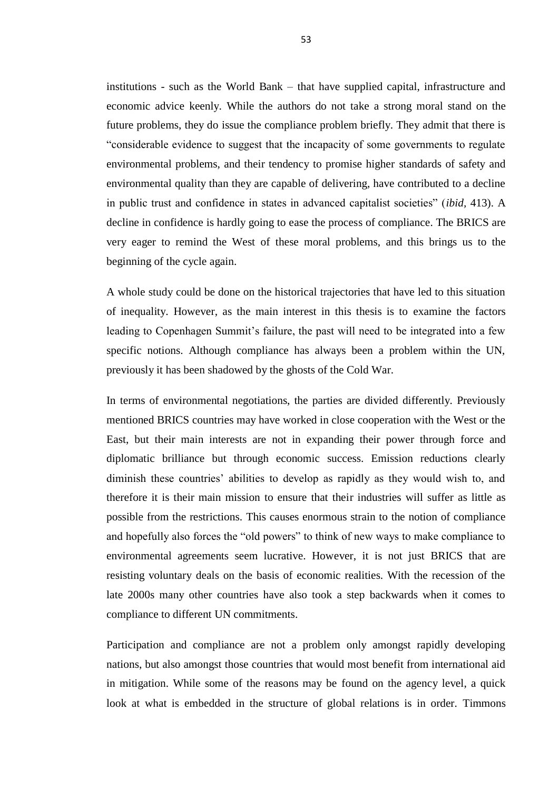institutions - such as the World Bank – that have supplied capital, infrastructure and economic advice keenly. While the authors do not take a strong moral stand on the future problems, they do issue the compliance problem briefly. They admit that there is "considerable evidence to suggest that the incapacity of some governments to regulate environmental problems, and their tendency to promise higher standards of safety and environmental quality than they are capable of delivering, have contributed to a decline in public trust and confidence in states in advanced capitalist societies" (*ibid,* 413). A decline in confidence is hardly going to ease the process of compliance. The BRICS are very eager to remind the West of these moral problems, and this brings us to the beginning of the cycle again.

A whole study could be done on the historical trajectories that have led to this situation of inequality. However, as the main interest in this thesis is to examine the factors leading to Copenhagen Summit's failure, the past will need to be integrated into a few specific notions. Although compliance has always been a problem within the UN, previously it has been shadowed by the ghosts of the Cold War.

In terms of environmental negotiations, the parties are divided differently. Previously mentioned BRICS countries may have worked in close cooperation with the West or the East, but their main interests are not in expanding their power through force and diplomatic brilliance but through economic success. Emission reductions clearly diminish these countries' abilities to develop as rapidly as they would wish to, and therefore it is their main mission to ensure that their industries will suffer as little as possible from the restrictions. This causes enormous strain to the notion of compliance and hopefully also forces the "old powers" to think of new ways to make compliance to environmental agreements seem lucrative. However, it is not just BRICS that are resisting voluntary deals on the basis of economic realities. With the recession of the late 2000s many other countries have also took a step backwards when it comes to compliance to different UN commitments.

Participation and compliance are not a problem only amongst rapidly developing nations, but also amongst those countries that would most benefit from international aid in mitigation. While some of the reasons may be found on the agency level, a quick look at what is embedded in the structure of global relations is in order. Timmons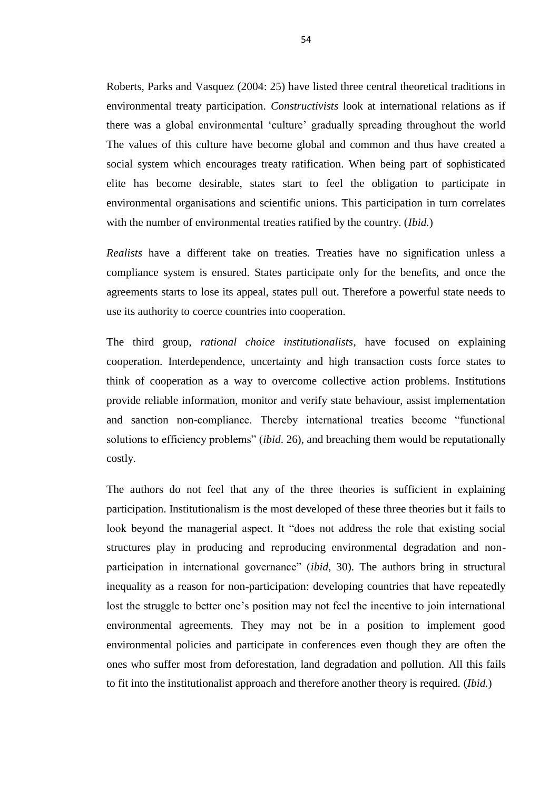Roberts, Parks and Vasquez (2004: 25) have listed three central theoretical traditions in environmental treaty participation. *Constructivists* look at international relations as if there was a global environmental 'culture' gradually spreading throughout the world The values of this culture have become global and common and thus have created a social system which encourages treaty ratification. When being part of sophisticated elite has become desirable, states start to feel the obligation to participate in environmental organisations and scientific unions. This participation in turn correlates with the number of environmental treaties ratified by the country. (*Ibid.*)

*Realists* have a different take on treaties. Treaties have no signification unless a compliance system is ensured. States participate only for the benefits, and once the agreements starts to lose its appeal, states pull out. Therefore a powerful state needs to use its authority to coerce countries into cooperation.

The third group, *rational choice institutionalists*, have focused on explaining cooperation. Interdependence, uncertainty and high transaction costs force states to think of cooperation as a way to overcome collective action problems. Institutions provide reliable information, monitor and verify state behaviour, assist implementation and sanction non-compliance. Thereby international treaties become "functional solutions to efficiency problems" (*ibid*. 26), and breaching them would be reputationally costly.

The authors do not feel that any of the three theories is sufficient in explaining participation. Institutionalism is the most developed of these three theories but it fails to look beyond the managerial aspect. It "does not address the role that existing social structures play in producing and reproducing environmental degradation and nonparticipation in international governance" (*ibid,* 30). The authors bring in structural inequality as a reason for non-participation: developing countries that have repeatedly lost the struggle to better one's position may not feel the incentive to join international environmental agreements. They may not be in a position to implement good environmental policies and participate in conferences even though they are often the ones who suffer most from deforestation, land degradation and pollution. All this fails to fit into the institutionalist approach and therefore another theory is required. (*Ibid.*)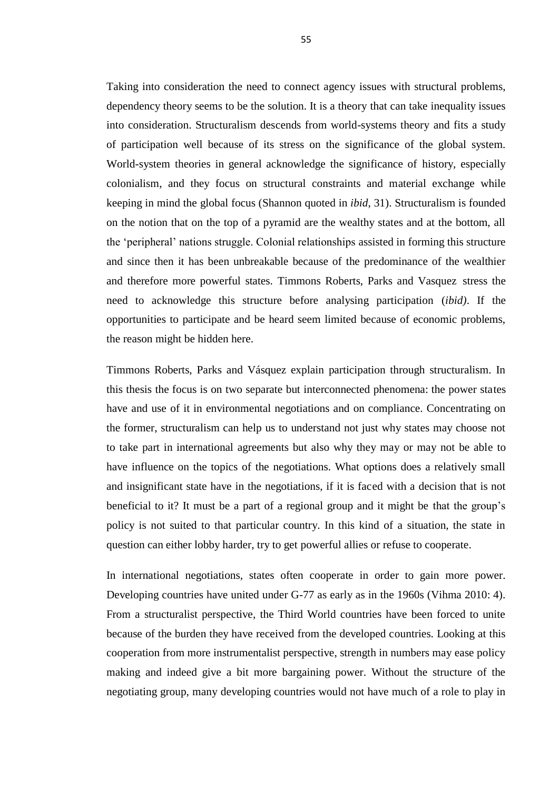Taking into consideration the need to connect agency issues with structural problems, dependency theory seems to be the solution. It is a theory that can take inequality issues into consideration. Structuralism descends from world-systems theory and fits a study of participation well because of its stress on the significance of the global system. World-system theories in general acknowledge the significance of history, especially colonialism, and they focus on structural constraints and material exchange while keeping in mind the global focus (Shannon quoted in *ibid*, 31). Structuralism is founded on the notion that on the top of a pyramid are the wealthy states and at the bottom, all the 'peripheral' nations struggle. Colonial relationships assisted in forming this structure and since then it has been unbreakable because of the predominance of the wealthier and therefore more powerful states. Timmons Roberts, Parks and Vasquez stress the need to acknowledge this structure before analysing participation (*ibid)*. If the opportunities to participate and be heard seem limited because of economic problems, the reason might be hidden here.

Timmons Roberts, Parks and Vásquez explain participation through structuralism. In this thesis the focus is on two separate but interconnected phenomena: the power states have and use of it in environmental negotiations and on compliance. Concentrating on the former, structuralism can help us to understand not just why states may choose not to take part in international agreements but also why they may or may not be able to have influence on the topics of the negotiations. What options does a relatively small and insignificant state have in the negotiations, if it is faced with a decision that is not beneficial to it? It must be a part of a regional group and it might be that the group's policy is not suited to that particular country. In this kind of a situation, the state in question can either lobby harder, try to get powerful allies or refuse to cooperate.

In international negotiations, states often cooperate in order to gain more power. Developing countries have united under G-77 as early as in the 1960s (Vihma 2010: 4). From a structuralist perspective, the Third World countries have been forced to unite because of the burden they have received from the developed countries. Looking at this cooperation from more instrumentalist perspective, strength in numbers may ease policy making and indeed give a bit more bargaining power. Without the structure of the negotiating group, many developing countries would not have much of a role to play in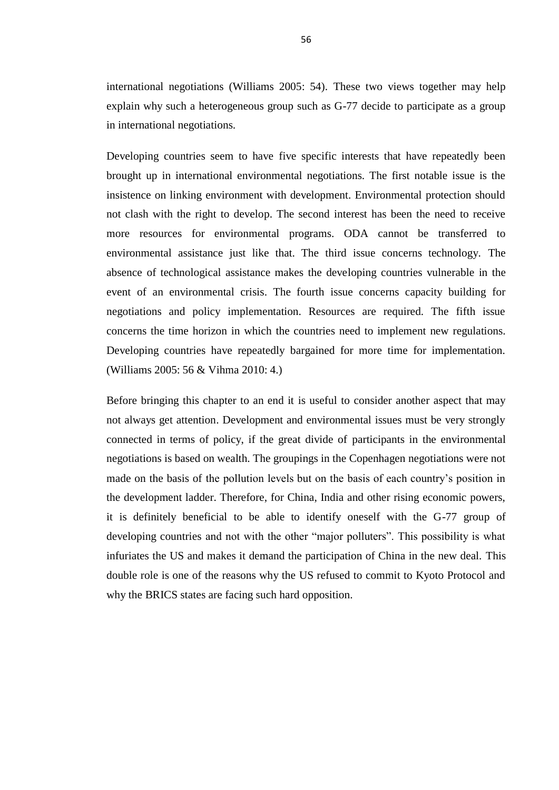international negotiations (Williams 2005: 54). These two views together may help explain why such a heterogeneous group such as G-77 decide to participate as a group in international negotiations.

Developing countries seem to have five specific interests that have repeatedly been brought up in international environmental negotiations. The first notable issue is the insistence on linking environment with development. Environmental protection should not clash with the right to develop. The second interest has been the need to receive more resources for environmental programs. ODA cannot be transferred to environmental assistance just like that. The third issue concerns technology. The absence of technological assistance makes the developing countries vulnerable in the event of an environmental crisis. The fourth issue concerns capacity building for negotiations and policy implementation. Resources are required. The fifth issue concerns the time horizon in which the countries need to implement new regulations. Developing countries have repeatedly bargained for more time for implementation. (Williams 2005: 56 & Vihma 2010: 4.)

Before bringing this chapter to an end it is useful to consider another aspect that may not always get attention. Development and environmental issues must be very strongly connected in terms of policy, if the great divide of participants in the environmental negotiations is based on wealth. The groupings in the Copenhagen negotiations were not made on the basis of the pollution levels but on the basis of each country's position in the development ladder. Therefore, for China, India and other rising economic powers, it is definitely beneficial to be able to identify oneself with the G-77 group of developing countries and not with the other "major polluters". This possibility is what infuriates the US and makes it demand the participation of China in the new deal. This double role is one of the reasons why the US refused to commit to Kyoto Protocol and why the BRICS states are facing such hard opposition.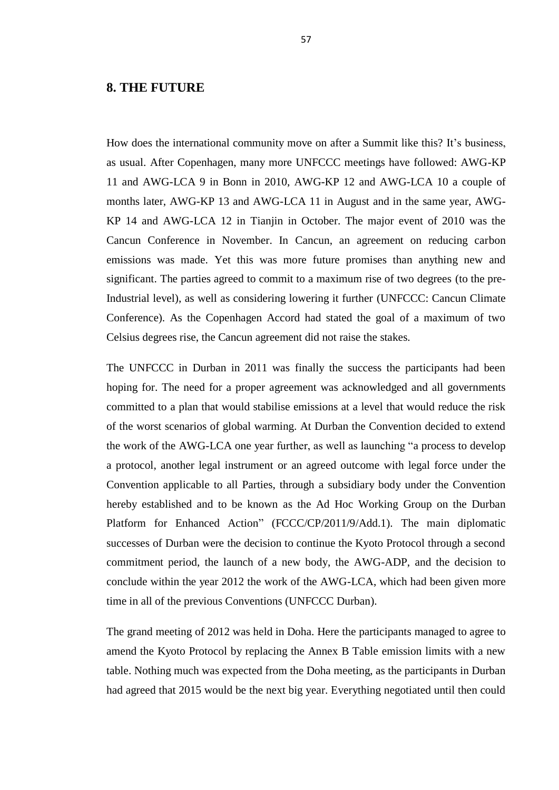### **8. THE FUTURE**

How does the international community move on after a Summit like this? It's business, as usual. After Copenhagen, many more UNFCCC meetings have followed: AWG-KP 11 and AWG-LCA 9 in Bonn in 2010, AWG-KP 12 and AWG-LCA 10 a couple of months later, AWG-KP 13 and AWG-LCA 11 in August and in the same year, AWG-KP 14 and AWG-LCA 12 in Tianjin in October. The major event of 2010 was the Cancun Conference in November. In Cancun, an agreement on reducing carbon emissions was made. Yet this was more future promises than anything new and significant. The parties agreed to commit to a maximum rise of two degrees (to the pre-Industrial level), as well as considering lowering it further (UNFCCC: Cancun Climate Conference). As the Copenhagen Accord had stated the goal of a maximum of two Celsius degrees rise, the Cancun agreement did not raise the stakes.

The UNFCCC in Durban in 2011 was finally the success the participants had been hoping for. The need for a proper agreement was acknowledged and all governments committed to a plan that would stabilise emissions at a level that would reduce the risk of the worst scenarios of global warming. At Durban the Convention decided to extend the work of the AWG-LCA one year further, as well as launching "a process to develop a protocol, another legal instrument or an agreed outcome with legal force under the Convention applicable to all Parties, through a subsidiary body under the Convention hereby established and to be known as the Ad Hoc Working Group on the Durban Platform for Enhanced Action" (FCCC/CP/2011/9/Add.1). The main diplomatic successes of Durban were the decision to continue the Kyoto Protocol through a second commitment period, the launch of a new body, the AWG-ADP, and the decision to conclude within the year 2012 the work of the AWG-LCA, which had been given more time in all of the previous Conventions (UNFCCC Durban).

The grand meeting of 2012 was held in Doha. Here the participants managed to agree to amend the Kyoto Protocol by replacing the Annex B Table emission limits with a new table. Nothing much was expected from the Doha meeting, as the participants in Durban had agreed that 2015 would be the next big year. Everything negotiated until then could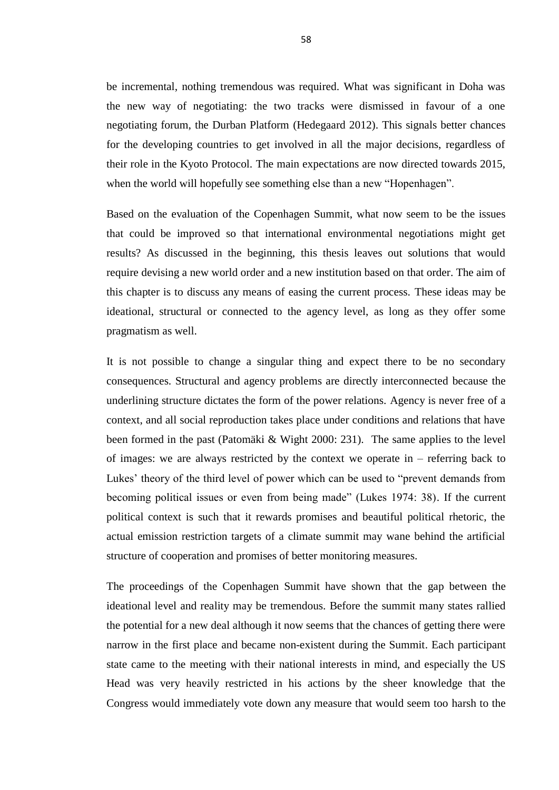be incremental, nothing tremendous was required. What was significant in Doha was the new way of negotiating: the two tracks were dismissed in favour of a one negotiating forum, the Durban Platform (Hedegaard 2012). This signals better chances for the developing countries to get involved in all the major decisions, regardless of their role in the Kyoto Protocol. The main expectations are now directed towards 2015, when the world will hopefully see something else than a new "Hopenhagen".

Based on the evaluation of the Copenhagen Summit, what now seem to be the issues that could be improved so that international environmental negotiations might get results? As discussed in the beginning, this thesis leaves out solutions that would require devising a new world order and a new institution based on that order. The aim of this chapter is to discuss any means of easing the current process. These ideas may be ideational, structural or connected to the agency level, as long as they offer some pragmatism as well.

It is not possible to change a singular thing and expect there to be no secondary consequences. Structural and agency problems are directly interconnected because the underlining structure dictates the form of the power relations. Agency is never free of a context, and all social reproduction takes place under conditions and relations that have been formed in the past (Patomäki & Wight 2000: 231). The same applies to the level of images: we are always restricted by the context we operate in – referring back to Lukes' theory of the third level of power which can be used to "prevent demands from becoming political issues or even from being made" (Lukes 1974: 38). If the current political context is such that it rewards promises and beautiful political rhetoric, the actual emission restriction targets of a climate summit may wane behind the artificial structure of cooperation and promises of better monitoring measures.

The proceedings of the Copenhagen Summit have shown that the gap between the ideational level and reality may be tremendous. Before the summit many states rallied the potential for a new deal although it now seems that the chances of getting there were narrow in the first place and became non-existent during the Summit. Each participant state came to the meeting with their national interests in mind, and especially the US Head was very heavily restricted in his actions by the sheer knowledge that the Congress would immediately vote down any measure that would seem too harsh to the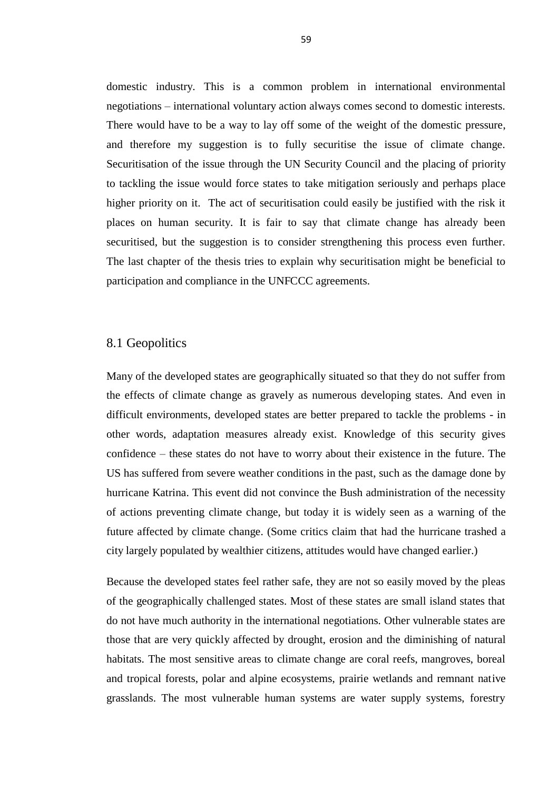domestic industry. This is a common problem in international environmental negotiations – international voluntary action always comes second to domestic interests. There would have to be a way to lay off some of the weight of the domestic pressure, and therefore my suggestion is to fully securitise the issue of climate change. Securitisation of the issue through the UN Security Council and the placing of priority to tackling the issue would force states to take mitigation seriously and perhaps place higher priority on it. The act of securitisation could easily be justified with the risk it places on human security. It is fair to say that climate change has already been securitised, but the suggestion is to consider strengthening this process even further. The last chapter of the thesis tries to explain why securitisation might be beneficial to participation and compliance in the UNFCCC agreements.

### 8.1 Geopolitics

Many of the developed states are geographically situated so that they do not suffer from the effects of climate change as gravely as numerous developing states. And even in difficult environments, developed states are better prepared to tackle the problems - in other words, adaptation measures already exist. Knowledge of this security gives confidence – these states do not have to worry about their existence in the future. The US has suffered from severe weather conditions in the past, such as the damage done by hurricane Katrina. This event did not convince the Bush administration of the necessity of actions preventing climate change, but today it is widely seen as a warning of the future affected by climate change. (Some critics claim that had the hurricane trashed a city largely populated by wealthier citizens, attitudes would have changed earlier.)

Because the developed states feel rather safe, they are not so easily moved by the pleas of the geographically challenged states. Most of these states are small island states that do not have much authority in the international negotiations. Other vulnerable states are those that are very quickly affected by drought, erosion and the diminishing of natural habitats. The most sensitive areas to climate change are coral reefs, mangroves, boreal and tropical forests, polar and alpine ecosystems, prairie wetlands and remnant native grasslands. The most vulnerable human systems are water supply systems, forestry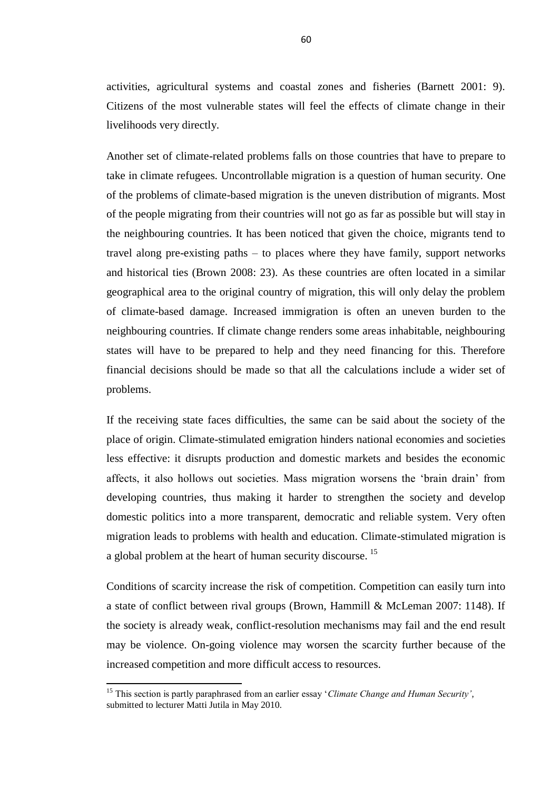activities, agricultural systems and coastal zones and fisheries (Barnett 2001: 9). Citizens of the most vulnerable states will feel the effects of climate change in their livelihoods very directly.

Another set of climate-related problems falls on those countries that have to prepare to take in climate refugees. Uncontrollable migration is a question of human security. One of the problems of climate-based migration is the uneven distribution of migrants. Most of the people migrating from their countries will not go as far as possible but will stay in the neighbouring countries. It has been noticed that given the choice, migrants tend to travel along pre-existing paths – to places where they have family, support networks and historical ties (Brown 2008: 23). As these countries are often located in a similar geographical area to the original country of migration, this will only delay the problem of climate-based damage. Increased immigration is often an uneven burden to the neighbouring countries. If climate change renders some areas inhabitable, neighbouring states will have to be prepared to help and they need financing for this. Therefore financial decisions should be made so that all the calculations include a wider set of problems.

If the receiving state faces difficulties, the same can be said about the society of the place of origin. Climate-stimulated emigration hinders national economies and societies less effective: it disrupts production and domestic markets and besides the economic affects, it also hollows out societies. Mass migration worsens the 'brain drain' from developing countries, thus making it harder to strengthen the society and develop domestic politics into a more transparent, democratic and reliable system. Very often migration leads to problems with health and education. Climate-stimulated migration is a global problem at the heart of human security discourse.<sup>15</sup>

Conditions of scarcity increase the risk of competition. Competition can easily turn into a state of conflict between rival groups (Brown, Hammill & McLeman 2007: 1148). If the society is already weak, conflict-resolution mechanisms may fail and the end result may be violence. On-going violence may worsen the scarcity further because of the increased competition and more difficult access to resources.

 $\overline{a}$ 

<sup>15</sup> This section is partly paraphrased from an earlier essay '*Climate Change and Human Security',*  submitted to lecturer Matti Jutila in May 2010.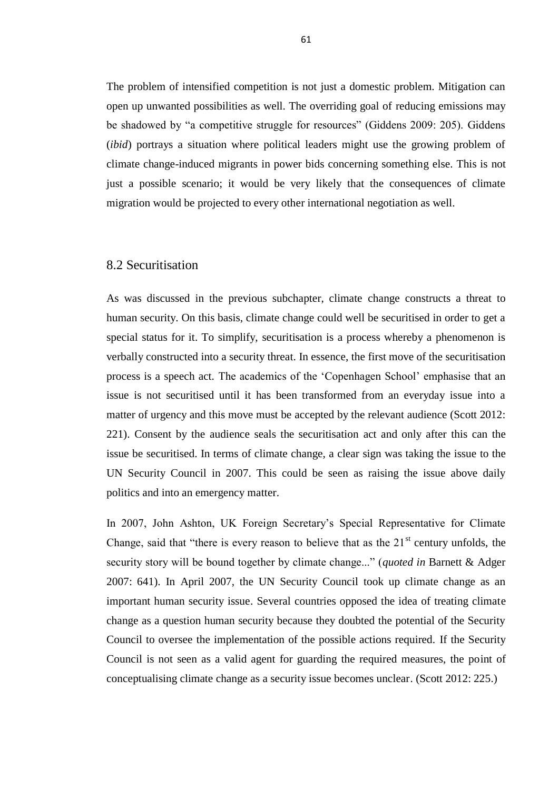The problem of intensified competition is not just a domestic problem. Mitigation can open up unwanted possibilities as well. The overriding goal of reducing emissions may be shadowed by "a competitive struggle for resources" (Giddens 2009: 205). Giddens (*ibid*) portrays a situation where political leaders might use the growing problem of climate change-induced migrants in power bids concerning something else. This is not just a possible scenario; it would be very likely that the consequences of climate migration would be projected to every other international negotiation as well.

# 8.2 Securitisation

As was discussed in the previous subchapter, climate change constructs a threat to human security. On this basis, climate change could well be securitised in order to get a special status for it. To simplify, securitisation is a process whereby a phenomenon is verbally constructed into a security threat. In essence, the first move of the securitisation process is a speech act. The academics of the 'Copenhagen School' emphasise that an issue is not securitised until it has been transformed from an everyday issue into a matter of urgency and this move must be accepted by the relevant audience (Scott 2012: 221). Consent by the audience seals the securitisation act and only after this can the issue be securitised. In terms of climate change, a clear sign was taking the issue to the UN Security Council in 2007. This could be seen as raising the issue above daily politics and into an emergency matter.

In 2007, John Ashton, UK Foreign Secretary's Special Representative for Climate Change, said that "there is every reason to believe that as the  $21<sup>st</sup>$  century unfolds, the security story will be bound together by climate change..." (*quoted in* Barnett & Adger 2007: 641). In April 2007, the UN Security Council took up climate change as an important human security issue. Several countries opposed the idea of treating climate change as a question human security because they doubted the potential of the Security Council to oversee the implementation of the possible actions required. If the Security Council is not seen as a valid agent for guarding the required measures, the point of conceptualising climate change as a security issue becomes unclear. (Scott 2012: 225.)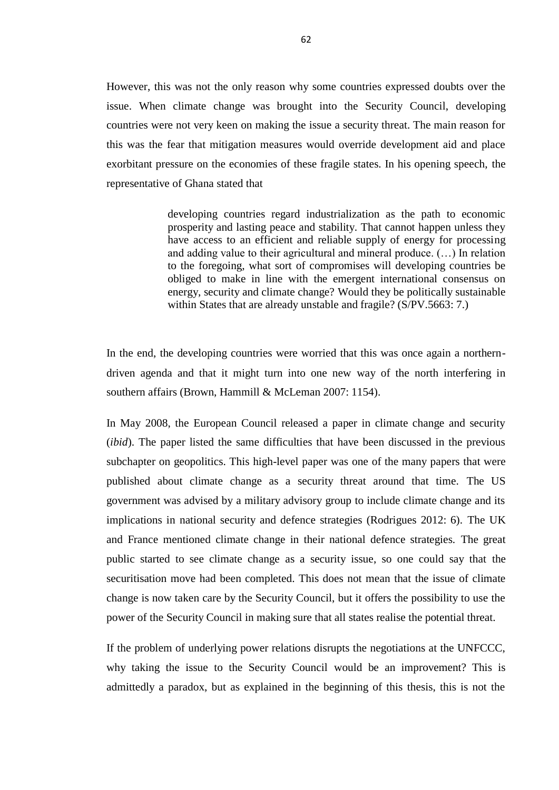However, this was not the only reason why some countries expressed doubts over the issue. When climate change was brought into the Security Council, developing countries were not very keen on making the issue a security threat. The main reason for this was the fear that mitigation measures would override development aid and place exorbitant pressure on the economies of these fragile states. In his opening speech, the representative of Ghana stated that

> developing countries regard industrialization as the path to economic prosperity and lasting peace and stability. That cannot happen unless they have access to an efficient and reliable supply of energy for processing and adding value to their agricultural and mineral produce. (…) In relation to the foregoing, what sort of compromises will developing countries be obliged to make in line with the emergent international consensus on energy, security and climate change? Would they be politically sustainable within States that are already unstable and fragile? (S/PV.5663: 7.)

In the end, the developing countries were worried that this was once again a northerndriven agenda and that it might turn into one new way of the north interfering in southern affairs (Brown, Hammill & McLeman 2007: 1154).

In May 2008, the European Council released a paper in climate change and security (*ibid*). The paper listed the same difficulties that have been discussed in the previous subchapter on geopolitics. This high-level paper was one of the many papers that were published about climate change as a security threat around that time. The US government was advised by a military advisory group to include climate change and its implications in national security and defence strategies (Rodrigues 2012: 6). The UK and France mentioned climate change in their national defence strategies. The great public started to see climate change as a security issue, so one could say that the securitisation move had been completed. This does not mean that the issue of climate change is now taken care by the Security Council, but it offers the possibility to use the power of the Security Council in making sure that all states realise the potential threat.

If the problem of underlying power relations disrupts the negotiations at the UNFCCC, why taking the issue to the Security Council would be an improvement? This is admittedly a paradox, but as explained in the beginning of this thesis, this is not the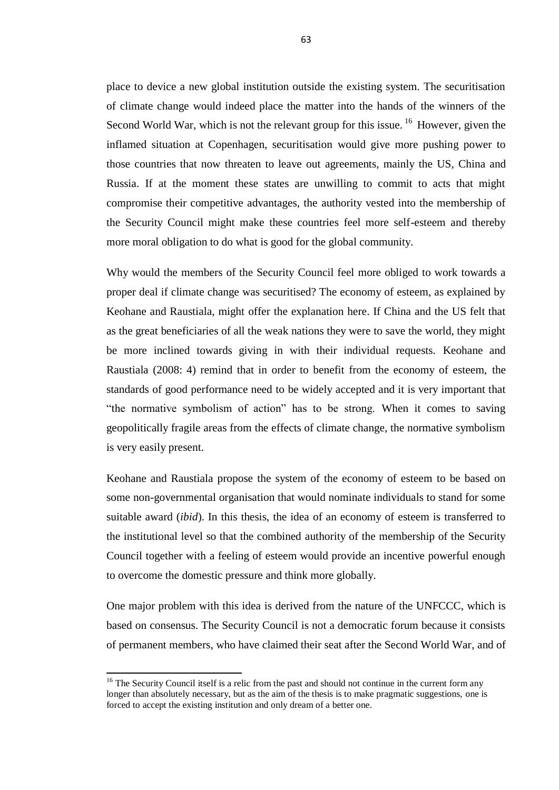place to device a new global institution outside the existing system. The securitisation of climate change would indeed place the matter into the hands of the winners of the Second World War, which is not the relevant group for this issue.<sup>16</sup> However, given the inflamed situation at Copenhagen, securitisation would give more pushing power to those countries that now threaten to leave out agreements, mainly the US, China and Russia. If at the moment these states are unwilling to commit to acts that might compromise their competitive advantages, the authority vested into the membership of the Security Council might make these countries feel more self-esteem and thereby more moral obligation to do what is good for the global community.

Why would the members of the Security Council feel more obliged to work towards a proper deal if climate change was securitised? The economy of esteem, as explained by Keohane and Raustiala, might offer the explanation here. If China and the US felt that as the great beneficiaries of all the weak nations they were to save the world, they might be more inclined towards giving in with their individual requests. Keohane and Raustiala (2008: 4) remind that in order to benefit from the economy of esteem, the standards of good performance need to be widely accepted and it is very important that "the normative symbolism of action" has to be strong. When it comes to saving geopolitically fragile areas from the effects of climate change, the normative symbolism is very easily present.

Keohane and Raustiala propose the system of the economy of esteem to be based on some non-governmental organisation that would nominate individuals to stand for some suitable award (*ibid*). In this thesis, the idea of an economy of esteem is transferred to the institutional level so that the combined authority of the membership of the Security Council together with a feeling of esteem would provide an incentive powerful enough to overcome the domestic pressure and think more globally.

One major problem with this idea is derived from the nature of the UNFCCC, which is based on consensus. The Security Council is not a democratic forum because it consists of permanent members, who have claimed their seat after the Second World War, and of

 $\overline{a}$ 

 $16$  The Security Council itself is a relic from the past and should not continue in the current form any longer than absolutely necessary, but as the aim of the thesis is to make pragmatic suggestions, one is forced to accept the existing institution and only dream of a better one.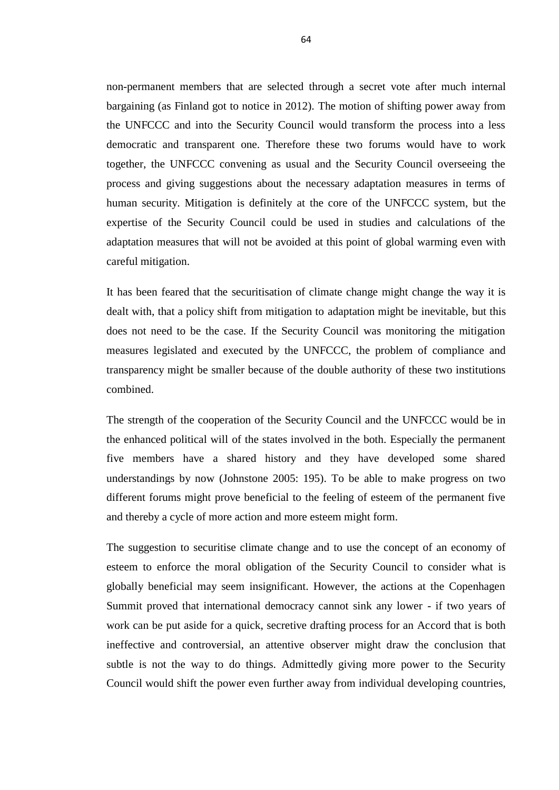non-permanent members that are selected through a secret vote after much internal bargaining (as Finland got to notice in 2012). The motion of shifting power away from the UNFCCC and into the Security Council would transform the process into a less democratic and transparent one. Therefore these two forums would have to work together, the UNFCCC convening as usual and the Security Council overseeing the process and giving suggestions about the necessary adaptation measures in terms of human security. Mitigation is definitely at the core of the UNFCCC system, but the expertise of the Security Council could be used in studies and calculations of the adaptation measures that will not be avoided at this point of global warming even with careful mitigation.

It has been feared that the securitisation of climate change might change the way it is dealt with, that a policy shift from mitigation to adaptation might be inevitable, but this does not need to be the case. If the Security Council was monitoring the mitigation measures legislated and executed by the UNFCCC, the problem of compliance and transparency might be smaller because of the double authority of these two institutions combined.

The strength of the cooperation of the Security Council and the UNFCCC would be in the enhanced political will of the states involved in the both. Especially the permanent five members have a shared history and they have developed some shared understandings by now (Johnstone 2005: 195). To be able to make progress on two different forums might prove beneficial to the feeling of esteem of the permanent five and thereby a cycle of more action and more esteem might form.

The suggestion to securitise climate change and to use the concept of an economy of esteem to enforce the moral obligation of the Security Council to consider what is globally beneficial may seem insignificant. However, the actions at the Copenhagen Summit proved that international democracy cannot sink any lower - if two years of work can be put aside for a quick, secretive drafting process for an Accord that is both ineffective and controversial, an attentive observer might draw the conclusion that subtle is not the way to do things. Admittedly giving more power to the Security Council would shift the power even further away from individual developing countries,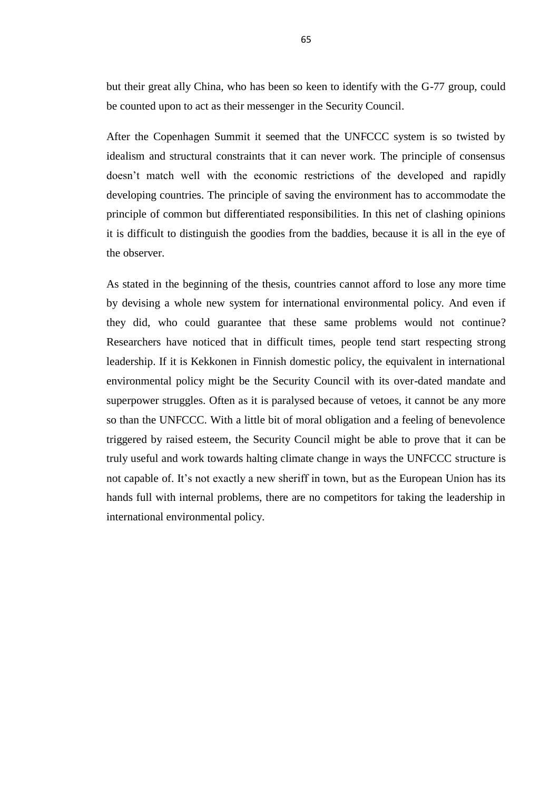but their great ally China, who has been so keen to identify with the G-77 group, could be counted upon to act as their messenger in the Security Council.

After the Copenhagen Summit it seemed that the UNFCCC system is so twisted by idealism and structural constraints that it can never work. The principle of consensus doesn't match well with the economic restrictions of the developed and rapidly developing countries. The principle of saving the environment has to accommodate the principle of common but differentiated responsibilities. In this net of clashing opinions it is difficult to distinguish the goodies from the baddies, because it is all in the eye of the observer.

As stated in the beginning of the thesis, countries cannot afford to lose any more time by devising a whole new system for international environmental policy. And even if they did, who could guarantee that these same problems would not continue? Researchers have noticed that in difficult times, people tend start respecting strong leadership. If it is Kekkonen in Finnish domestic policy, the equivalent in international environmental policy might be the Security Council with its over-dated mandate and superpower struggles. Often as it is paralysed because of vetoes, it cannot be any more so than the UNFCCC. With a little bit of moral obligation and a feeling of benevolence triggered by raised esteem, the Security Council might be able to prove that it can be truly useful and work towards halting climate change in ways the UNFCCC structure is not capable of. It's not exactly a new sheriff in town, but as the European Union has its hands full with internal problems, there are no competitors for taking the leadership in international environmental policy.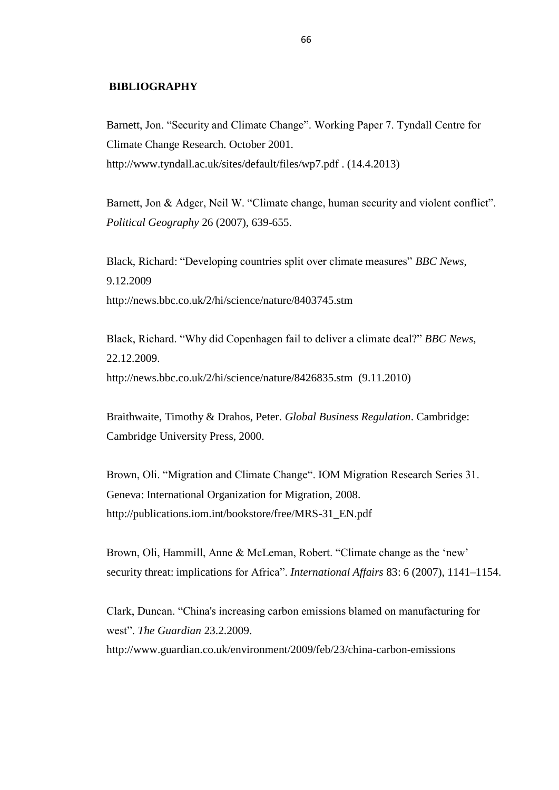#### **BIBLIOGRAPHY**

Barnett, Jon. "Security and Climate Change". Working Paper 7. Tyndall Centre for Climate Change Research. October 2001. http://www.tyndall.ac.uk/sites/default/files/wp7.pdf . (14.4.2013)

Barnett, Jon & Adger, Neil W. "Climate change, human security and violent conflict". *Political Geography* 26 (2007), 639-655.

Black, Richard: "Developing countries split over climate measures" *BBC News*, 9.12.2009 <http://news.bbc.co.uk/2/hi/science/nature/8403745.stm>

Black, Richard. "Why did Copenhagen fail to deliver a climate deal?" *BBC News*, 22.12.2009. http://news.bbc.co.uk/2/hi/science/nature/8426835.stm (9.11.2010)

Braithwaite, Timothy & Drahos, Peter. *Global Business Regulation*. Cambridge: Cambridge University Press, 2000.

Brown, Oli. "Migration and Climate Change". IOM Migration Research Series 31. Geneva: International Organization for Migration, 2008. http://publications.iom.int/bookstore/free/MRS-31\_EN.pdf

Brown, Oli, Hammill, Anne & McLeman, Robert. "Climate change as the 'new' security threat: implications for Africa". *International Affairs* 83: 6 (2007), 1141–1154.

Clark, Duncan. "China's increasing carbon emissions blamed on manufacturing for west". *The Guardian* 23.2.2009. http://www.guardian.co.uk/environment/2009/feb/23/china-carbon-emissions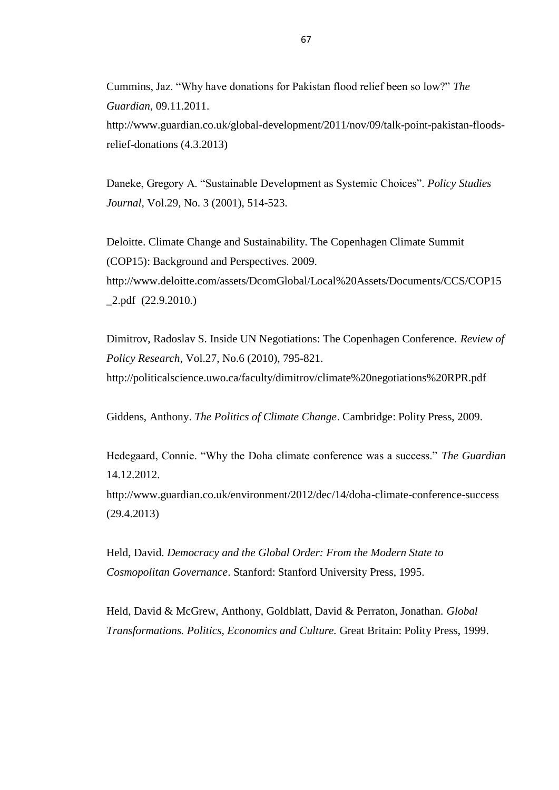Cummins, Jaz. "Why have donations for Pakistan flood relief been so low?" *The Guardian*, 09.11.2011. http://www.guardian.co.uk/global-development/2011/nov/09/talk-point-pakistan-floodsrelief-donations (4.3.2013)

Daneke, Gregory A. "Sustainable Development as Systemic Choices". *Policy Studies Journal,* Vol.29, No. 3 (2001), 514-523.

Deloitte. Climate Change and Sustainability. The Copenhagen Climate Summit (COP15): Background and Perspectives. 2009. http://www.deloitte.com/assets/DcomGlobal/Local%20Assets/Documents/CCS/COP15 \_2.pdf (22.9.2010.)

Dimitrov, Radoslav S. Inside UN Negotiations: The Copenhagen Conference. *Review of Policy Research*, Vol.27, No.6 (2010), 795-821. http://politicalscience.uwo.ca/faculty/dimitrov/climate%20negotiations%20RPR.pdf

Giddens, Anthony. *The Politics of Climate Change*. Cambridge: Polity Press, 2009.

Hedegaard, Connie. "Why the Doha climate conference was a success." *The Guardian* 14.12.2012.

http://www.guardian.co.uk/environment/2012/dec/14/doha-climate-conference-success (29.4.2013)

Held, David. *Democracy and the Global Order: From the Modern State to Cosmopolitan Governance*. Stanford: Stanford University Press, 1995.

Held, David & McGrew, Anthony, Goldblatt, David & Perraton, Jonathan. *Global Transformations. Politics, Economics and Culture.* Great Britain: Polity Press, 1999.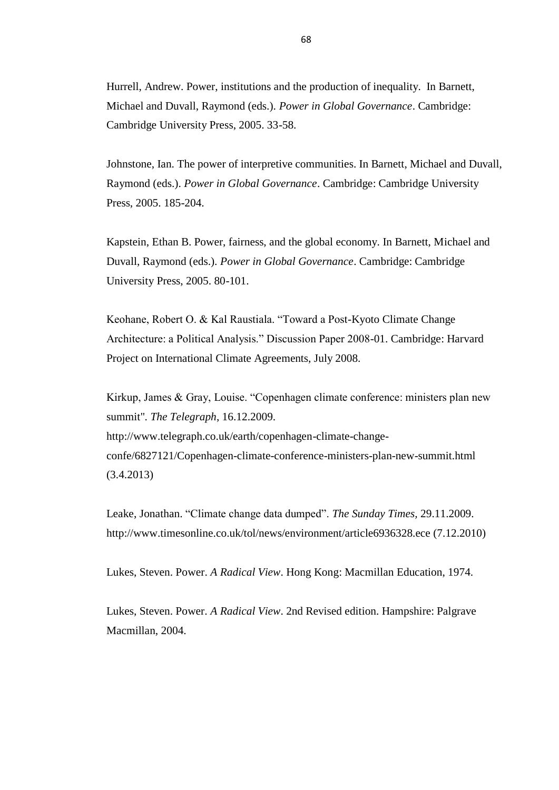Hurrell, Andrew. Power, institutions and the production of inequality. In Barnett, Michael and Duvall, Raymond (eds.). *Power in Global Governance*. Cambridge: Cambridge University Press, 2005. 33-58.

Johnstone, Ian. The power of interpretive communities. In Barnett, Michael and Duvall, Raymond (eds.). *Power in Global Governance*. Cambridge: Cambridge University Press, 2005. 185-204.

Kapstein, Ethan B. Power, fairness, and the global economy. In Barnett, Michael and Duvall, Raymond (eds.). *Power in Global Governance*. Cambridge: Cambridge University Press, 2005. 80-101.

Keohane, Robert O. & Kal Raustiala. "Toward a Post-Kyoto Climate Change Architecture: a Political Analysis." Discussion Paper 2008-01. Cambridge: Harvard Project on International Climate Agreements, July 2008.

Kirkup, James & Gray, Louise. "Copenhagen climate conference: ministers plan new summit". *The Telegraph*, 16.12.2009. http://www.telegraph.co.uk/earth/copenhagen-climate-changeconfe/6827121/Copenhagen-climate-conference-ministers-plan-new-summit.html (3.4.2013)

Leake, Jonathan. "Climate change data dumped". *The Sunday Times,* 29.11.2009. http://www.timesonline.co.uk/tol/news/environment/article6936328.ece (7.12.2010)

Lukes, Steven. Power. *A Radical View*. Hong Kong: Macmillan Education, 1974.

Lukes, Steven. Power. *A Radical View*. 2nd Revised edition. Hampshire: Palgrave Macmillan, 2004.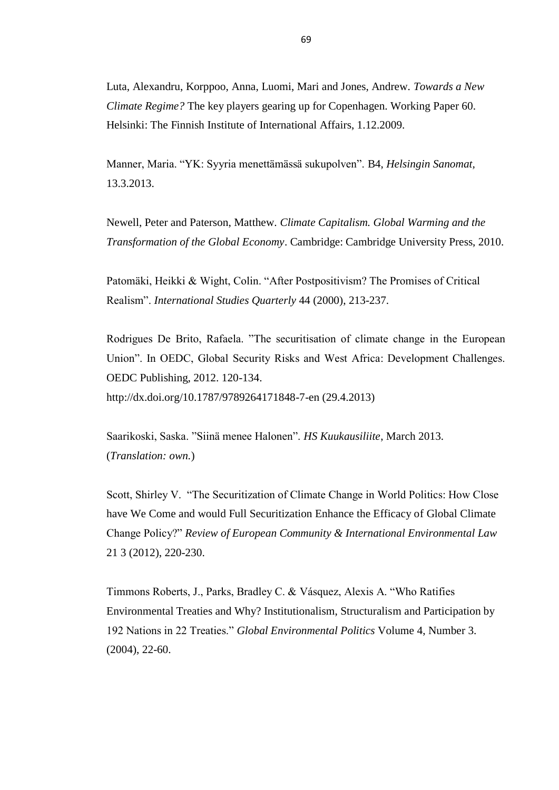Luta, Alexandru, Korppoo, Anna, Luomi, Mari and Jones, Andrew. *Towards a New Climate Regime?* The key players gearing up for Copenhagen. Working Paper 60. Helsinki: The Finnish Institute of International Affairs, 1.12.2009.

Manner, Maria. "YK: Syyria menettämässä sukupolven". B4, *Helsingin Sanomat,*  13.3.2013.

Newell, Peter and Paterson, Matthew. *Climate Capitalism. Global Warming and the Transformation of the Global Economy*. Cambridge: Cambridge University Press, 2010.

Patomäki, Heikki & Wight, Colin. "After Postpositivism? The Promises of Critical Realism". *International Studies Quarterly* 44 (2000), 213-237.

Rodrigues De Brito, Rafaela. "The securitisation of climate change in the European Union". In OEDC, Global Security Risks and West Africa: Development Challenges. OEDC Publishing, 2012. 120-134. http://dx.doi.org/10.1787/9789264171848-7-en (29.4.2013)

Saarikoski, Saska. "Siinä menee Halonen". *HS Kuukausiliite*, March 2013. (*Translation: own.*)

Scott, Shirley V. "The Securitization of Climate Change in World Politics: How Close have We Come and would Full Securitization Enhance the Efficacy of Global Climate Change Policy?" *Review of European Community & International Environmental Law* 21 3 (2012), 220-230.

Timmons Roberts, J., Parks, Bradley C. & Vásquez, Alexis A. "Who Ratifies Environmental Treaties and Why? Institutionalism, Structuralism and Participation by 192 Nations in 22 Treaties." *Global Environmental Politics* Volume 4, Number 3. (2004), 22-60.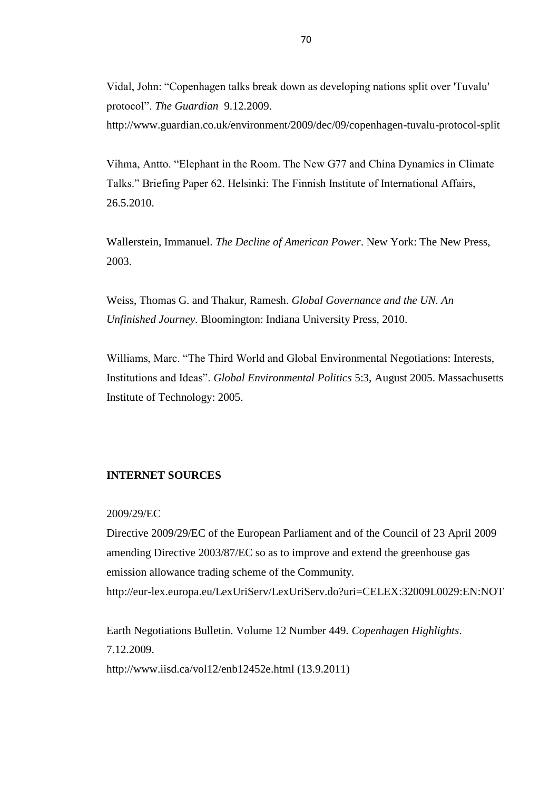Vidal, John: "Copenhagen talks break down as developing nations split over 'Tuvalu' protocol". *The Guardian* 9.12.2009.

http://www.guardian.co.uk/environment/2009/dec/09/copenhagen-tuvalu-protocol-split

Vihma, Antto. "Elephant in the Room. The New G77 and China Dynamics in Climate Talks." Briefing Paper 62. Helsinki: The Finnish Institute of International Affairs, 26.5.2010.

Wallerstein, Immanuel. *The Decline of American Power*. New York: The New Press, 2003.

Weiss, Thomas G. and Thakur, Ramesh. *Global Governance and the UN. An Unfinished Journey.* Bloomington: Indiana University Press, 2010.

Williams, Marc. "The Third World and Global Environmental Negotiations: Interests, Institutions and Ideas". *Global Environmental Politics* 5:3, August 2005. Massachusetts Institute of Technology: 2005.

### **INTERNET SOURCES**

#### 2009/29/EC

Directive 2009/29/EC of the European Parliament and of the Council of 23 April 2009 amending Directive 2003/87/EC so as to improve and extend the greenhouse gas emission allowance trading scheme of the Community. <http://eur-lex.europa.eu/LexUriServ/LexUriServ.do?uri=CELEX:32009L0029:EN:NOT>

Earth Negotiations Bulletin. Volume 12 Number 449. *Copenhagen Highlights*. 7.12.2009.

http://www.iisd.ca/vol12/enb12452e.html (13.9.2011)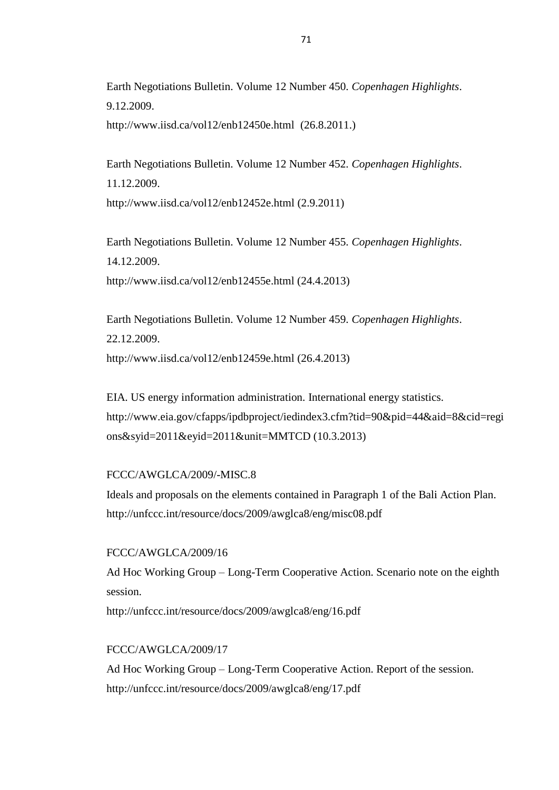Earth Negotiations Bulletin. Volume 12 Number 450. *Copenhagen Highlights*. 9.12.2009.

<http://www.iisd.ca/vol12/enb12450e.html>(26.8.2011.)

Earth Negotiations Bulletin. Volume 12 Number 452. *Copenhagen Highlights*. 11.12.2009.

http://www.iisd.ca/vol12/enb12452e.html (2.9.2011)

Earth Negotiations Bulletin. Volume 12 Number 455. *Copenhagen Highlights*. 14.12.2009. http://www.iisd.ca/vol12/enb12455e.html (24.4.2013)

Earth Negotiations Bulletin. Volume 12 Number 459. *Copenhagen Highlights*. 22.12.2009.

http://www.iisd.ca/vol12/enb12459e.html (26.4.2013)

EIA. US energy information administration. International energy statistics. http://www.eia.gov/cfapps/ipdbproject/iedindex3.cfm?tid=90&pid=44&aid=8&cid=regi ons&syid=2011&eyid=2011&unit=MMTCD (10.3.2013)

# FCCC/AWGLCA/2009/-MISC.8

Ideals and proposals on the elements contained in Paragraph 1 of the Bali Action Plan. <http://unfccc.int/resource/docs/2009/awglca8/eng/misc08.pdf>

### FCCC/AWGLCA/2009/16

Ad Hoc Working Group – Long-Term Cooperative Action. Scenario note on the eighth session.

<http://unfccc.int/resource/docs/2009/awglca8/eng/16.pdf>

### FCCC/AWGLCA/2009/17

Ad Hoc Working Group – Long-Term Cooperative Action. Report of the session. http://unfccc.int/resource/docs/2009/awglca8/eng/17.pdf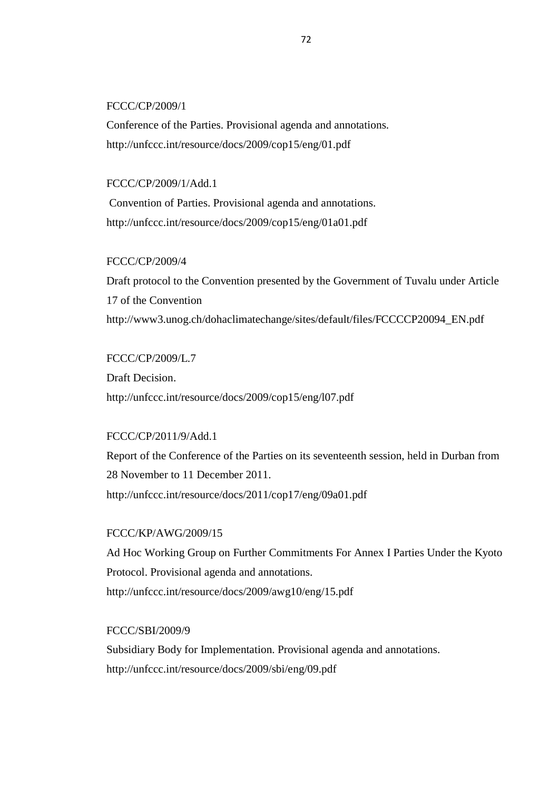#### FCCC/CP/2009/1

Conference of the Parties. Provisional agenda and annotations. <http://unfccc.int/resource/docs/2009/cop15/eng/01.pdf>

## FCCC/CP/2009/1/Add.1

Convention of Parties. Provisional agenda and annotations. <http://unfccc.int/resource/docs/2009/cop15/eng/01a01.pdf>

## FCCC/CP/2009/4

Draft protocol to the Convention presented by the Government of Tuvalu under Article 17 of the Convention http://www3.unog.ch/dohaclimatechange/sites/default/files/FCCCCP20094\_EN.pdf

## FCCC/CP/2009/L.7

Draft Decision. <http://unfccc.int/resource/docs/2009/cop15/eng/l07.pdf>

# FCCC/CP/2011/9/Add.1

Report of the Conference of the Parties on its seventeenth session, held in Durban from 28 November to 11 December 2011. http://unfccc.int/resource/docs/2011/cop17/eng/09a01.pdf

## FCCC/KP/AWG/2009/15

Ad Hoc Working Group on Further Commitments For Annex I Parties Under the Kyoto Protocol. Provisional agenda and annotations. http://unfccc.int/resource/docs/2009/awg10/eng/15.pdf

#### FCCC/SBI/2009/9

Subsidiary Body for Implementation. Provisional agenda and annotations. http://unfccc.int/resource/docs/2009/sbi/eng/09.pdf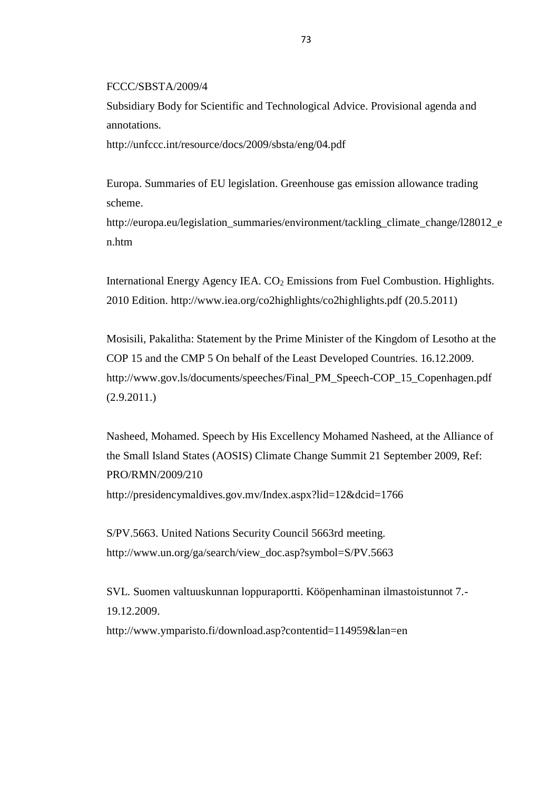FCCC/SBSTA/2009/4

Subsidiary Body for Scientific and Technological Advice. Provisional agenda and annotations.

http://unfccc.int/resource/docs/2009/sbsta/eng/04.pdf

Europa. Summaries of EU legislation. Greenhouse gas emission allowance trading scheme.

http://europa.eu/legislation\_summaries/environment/tackling\_climate\_change/l28012\_e n.htm

International Energy Agency IEA.  $CO<sub>2</sub>$  Emissions from Fuel Combustion. Highlights. 2010 Edition. http://www.iea.org/co2highlights/co2highlights.pdf (20.5.2011)

Mosisili, Pakalitha: Statement by the Prime Minister of the Kingdom of Lesotho at the COP 15 and the CMP 5 On behalf of the Least Developed Countries. 16.12.2009. http://www.gov.ls/documents/speeches/Final\_PM\_Speech-COP\_15\_Copenhagen.pdf  $(2.9.2011)$ 

Nasheed, Mohamed. Speech by His Excellency Mohamed Nasheed, at the Alliance of the Small Island States (AOSIS) Climate Change Summit 21 September 2009, Ref: PRO/RMN/2009/210 <http://presidencymaldives.gov.mv/Index.aspx?lid=12&dcid=1766>

S/PV.5663. United Nations Security Council 5663rd meeting. http://www.un.org/ga/search/view\_doc.asp?symbol=S/PV.5663

SVL. Suomen valtuuskunnan loppuraportti. Kööpenhaminan ilmastoistunnot 7.- 19.12.2009. <http://www.ymparisto.fi/download.asp?contentid=114959&lan=en>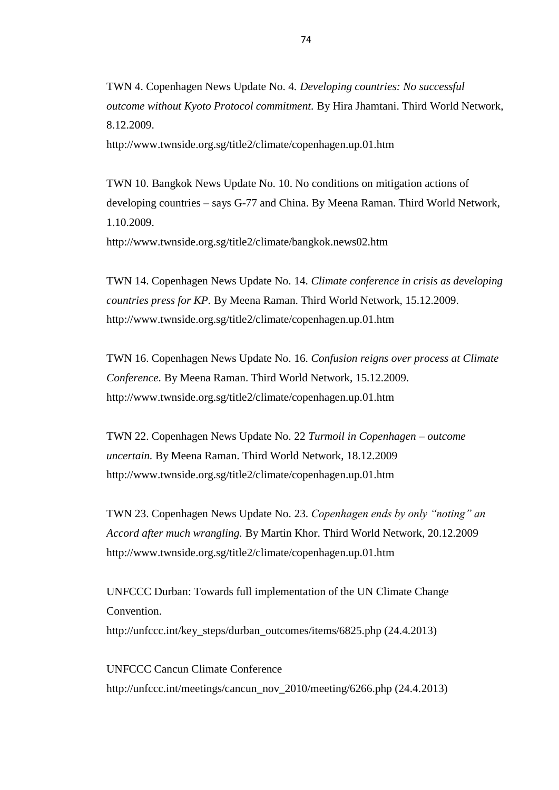TWN 4. Copenhagen News Update No. 4. *Developing countries: No successful outcome without Kyoto Protocol commitment.* By Hira Jhamtani. Third World Network, 8.12.2009.

<http://www.twnside.org.sg/title2/climate/copenhagen.up.01.htm>

TWN 10. Bangkok News Update No. 10. No conditions on mitigation actions of developing countries – says G-77 and China. By Meena Raman. Third World Network, 1.10.2009.

<http://www.twnside.org.sg/title2/climate/bangkok.news02.htm>

TWN 14. Copenhagen News Update No. 14. *Climate conference in crisis as developing countries press for KP.* By Meena Raman. Third World Network, 15.12.2009. <http://www.twnside.org.sg/title2/climate/copenhagen.up.01.htm>

TWN 16. Copenhagen News Update No. 16. *Confusion reigns over process at Climate Conference.* By Meena Raman. Third World Network, 15.12.2009. <http://www.twnside.org.sg/title2/climate/copenhagen.up.01.htm>

TWN 22. Copenhagen News Update No. 22 *Turmoil in Copenhagen – outcome uncertain.* By Meena Raman. Third World Network, 18.12.2009 <http://www.twnside.org.sg/title2/climate/copenhagen.up.01.htm>

TWN 23. Copenhagen News Update No. 23. *Copenhagen ends by only "noting" an Accord after much wrangling.* By Martin Khor. Third World Network, 20.12.2009 <http://www.twnside.org.sg/title2/climate/copenhagen.up.01.htm>

UNFCCC Durban: Towards full implementation of the UN Climate Change Convention. http://unfccc.int/key\_steps/durban\_outcomes/items/6825.php (24.4.2013)

UNFCCC Cancun Climate Conference http://unfccc.int/meetings/cancun\_nov\_2010/meeting/6266.php (24.4.2013)